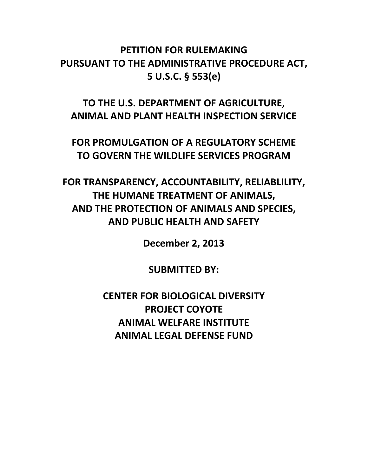# **PETITION FOR RULEMAKING PURSUANT TO THE ADMINISTRATIVE PROCEDURE ACT, 5 U.S.C. § 553(e)**

**TO THE U.S. DEPARTMENT OF AGRICULTURE, ANIMAL AND PLANT HEALTH INSPECTION SERVICE**

**FOR PROMULGATION OF A REGULATORY SCHEME TO GOVERN THE WILDLIFE SERVICES PROGRAM**

**FOR TRANSPARENCY, ACCOUNTABILITY, RELIABLILITY, THE HUMANE TREATMENT OF ANIMALS, AND THE PROTECTION OF ANIMALS AND SPECIES, AND PUBLIC HEALTH AND SAFETY**

**December 2, 2013**

**SUBMITTED BY:**

**CENTER FOR BIOLOGICAL DIVERSITY PROJECT COYOTE ANIMAL WELFARE INSTITUTE ANIMAL LEGAL DEFENSE FUND**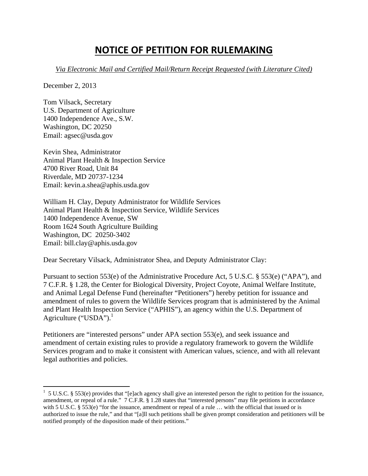# **NOTICE OF PETITION FOR RULEMAKING**

*Via Electronic Mail and Certified Mail/Return Receipt Requested (with Literature Cited)*

December 2, 2013

 $\overline{a}$ 

Tom Vilsack, Secretary U.S. Department of Agriculture 1400 Independence Ave., S.W. Washington, DC 20250 Email: agsec@usda.gov

Kevin Shea, Administrator Animal Plant Health & Inspection Service 4700 River Road, Unit 84 Riverdale, MD 20737-1234 Email: kevin.a.shea@aphis.usda.gov

William H. Clay, Deputy Administrator for Wildlife Services Animal Plant Health & Inspection Service, Wildlife Services 1400 Independence Avenue, SW Room 1624 South Agriculture Building Washington, DC 20250-3402 Email: bill.clay@aphis.usda.gov

Dear Secretary Vilsack, Administrator Shea, and Deputy Administrator Clay:

Pursuant to section 553(e) of the Administrative Procedure Act, 5 U.S.C. § 553(e) ("APA"), and 7 C.F.R. § 1.28, the Center for Biological Diversity, Project Coyote, Animal Welfare Institute, and Animal Legal Defense Fund (hereinafter "Petitioners") hereby petition for issuance and amendment of rules to govern the Wildlife Services program that is administered by the Animal and Plant Health Inspection Service ("APHIS"), an agency within the U.S. Department of Agriculture ("USDA"). $^1$ 

Petitioners are "interested persons" under APA section 553(e), and seek issuance and amendment of certain existing rules to provide a regulatory framework to govern the Wildlife Services program and to make it consistent with American values, science, and with all relevant legal authorities and policies.

 $1\,$  5 U.S.C. § 553(e) provides that "[e]ach agency shall give an interested person the right to petition for the issuance, amendment, or repeal of a rule." 7 C.F.R. § 1.28 states that "interested persons" may file petitions in accordance with 5 U.S.C. § 553(e) "for the issuance, amendment or repeal of a rule ... with the official that issued or is authorized to issue the rule," and that "[a]ll such petitions shall be given prompt consideration and petitioners will be notified promptly of the disposition made of their petitions."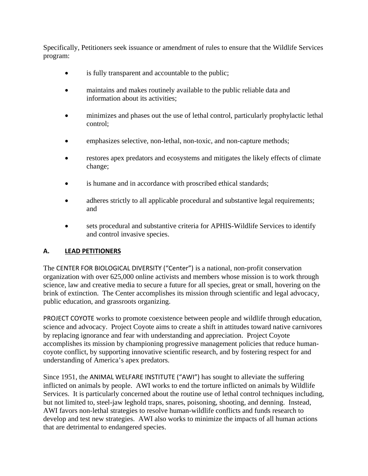Specifically, Petitioners seek issuance or amendment of rules to ensure that the Wildlife Services program:

- is fully transparent and accountable to the public;
- maintains and makes routinely available to the public reliable data and information about its activities;
- minimizes and phases out the use of lethal control, particularly prophylactic lethal control;
- emphasizes selective, non-lethal, non-toxic, and non-capture methods;
- restores apex predators and ecosystems and mitigates the likely effects of climate change;
- is humane and in accordance with proscribed ethical standards;
- adheres strictly to all applicable procedural and substantive legal requirements; and
- sets procedural and substantive criteria for APHIS-Wildlife Services to identify and control invasive species.

# **A. LEAD PETITIONERS**

The CENTER FOR BIOLOGICAL DIVERSITY ("Center") is a national, non-profit conservation organization with over 625,000 online activists and members whose mission is to work through science, law and creative media to secure a future for all species, great or small, hovering on the brink of extinction. The Center accomplishes its mission through scientific and legal advocacy, public education, and grassroots organizing.

PROJECT COYOTE works to promote coexistence between people and wildlife through education, science and advocacy. Project Coyote aims to create a shift in attitudes toward native carnivores by replacing ignorance and fear with understanding and appreciation. Project Coyote accomplishes its mission by championing progressive management policies that reduce humancoyote conflict, by supporting innovative scientific research, and by fostering respect for and understanding of America's apex predators.

Since 1951, the ANIMAL WELFARE INSTITUTE ("AWI") has sought to alleviate the suffering inflicted on animals by people. AWI works to end the torture inflicted on animals by Wildlife Services. It is particularly concerned about the routine use of lethal control techniques including, but not limited to, steel-jaw leghold traps, snares, poisoning, shooting, and denning. Instead, AWI favors non-lethal strategies to resolve human-wildlife conflicts and funds research to develop and test new strategies. AWI also works to minimize the impacts of all human actions that are detrimental to endangered species.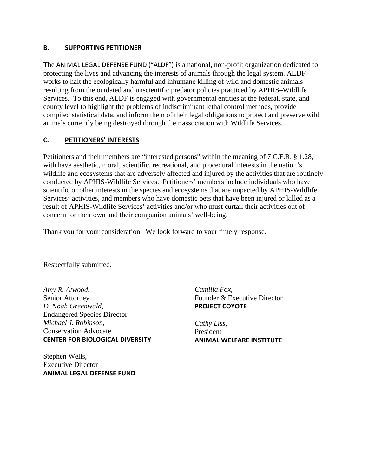#### **B. SUPPORTING PETITIONER**

The ANIMAL LEGAL DEFENSE FUND ("ALDF") is a national, non-profit organization dedicated to protecting the lives and advancing the interests of animals through the legal system. ALDF works to halt the ecologically harmful and inhumane killing of wild and domestic animals resulting from the outdated and unscientific predator policies practiced by APHIS–Wildlife Services. To this end, ALDF is engaged with governmental entities at the federal, state, and county level to highlight the problems of indiscriminant lethal control methods, provide compiled statistical data, and inform them of their legal obligations to protect and preserve wild animals currently being destroyed through their association with Wildlife Services.

## **C. PETITIONERS' INTERESTS**

Petitioners and their members are "interested persons" within the meaning of 7 C.F.R. § 1.28, with have aesthetic, moral, scientific, recreational, and procedural interests in the nation's wildlife and ecosystems that are adversely affected and injured by the activities that are routinely conducted by APHIS-Wildlife Services. Petitioners' members include individuals who have scientific or other interests in the species and ecosystems that are impacted by APHIS-Wildlife Services' activities, and members who have domestic pets that have been injured or killed as a result of APHIS-Wildlife Services' activities and/or who must curtail their activities out of concern for their own and their companion animals' well-being.

Thank you for your consideration. We look forward to your timely response.

Respectfully submitted,

*Amy R. Atwood*, Senior Attorney *D. Noah Greenwald*, Endangered Species Director *Michael J. Robinson*, Conservation Advocate **CENTER FOR BIOLOGICAL DIVERSITY**

Stephen Wells, Executive Director **ANIMAL LEGAL DEFENSE FUND** *Camilla Fox*, Founder & Executive Director **PROJECT COYOTE**

*Cathy Liss*, President **ANIMAL WELFARE INSTITUTE**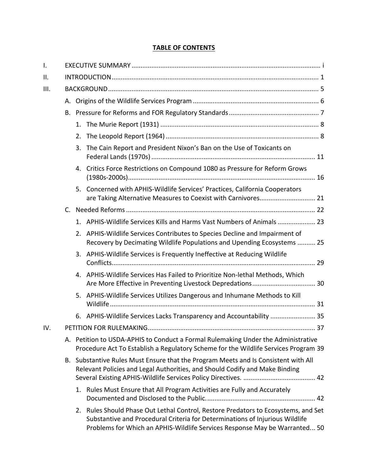## **TABLE OF CONTENTS**

| Ι.   |    |                                                                                                                                                                          |                                                                                                                                                                                                                                                  |  |  |  |  |
|------|----|--------------------------------------------------------------------------------------------------------------------------------------------------------------------------|--------------------------------------------------------------------------------------------------------------------------------------------------------------------------------------------------------------------------------------------------|--|--|--|--|
| Ш.   |    |                                                                                                                                                                          |                                                                                                                                                                                                                                                  |  |  |  |  |
| III. |    |                                                                                                                                                                          |                                                                                                                                                                                                                                                  |  |  |  |  |
|      |    |                                                                                                                                                                          |                                                                                                                                                                                                                                                  |  |  |  |  |
|      | В. |                                                                                                                                                                          |                                                                                                                                                                                                                                                  |  |  |  |  |
|      |    |                                                                                                                                                                          |                                                                                                                                                                                                                                                  |  |  |  |  |
|      |    | 2.                                                                                                                                                                       |                                                                                                                                                                                                                                                  |  |  |  |  |
|      |    | 3.                                                                                                                                                                       | The Cain Report and President Nixon's Ban on the Use of Toxicants on                                                                                                                                                                             |  |  |  |  |
|      |    |                                                                                                                                                                          | 4. Critics Force Restrictions on Compound 1080 as Pressure for Reform Grows                                                                                                                                                                      |  |  |  |  |
|      |    |                                                                                                                                                                          | 5. Concerned with APHIS-Wildlife Services' Practices, California Cooperators<br>are Taking Alternative Measures to Coexist with Carnivores 21                                                                                                    |  |  |  |  |
|      |    |                                                                                                                                                                          |                                                                                                                                                                                                                                                  |  |  |  |  |
|      |    |                                                                                                                                                                          | 1. APHIS-Wildlife Services Kills and Harms Vast Numbers of Animals  23                                                                                                                                                                           |  |  |  |  |
|      |    | 2.                                                                                                                                                                       | APHIS-Wildlife Services Contributes to Species Decline and Impairment of<br>Recovery by Decimating Wildlife Populations and Upending Ecosystems  25                                                                                              |  |  |  |  |
|      |    | 3.                                                                                                                                                                       | APHIS-Wildlife Services is Frequently Ineffective at Reducing Wildlife                                                                                                                                                                           |  |  |  |  |
|      |    | 4.                                                                                                                                                                       | APHIS-Wildlife Services Has Failed to Prioritize Non-lethal Methods, Which                                                                                                                                                                       |  |  |  |  |
|      |    | 5.                                                                                                                                                                       | APHIS-Wildlife Services Utilizes Dangerous and Inhumane Methods to Kill                                                                                                                                                                          |  |  |  |  |
|      |    | 6.                                                                                                                                                                       | APHIS-Wildlife Services Lacks Transparency and Accountability  35                                                                                                                                                                                |  |  |  |  |
| IV.  |    |                                                                                                                                                                          |                                                                                                                                                                                                                                                  |  |  |  |  |
|      |    | A. Petition to USDA-APHIS to Conduct a Formal Rulemaking Under the Administrative<br>Procedure Act To Establish a Regulatory Scheme for the Wildlife Services Program 39 |                                                                                                                                                                                                                                                  |  |  |  |  |
|      |    | B. Substantive Rules Must Ensure that the Program Meets and Is Consistent with All<br>Relevant Policies and Legal Authorities, and Should Codify and Make Binding        |                                                                                                                                                                                                                                                  |  |  |  |  |
|      |    |                                                                                                                                                                          | 1. Rules Must Ensure that All Program Activities are Fully and Accurately                                                                                                                                                                        |  |  |  |  |
|      |    |                                                                                                                                                                          | 2. Rules Should Phase Out Lethal Control, Restore Predators to Ecosystems, and Set<br>Substantive and Procedural Criteria for Determinations of Injurious Wildlife<br>Problems for Which an APHIS-Wildlife Services Response May be Warranted 50 |  |  |  |  |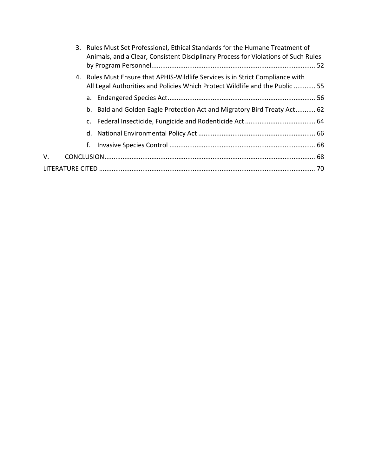|    | 3. Rules Must Set Professional, Ethical Standards for the Humane Treatment of<br>Animals, and a Clear, Consistent Disciplinary Process for Violations of Such Rules |  |
|----|---------------------------------------------------------------------------------------------------------------------------------------------------------------------|--|
|    | 4. Rules Must Ensure that APHIS-Wildlife Services is in Strict Compliance with<br>All Legal Authorities and Policies Which Protect Wildlife and the Public  55      |  |
|    |                                                                                                                                                                     |  |
|    | b. Bald and Golden Eagle Protection Act and Migratory Bird Treaty Act 62                                                                                            |  |
|    |                                                                                                                                                                     |  |
|    |                                                                                                                                                                     |  |
|    | f.                                                                                                                                                                  |  |
| V. |                                                                                                                                                                     |  |
|    |                                                                                                                                                                     |  |
|    |                                                                                                                                                                     |  |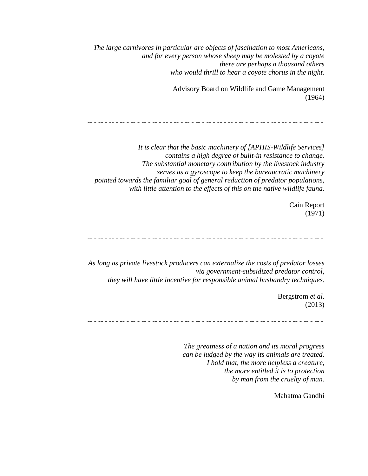*The large carnivores in particular are objects of fascination to most Americans, and for every person whose sheep may be molested by a coyote there are perhaps a thousand others who would thrill to hear a coyote chorus in the night.* 

> Advisory Board on Wildlife and Game Management (1964)

-- - -- - -- - -- - -- - -- - -- - -- - -- - -- - -- - -- - -- - -- - -- - -- - -- - -- - -- - -- - -- - -- -

*It is clear that the basic machinery of [APHIS-Wildlife Services] contains a high degree of built-in resistance to change. The substantial monetary contribution by the livestock industry serves as a gyroscope to keep the bureaucratic machinery pointed towards the familiar goal of general reduction of predator populations, with little attention to the effects of this on the native wildlife fauna.* 

> Cain Report (1971)

-- - -- - -- - -- - -- - -- - -- - -- - -- - -- - -- - -- - -- - -- - -- - -- - -- - -- - -- - -- - -- - -- -

*As long as private livestock producers can externalize the costs of predator losses via government-subsidized predator control, they will have little incentive for responsible animal husbandry techniques.* 

> Bergstrom *et al*. (2013)

-- - -- - -- - -- - -- - -- - -- - -- - -- - -- - -- - -- - -- - -- - -- - -- - -- - -- - -- - -- - -- - -- -

*The greatness of a nation and its moral progress can be judged by the way its animals are treated. I hold that, the more helpless a creature, the more entitled it is to protection by man from the cruelty of man.* 

Mahatma Gandhi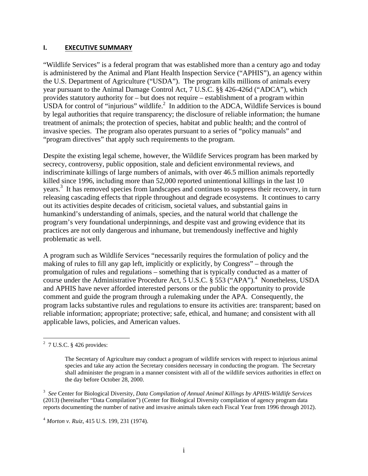#### **I. EXECUTIVE SUMMARY**

"Wildlife Services" is a federal program that was established more than a century ago and today is administered by the Animal and Plant Health Inspection Service ("APHIS"), an agency within the U.S. Department of Agriculture ("USDA"). The program kills millions of animals every year pursuant to the Animal Damage Control Act, 7 U.S.C. §§ 426-426d ("ADCA"), which provides statutory authority for – but does not require – establishment of a program within USDA for control of "injurious" wildlife. $^2$  In addition to the ADCA, Wildlife Services is bound by legal authorities that require transparency; the disclosure of reliable information; the humane treatment of animals; the protection of species, habitat and public health; and the control of invasive species. The program also operates pursuant to a series of "policy manuals" and "program directives" that apply such requirements to the program.

Despite the existing legal scheme, however, the Wildlife Services program has been marked by secrecy, controversy, public opposition, stale and deficient environmental reviews, and indiscriminate killings of large numbers of animals, with over 46.5 million animals reportedly killed since 1996, including more than 52,000 reported unintentional killings in the last 10 years.<sup>3</sup> It has removed species from landscapes and continues to suppress their recovery, in turn releasing cascading effects that ripple throughout and degrade ecosystems. It continues to carry out its activities despite decades of criticism, societal values, and substantial gains in humankind's understanding of animals, species, and the natural world that challenge the program's very foundational underpinnings, and despite vast and growing evidence that its practices are not only dangerous and inhumane, but tremendously ineffective and highly problematic as well.

A program such as Wildlife Services "necessarily requires the formulation of policy and the making of rules to fill any gap left, implicitly or explicitly, by Congress" – through the promulgation of rules and regulations – something that is typically conducted as a matter of course under the Administrative Procedure Act, 5 U.S.C. § 553 ("APA").<sup>4</sup> Nonetheless, USDA and APHIS have never afforded interested persons or the public the opportunity to provide comment and guide the program through a rulemaking under the APA. Consequently, the program lacks substantive rules and regulations to ensure its activities are: transparent; based on reliable information; appropriate; protective; safe, ethical, and humane; and consistent with all applicable laws, policies, and American values.

 2 7 U.S.C. § 426 provides:

The Secretary of Agriculture may conduct a program of wildlife services with respect to injurious animal species and take any action the Secretary considers necessary in conducting the program. The Secretary shall administer the program in a manner consistent with all of the wildlife services authorities in effect on the day before October 28, 2000.

<sup>3</sup> *See* Center for Biological Diversity, *Data Compilation of Annual Animal Killings by APHIS-Wildlife Services* (2013) (hereinafter "Data Compilation") (Center for Biological Diversity compilation of agency program data reports documenting the number of native and invasive animals taken each Fiscal Year from 1996 through 2012).

<sup>4</sup>  *Morton v. Ruiz*, 415 U.S. 199, 231 (1974).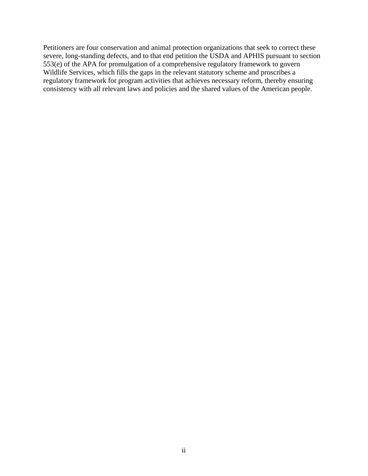Petitioners are four conservation and animal protection organizations that seek to correct these severe, long-standing defects, and to that end petition the USDA and APHIS pursuant to section 553(e) of the APA for promulgation of a comprehensive regulatory framework to govern Wildlife Services, which fills the gaps in the relevant statutory scheme and proscribes a regulatory framework for program activities that achieves necessary reform, thereby ensuring consistency with all relevant laws and policies and the shared values of the American people.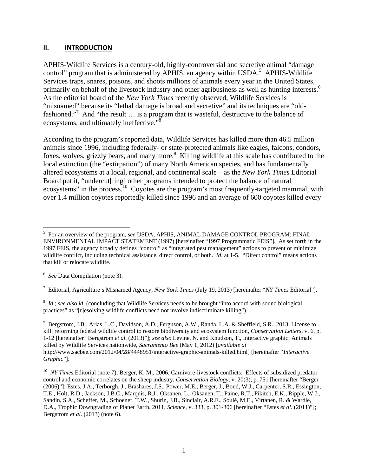#### **II. INTRODUCTION**

APHIS-Wildlife Services is a century-old, highly-controversial and secretive animal "damage control" program that is administered by APHIS, an agency within USDA.<sup>5</sup> APHIS-Wildlife Services traps, snares, poisons, and shoots millions of animals every year in the United States, primarily on behalf of the livestock industry and other agribusiness as well as hunting interests.<sup>6</sup> As the editorial board of the *New York Times* recently observed, Wildlife Services is "misnamed" because its "lethal damage is broad and secretive" and its techniques are "oldfashioned."<sup>7</sup> And "the result ... is a program that is wasteful, destructive to the balance of ecosystems, and ultimately ineffective." $\frac{3}{8}$ 

According to the program's reported data, Wildlife Services has killed more than 46.5 million animals since 1996, including federally- or state-protected animals like eagles, falcons, condors, foxes, wolves, grizzly bears, and many more.<sup>9</sup> Killing wildlife at this scale has contributed to the local extinction (the "extirpation") of many North American species, and has fundamentally altered ecosystems at a local, regional, and continental scale – as the *New York Times* Editorial Board put it, "undercut[ting] other programs intended to protect the balance of natural ecosystems" in the process.<sup>10</sup> Coyotes are the program's most frequently-targeted mammal, with over 1.4 million coyotes reportedly killed since 1996 and an average of 600 coyotes killed every

6 *See* Data Compilation (note 3).

1

7 Editorial, Agriculture's Misnamed Agency, *New York Times* (July 19, 2013) [hereinafter "*NY Times* Editorial"].

<sup>8</sup> *Id.*; *see also id.* (concluding that Wildlife Services needs to be brought "into accord with sound biological practices" as "[r]esolving wildlife conflicts need not involve indiscriminate killing").

<sup>9</sup> Bergstrom, J.B., Arias, L.C., Davidson, A.D., Ferguson, A.W., Randa, L.A. & Sheffield, S.R., 2013, License to kill: reforming federal wildlife control to restore biodiversity and ecosystem function, *Conservation Letters*, v. 6, p. 1-12 [hereinafter "Bergstrom *et al*. (2013)"]; *see also* Levine, N. and Knudson, T., Interactive graphic: Animals killed by Wildlife Services nationwide, *Sacramento Bee* (May 1, 2012) [*available at* http://www.sacbee.com/2012/04/28/4448951/interactive-graphic-animals-killed.html] [hereinafter "*Interactive Graphic*"].

<sup>5</sup> For an overview of the program, *see* USDA, APHIS, ANIMAL DAMAGE CONTROL PROGRAM: FINAL ENVIRONMENTAL IMPACT STATEMENT (1997) [hereinafter "1997 Programmatic FEIS"]. As set forth in the 1997 FEIS, the agency broadly defines "control" as "integrated pest management" actions to prevent or minimize wildlife conflict, including technical assistance, direct control, or both. *Id*. at 1-5. "Direct control" means actions that kill or relocate wildlife.

<sup>&</sup>lt;sup>10</sup> *NY Times* Editorial (note 7); Berger, K. M., 2006, Carnivore-livestock conflicts: Effects of subsidized predator control and economic correlates on the sheep industry, *Conservation Biology*, v. 20(3), p. 751 [hereinafter "Berger (2006)"]; Estes, J.A., Terborgh, J., Brashares, J.S., Power, M.E., Berger, J., Bond, W.J., Carpenter, S.R., Essington, T.E., Holt, R.D., Jackson, J.B.C., Marquis, R.J., Oksanen, L., Oksanen, T., Paine, R.T., Pikitch, E.K., Ripple, W.J., Sandin, S.A., Scheffer, M., Schoener, T.W., Shurin, J.B., Sinclair, A.R.E., Soulé, M.E., Virtanen, R. & Wardle, D.A., Trophic Downgrading of Planet Earth, 2011, *Science*, v. 333, p. 301-306 [hereinafter "Estes *et al*. (2011)"]; Bergstrom *et al*. (2013) (note 6).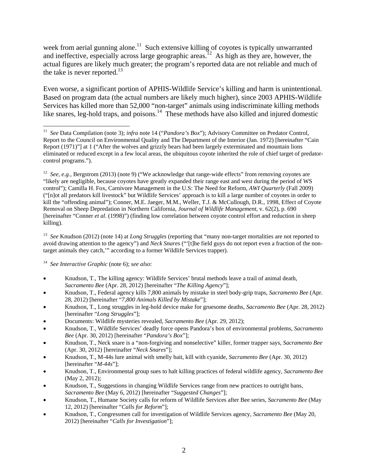week from aerial gunning alone.<sup>11</sup> Such extensive killing of coyotes is typically unwarranted and ineffective, especially across large geographic areas.<sup>12</sup> As high as they are, however, the actual figures are likely much greater; the program's reported data are not reliable and much of the take is never reported.<sup>13</sup>

Even worse, a significant portion of APHIS-Wildlife Service's killing and harm is unintentional. Based on program data (the actual numbers are likely much higher), since 2003 APHIS-Wildlife Services has killed more than 52,000 "non-target" animals using indiscriminate killing methods like snares, leg-hold traps, and poisons.<sup>14</sup> These methods have also killed and injured domestic

13 *See* Knudson (2012) (note 14) at *Long Struggles* (reporting that "many non-target mortalities are not reported to avoid drawing attention to the agency") and *Neck Snares* ("'[t]he field guys do not report even a fraction of the nontarget animals they catch,'" according to a former Wildlife Services trapper).

14 *See Interactive Graphic* (note 6); *see also*:

- Knudson, T., The killing agency: Wildlife Services' brutal methods leave a trail of animal death, *Sacramento Bee* (Apr. 28, 2012) [hereinafter "*The Killing Agency*"];
- Knudson, T., Federal agency kills 7,800 animals by mistake in steel body-grip traps, *Sacramento Bee* (Apr. 28, 2012) [hereinafter "*7,800 Animals Killed by Mistake*"];
- Knudson, T., Long struggles in leg-hold device make for gruesome deaths, *Sacramento Bee* (Apr. 28, 2012) [hereinafter "*Long Struggles*"];
- Documents: Wildlife mysteries revealed, *Sacramento Bee* (Apr. 29, 2012);
- Knudson, T., Wildlife Services' deadly force opens Pandora's box of environmental problems, *Sacramento Bee* (Apr. 30, 2012) [hereinafter "*Pandora's Box*"];
- Knudson, T., Neck snare is a "non-forgiving and nonselective" killer, former trapper says, *Sacramento Bee* (Apr. 30, 2012) [hereinafter "*Neck Snares*"];
- Knudson, T., M-44s lure animal with smelly bait, kill with cyanide, *Sacramento Bee* (Apr. 30, 2012) [hereinafter "*M-44s*"];
- Knudson, T., Environmental group sues to halt killing practices of federal wildlife agency, *Sacramento Bee* (May 2, 2012);
- Knudson, T., Suggestions in changing Wildlife Services range from new practices to outright bans, *Sacramento Bee* (May 6, 2012) [hereinafter "*Suggested Changes*"];
- Knudson, T., Humane Society calls for reform of Wildlife Services after Bee series, *Sacramento Bee* (May 12, 2012) [hereinafter "*Calls for Reform*"];
- Knudson, T., Congressmen call for investigation of Wildlife Services agency, *Sacramento Bee* (May 20, 2012) [hereinafter "*Calls for Investigation*"];

 $\overline{a}$ 11 *See* Data Compilation (note 3); *infra* note 14 ("*Pandora's Box*"); Advisory Committee on Predator Control, Report to the Council on Environmental Quality and The Department of the Interior (Jan. 1972) [hereinafter "Cain Report (1971)"] at 1 ("After the wolves and grizzly bears had been largely exterminated and mountain lions eliminated or reduced except in a few local areas, the ubiquitous coyote inherited the role of chief target of predatorcontrol programs.").

<sup>&</sup>lt;sup>12</sup> *See, e.g., Bergstrom (2013) (note 9) ("We acknowledge that range-wide effects" from removing coyotes are* "likely are negligible, because coyotes have greatly expanded their range east and west during the period of WS control"); Camilla H. Fox, Carnivore Management in the U.S: The Need for Reform, *AWI Quarterly* (Fall 2009) ("[n]ot all predators kill livestock" but Wildlife Services' approach is to kill a large number of coyotes in order to kill the "offending animal"); Conner, M.E. Jaeger, M.M., Weller, T.J. & McCullough, D.R., 1998, Effect of Coyote Removal on Sheep Depredation in Northern California*, Journal of Wildlife Management*, v. 62(2), p. 690 [hereinafter "Conner *et al*. (1998)") (finding low correlation between coyote control effort and reduction in sheep killing).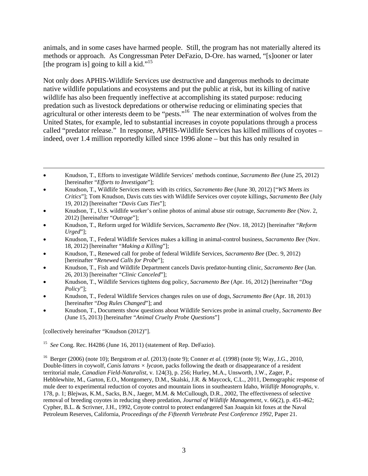animals, and in some cases have harmed people. Still, the program has not materially altered its methods or approach. As Congressman Peter DeFazio, D-Ore. has warned, "[s]ooner or later [the program is] going to kill a kid."<sup>15</sup>

Not only does APHIS-Wildlife Services use destructive and dangerous methods to decimate native wildlife populations and ecosystems and put the public at risk, but its killing of native wildlife has also been frequently ineffective at accomplishing its stated purpose: reducing predation such as livestock depredations or otherwise reducing or eliminating species that agricultural or other interests deem to be "pests."<sup>16</sup> The near extermination of wolves from the United States, for example, led to substantial increases in coyote populations through a process called "predator release." In response, APHIS-Wildlife Services has killed millions of coyotes – indeed, over 1.4 million reportedly killed since 1996 alone – but this has only resulted in

- Knudson, T., Wildlife Services meets with its critics, *Sacramento Bee* (June 30, 2012) ["*WS Meets its Critics*"]; Tom Knudson, Davis cuts ties with Wildlife Services over coyote killings, *Sacramento Bee* (July 19, 2012) [hereinafter "*Davis Cuts Ties*"];
- Knudson, T., U.S. wildlife worker's online photos of animal abuse stir outrage, *Sacramento Bee* (Nov. 2, 2012) [hereinafter "*Outrage*"];
- Knudson, T., Reform urged for Wildlife Services, *Sacramento Bee* (Nov. 18, 2012) [hereinafter "*Reform Urged*"];
- Knudson, T., Federal Wildlife Services makes a killing in animal-control business, *Sacramento Bee* (Nov. 18, 2012) [hereinafter "*Making a Killing*"];
- Knudson, T., Renewed call for probe of federal Wildlife Services, *Sacramento Bee* (Dec. 9, 2012) [hereinafter "*Renewed Calls for Probe*"];
- Knudson, T., Fish and Wildlife Department cancels Davis predator-hunting clinic, *Sacramento Bee* (Jan. 26, 2013) [hereinafter "*Clinic Canceled*"];
- Knudson, T., Wildlife Services tightens dog policy, *Sacramento Bee* (Apr. 16, 2012) [hereinafter "*Dog Policy*"];
- Knudson, T., Federal Wildlife Services changes rules on use of dogs, *Sacramento Bee* (Apr. 18, 2013) [hereinafter "*Dog Rules Changed*"]; and
- Knudson, T., Documents show questions about Wildlife Services probe in animal cruelty, *Sacramento Bee* (June 15, 2013) [hereinafter "*Animal Cruelty Probe Questions*"]

[collectively hereinafter "Knudson (2012)"].

 $\overline{a}$ 

15 *See* Cong. Rec. H4286 (June 16, 2011) (statement of Rep. DeFazio).

16 Berger (2006) (note 10); Bergstrom *et al*. (2013) (note 9); Conner *et al*. (1998) (note 9); Way, J.G., 2010, Double-litters in coywolf, *Canis latrans × lycaon*, packs following the death or disappearance of a resident territorial male, *Canadian Field-Naturalist*, v. 124(3), p. 256; Hurley, M.A., Unsworth, J.W., Zager, P., Hebblewhite, M., Garton, E.O., Montgomery, D.M., Skalski, J.R. & Maycock, C.L., 2011, Demographic response of mule deer to experimental reduction of coyotes and mountain lions in southeastern Idaho, *Wildlife Monographs*, v. 178, p. 1; Blejwas, K.M., Sacks, B.N., Jaeger, M.M. & McCullough, D.R., 2002, The effectiveness of selective removal of breeding coyotes in reducing sheep predation, *Journal of Wildlife Management*, v. 66(2), p. 451-462; Cypher, B.L. & Scrivner, J.H., 1992, Coyote control to protect endangered San Joaquin kit foxes at the Naval Petroleum Reserves, California, *Proceedings of the Fifteenth Vertebrate Pest Conference 1992*, Paper 21.

Knudson, T., Efforts to investigate Wildlife Services' methods continue, *Sacramento Bee* (June 25, 2012) [hereinafter "*Efforts to Investigate*"];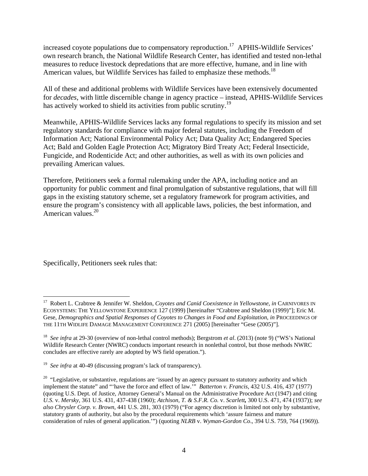increased coyote populations due to compensatory reproduction.<sup>17</sup> APHIS-Wildlife Services' own research branch, the National Wildlife Research Center, has identified and tested non-lethal measures to reduce livestock depredations that are more effective, humane, and in line with American values, but Wildlife Services has failed to emphasize these methods.<sup>18</sup>

All of these and additional problems with Wildlife Services have been extensively documented for *decades*, with little discernible change in agency practice – instead, APHIS-Wildlife Services has actively worked to shield its activities from public scrutiny.<sup>19</sup>

Meanwhile, APHIS-Wildlife Services lacks any formal regulations to specify its mission and set regulatory standards for compliance with major federal statutes, including the Freedom of Information Act; National Environmental Policy Act; Data Quality Act; Endangered Species Act; Bald and Golden Eagle Protection Act; Migratory Bird Treaty Act; Federal Insecticide, Fungicide, and Rodenticide Act; and other authorities, as well as with its own policies and prevailing American values.

Therefore, Petitioners seek a formal rulemaking under the APA, including notice and an opportunity for public comment and final promulgation of substantive regulations, that will fill gaps in the existing statutory scheme, set a regulatory framework for program activities, and ensure the program's consistency with all applicable laws, policies, the best information, and American values.<sup>20</sup>

Specifically, Petitioners seek rules that:

 $\overline{a}$ 

<sup>17</sup> Robert L. Crabtree & Jennifer W. Sheldon, *Coyotes and Canid Coexistence in Yellowstone*, *in* CARNIVORES IN ECOSYSTEMS: THE YELLOWSTONE EXPERIENCE 127 (1999) [hereinafter "Crabtree and Sheldon (1999)"]; Eric M. Gese, *Demographics and Spatial Responses of Coyotes to Changes in Food and Exploitation*, *in* PROCEEDINGS OF THE 11TH WIDLIFE DAMAGE MANAGEMENT CONFERENCE 271 (2005) [hereinafter "Gese (2005)"].

<sup>18</sup> *See infra* at 29-30 (overview of non-lethal control methods); Bergstrom *et al*. (2013) (note 9) ("WS's National Wildlife Research Center (NWRC) conducts important research in nonlethal control, but those methods NWRC concludes are effective rarely are adopted by WS field operation.").

<sup>&</sup>lt;sup>19</sup> *See infra* at 40-49 (discussing program's lack of transparency).

<sup>&</sup>lt;sup>20</sup> "Legislative, or substantive, regulations are 'issued by an agency pursuant to statutory authority and which implement the statute" and "'have the force and effect of law.'" *Batterton v. Francis*, 432 U.S. 416, 437 (1977) (quoting U.S. Dept. of Justice, Attorney General's Manual on the Administrative Procedure Act (1947) and citing *U.S.* v. *Mersky,* 361 U.S. 431, 437-438 (1960); *Atchison, T. & S.F.R. Co.* v. *Scarlett,* 300 U.S. 471, 474 (1937)); *see also Chrysler Corp. v. Brown*, 441 U.S. 281, 303 (1979) ("For agency discretion is limited not only by substantive, statutory grants of authority, but also by the procedural requirements which 'assure fairness and mature consideration of rules of general application.'") (quoting *NLRB* v. *Wyman-Gordon Co*., 394 U.S. 759, 764 (1969)).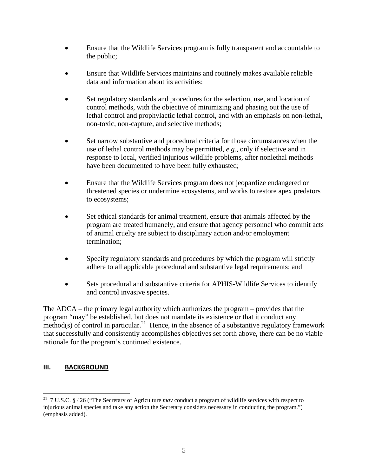- Ensure that the Wildlife Services program is fully transparent and accountable to the public;
- Ensure that Wildlife Services maintains and routinely makes available reliable data and information about its activities;
- Set regulatory standards and procedures for the selection, use, and location of control methods, with the objective of minimizing and phasing out the use of lethal control and prophylactic lethal control, and with an emphasis on non-lethal, non-toxic, non-capture, and selective methods;
- Set narrow substantive and procedural criteria for those circumstances when the use of lethal control methods may be permitted, *e.g.*, only if selective and in response to local, verified injurious wildlife problems, after nonlethal methods have been documented to have been fully exhausted;
- Ensure that the Wildlife Services program does not jeopardize endangered or threatened species or undermine ecosystems, and works to restore apex predators to ecosystems;
- Set ethical standards for animal treatment, ensure that animals affected by the program are treated humanely, and ensure that agency personnel who commit acts of animal cruelty are subject to disciplinary action and/or employment termination;
- Specify regulatory standards and procedures by which the program will strictly adhere to all applicable procedural and substantive legal requirements; and
- Sets procedural and substantive criteria for APHIS-Wildlife Services to identify and control invasive species.

The ADCA – the primary legal authority which authorizes the program – provides that the program "may" be established, but does not mandate its existence or that it conduct any method(s) of control in particular.<sup>21</sup> Hence, in the absence of a substantive regulatory framework that successfully and consistently accomplishes objectives set forth above, there can be no viable rationale for the program's continued existence.

## **III. BACKGROUND**

 $\overline{a}$ 21 7 U.S.C. § 426 ("The Secretary of Agriculture *may* conduct a program of wildlife services with respect to injurious animal species and take any action the Secretary considers necessary in conducting the program.") (emphasis added).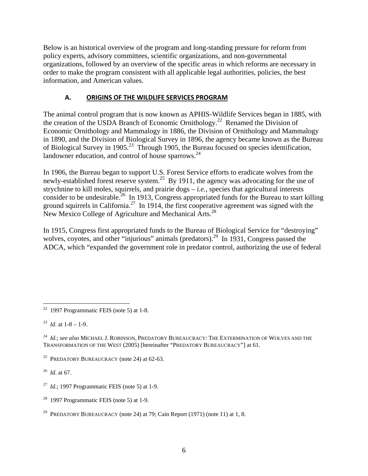Below is an historical overview of the program and long-standing pressure for reform from policy experts, advisory committees, scientific organizations, and non-governmental organizations, followed by an overview of the specific areas in which reforms are necessary in order to make the program consistent with all applicable legal authorities, policies, the best information, and American values.

# **A. ORIGINS OF THE WILDLIFE SERVICES PROGRAM**

The animal control program that is now known as APHIS-Wildlife Services began in 1885, with the creation of the USDA Branch of Economic Ornithology.<sup>22</sup> Renamed the Division of Economic Ornithology and Mammalogy in 1886, the Division of Ornithology and Mammalogy in 1890, and the Division of Biological Survey in 1896, the agency became known as the Bureau of Biological Survey in 1905.<sup>23</sup> Through 1905, the Bureau focused on species identification, landowner education, and control of house sparrows.<sup>24</sup>

In 1906, the Bureau began to support U.S. Forest Service efforts to eradicate wolves from the newly-established forest reserve system.<sup>25</sup> By 1911, the agency was advocating for the use of strychnine to kill moles, squirrels, and prairie dogs – *i.e.*, species that agricultural interests consider to be undesirable.<sup>26</sup> In 1913, Congress appropriated funds for the Bureau to start killing ground squirrels in California.<sup>27</sup> In 1914, the first cooperative agreement was signed with the New Mexico College of Agriculture and Mechanical Arts.<sup>28</sup>

In 1915, Congress first appropriated funds to the Bureau of Biological Service for "destroying" wolves, coyotes, and other "injurious" animals (predators).<sup>29</sup> In 1931, Congress passed the ADCA, which "expanded the government role in predator control, authorizing the use of federal

<sup>23</sup> *Id.* at  $1-8-1-9$ .

26 *Id*. at 67.

 $28$  1997 Programmatic FEIS (note 5) at 1-9.

<sup>1</sup>  $22$  1997 Programmatic FEIS (note 5) at 1-8.

<sup>24</sup> *Id*.; *see also* MICHAEL J. ROBINSON, PREDATORY BUREAUCRACY: THE EXTERMINATION OF WOLVES AND THE TRANSFORMATION OF THE WEST (2005) [hereinafter "PREDATORY BUREAUCRACY"] at 61.

<sup>&</sup>lt;sup>25</sup> PREDATORY BUREAUCRACY (note 24) at  $62-63$ .

<sup>27</sup> *Id*.; 1997 Programmatic FEIS (note 5) at 1-9.

<sup>&</sup>lt;sup>29</sup> PREDATORY BUREAUCRACY (note 24) at 79: Cain Report (1971) (note 11) at 1, 8.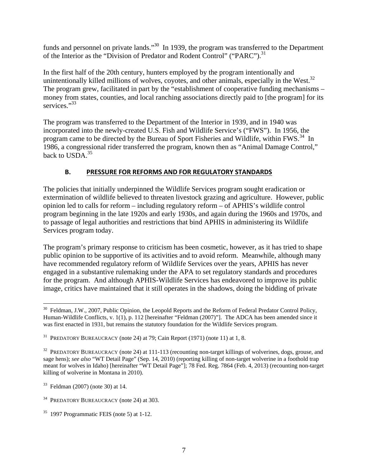funds and personnel on private lands."<sup>30</sup> In 1939, the program was transferred to the Department of the Interior as the "Division of Predator and Rodent Control" ("PARC").<sup>31</sup>

In the first half of the 20th century, hunters employed by the program intentionally and unintentionally killed millions of wolves, coyotes, and other animals, especially in the West. $32$ The program grew, facilitated in part by the "establishment of cooperative funding mechanisms – money from states, counties, and local ranching associations directly paid to [the program] for its services."<sup>33</sup>

The program was transferred to the Department of the Interior in 1939, and in 1940 was incorporated into the newly-created U.S. Fish and Wildlife Service's ("FWS"). In 1956, the program came to be directed by the Bureau of Sport Fisheries and Wildlife, within FWS.<sup>34</sup> In 1986, a congressional rider transferred the program, known then as "Animal Damage Control," back to USDA.<sup>35</sup>

# **B. PRESSURE FOR REFORMS AND FOR REGULATORY STANDARDS**

The policies that initially underpinned the Wildlife Services program sought eradication or extermination of wildlife believed to threaten livestock grazing and agriculture. However, public opinion led to calls for reform – including regulatory reform – of APHIS's wildlife control program beginning in the late 1920s and early 1930s, and again during the 1960s and 1970s, and to passage of legal authorities and restrictions that bind APHIS in administering its Wildlife Services program today.

The program's primary response to criticism has been cosmetic, however, as it has tried to shape public opinion to be supportive of its activities and to avoid reform. Meanwhile, although many have recommended regulatory reform of Wildlife Services over the years, APHIS has never engaged in a substantive rulemaking under the APA to set regulatory standards and procedures for the program. And although APHIS-Wildlife Services has endeavored to improve its public image, critics have maintained that it still operates in the shadows, doing the bidding of private

<sup>1</sup> <sup>30</sup> Feldman, J.W., 2007, Public Opinion, the Leopold Reports and the Reform of Federal Predator Control Policy, Human-Wildlife Conflicts, v. 1(1), p. 112 [hereinafter "Feldman (2007)"]. The ADCA has been amended since it was first enacted in 1931, but remains the statutory foundation for the Wildlife Services program.

<sup>&</sup>lt;sup>31</sup> PREDATORY BUREAUCRACY (note 24) at 79; Cain Report (1971) (note 11) at 1, 8.

<sup>&</sup>lt;sup>32</sup> PREDATORY BUREAUCRACY (note 24) at 111-113 (recounting non-target killings of wolverines, dogs, grouse, and sage hens); *see also* "WT Detail Page" (Sep. 14, 2010) (reporting killing of non-target wolverine in a foothold trap meant for wolves in Idaho) [hereinafter "WT Detail Page"]; 78 Fed. Reg. 7864 (Feb. 4, 2013) (recounting non-target killing of wolverine in Montana in 2010).

<sup>33</sup> Feldman (2007) (note 30) at 14.

<sup>&</sup>lt;sup>34</sup> PREDATORY BUREAUCRACY (note 24) at 303.

 $35$  1997 Programmatic FEIS (note 5) at 1-12.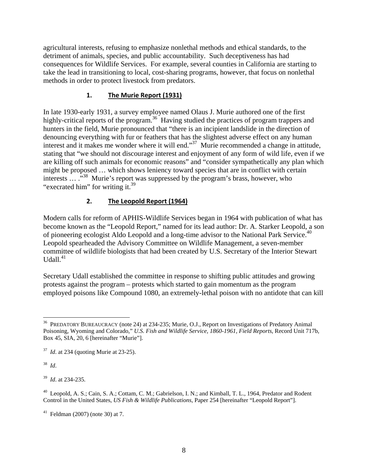agricultural interests, refusing to emphasize nonlethal methods and ethical standards, to the detriment of animals, species, and public accountability. Such deceptiveness has had consequences for Wildlife Services. For example, several counties in California are starting to take the lead in transitioning to local, cost-sharing programs, however, that focus on nonlethal methods in order to protect livestock from predators.

# **1. The Murie Report (1931)**

In late 1930-early 1931, a survey employee named Olaus J. Murie authored one of the first highly-critical reports of the program.<sup>36</sup> Having studied the practices of program trappers and hunters in the field, Murie pronounced that "there is an incipient landslide in the direction of denouncing everything with fur or feathers that has the slightest adverse effect on any human interest and it makes me wonder where it will end."<sup>37</sup> Murie recommended a change in attitude, stating that "we should not discourage interest and enjoyment of any form of wild life, even if we are killing off such animals for economic reasons" and "consider sympathetically any plan which might be proposed … which shows leniency toward species that are in conflict with certain interests ... .<sup>33</sup> Murie's report was suppressed by the program's brass, however, who "execrated him" for writing it.<sup>39</sup>

# **2. The Leopold Report (1964)**

Modern calls for reform of APHIS-Wildlife Services began in 1964 with publication of what has become known as the "Leopold Report," named for its lead author: Dr. A. Starker Leopold, a son of pioneering ecologist Aldo Leopold and a long-time advisor to the National Park Service.<sup>40</sup> Leopold spearheaded the Advisory Committee on Wildlife Management, a seven-member committee of wildlife biologists that had been created by U.S. Secretary of the Interior Stewart Udall. $41$ 

Secretary Udall established the committee in response to shifting public attitudes and growing protests against the program – protests which started to gain momentum as the program employed poisons like Compound 1080, an extremely-lethal poison with no antidote that can kill

38 *Id*.

 $\overline{a}$ 

39 *Id*. at 234-235.

<sup>36</sup> PREDATORY BUREAUCRACY (note 24) at 234-235; Murie, O.J., Report on Investigations of Predatory Animal Poisoning, Wyoming and Colorado," *U.S. Fish and Wildlife Service, 1860-1961, Field Reports*, Record Unit 717b, Box 45, SIA, 20, 6 [hereinafter "Murie"].

<sup>37</sup> *Id*. at 234 (quoting Murie at 23-25).

<sup>&</sup>lt;sup>40</sup> Leopold, A. S.; Cain, S. A.; Cottam, C. M.; Gabrielson, I. N.; and Kimball, T. L., 1964, Predator and Rodent Control in the United States, *US Fish & Wildlife Publications,* Paper 254 [hereinafter "Leopold Report"].

 $41$  Feldman (2007) (note 30) at 7.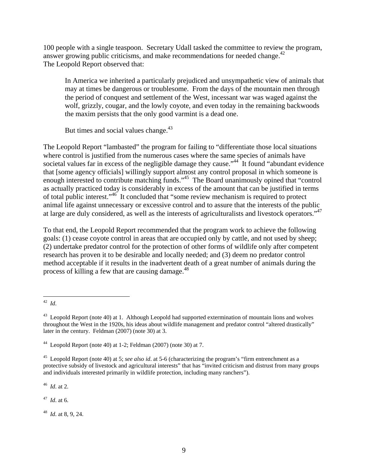100 people with a single teaspoon. Secretary Udall tasked the committee to review the program, answer growing public criticisms, and make recommendations for needed change.<sup>42</sup> The Leopold Report observed that:

In America we inherited a particularly prejudiced and unsympathetic view of animals that may at times be dangerous or troublesome. From the days of the mountain men through the period of conquest and settlement of the West, incessant war was waged against the wolf, grizzly, cougar, and the lowly coyote, and even today in the remaining backwoods the maxim persists that the only good varmint is a dead one.

But times and social values change.<sup>43</sup>

The Leopold Report "lambasted" the program for failing to "differentiate those local situations where control is justified from the numerous cases where the same species of animals have societal values far in excess of the negligible damage they cause."<sup>44</sup> It found "abundant evidence" that [some agency officials] willingly support almost any control proposal in which someone is enough interested to contribute matching funds."<sup>45</sup> The Board unanimously opined that "control" as actually practiced today is considerably in excess of the amount that can be justified in terms of total public interest."46 It concluded that "some review mechanism is required to protect animal life against unnecessary or excessive control and to assure that the interests of the public at large are duly considered, as well as the interests of agriculturalists and livestock operators."47

To that end, the Leopold Report recommended that the program work to achieve the following goals: (1) cease coyote control in areas that are occupied only by cattle, and not used by sheep; (2) undertake predator control for the protection of other forms of wildlife only after competent research has proven it to be desirable and locally needed; and (3) deem no predator control method acceptable if it results in the inadvertent death of a great number of animals during the process of killing a few that are causing damage.<sup>48</sup>

46 *Id*. at 2.

47 *Id*. at 6.

48 *Id*. at 8, 9, 24.

 $\overline{a}$ 42 *Id*.

<sup>&</sup>lt;sup>43</sup> Leopold Report (note 40) at 1. Although Leopold had supported extermination of mountain lions and wolves throughout the West in the 1920s, his ideas about wildlife management and predator control "altered drastically" later in the century. Feldman (2007) (note 30) at 3.

<sup>&</sup>lt;sup>44</sup> Leopold Report (note 40) at 1-2; Feldman (2007) (note 30) at 7.

<sup>45</sup> Leopold Report (note 40) at 5; *see also id*. at 5-6 (characterizing the program's "firm entrenchment as a protective subsidy of livestock and agricultural interests" that has "invited criticism and distrust from many groups and individuals interested primarily in wildlife protection, including many ranchers").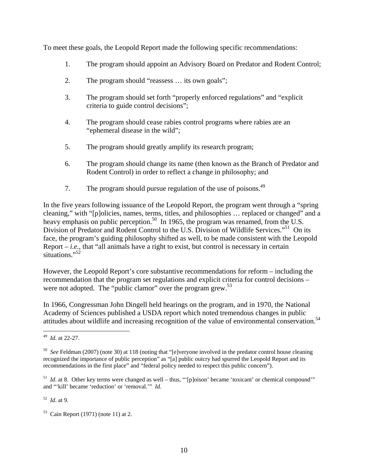To meet these goals, the Leopold Report made the following specific recommendations:

- 1. The program should appoint an Advisory Board on Predator and Rodent Control;
- 2. The program should "reassess … its own goals";
- 3. The program should set forth "properly enforced regulations" and "explicit criteria to guide control decisions";
- 4. The program should cease rabies control programs where rabies are an "ephemeral disease in the wild";
- 5. The program should greatly amplify its research program;
- 6. The program should change its name (then known as the Branch of Predator and Rodent Control) in order to reflect a change in philosophy; and
- 7. The program should pursue regulation of the use of poisons.<sup>49</sup>

In the five years following issuance of the Leopold Report, the program went through a "spring cleaning," with "[p]olicies, names, terms, titles, and philosophies … replaced or changed" and a heavy emphasis on public perception.<sup>50</sup> In 1965, the program was renamed, from the U.S. Division of Predator and Rodent Control to the U.S. Division of Wildlife Services."<sup>51</sup> On its face, the program's guiding philosophy shifted as well, to be made consistent with the Leopold Report  $-i.e.,$  that "all animals have a right to exist, but control is necessary in certain situations." $52$ 

However, the Leopold Report's core substantive recommendations for reform – including the recommendation that the program set regulations and explicit criteria for control decisions – were not adopted. The "public clamor" over the program grew.<sup>53</sup>

In 1966, Congressman John Dingell held hearings on the program, and in 1970, the National Academy of Sciences published a USDA report which noted tremendous changes in public attitudes about wildlife and increasing recognition of the value of environmental conservation.<sup>54</sup>

<sup>1</sup> 49 *Id*. at 22-27.

<sup>50</sup> *See* Feldman (2007) (note 30) at 118 (noting that "[e]veryone involved in the predator control house cleaning recognized the importance of public perception" as "[a] public outcry had spurred the Leopold Report and its recommendations in the first place" and "federal policy needed to respect this public concern").

 $<sup>51</sup>$  *Id.* at 8. Other key terms were changed as well – thus, "'[p]oison' became 'toxicant' or chemical compound'"</sup> and "'kill' became 'reduction' or 'removal.'" *Id*.

<sup>52</sup> *Id*. at 9.

 $53$  Cain Report (1971) (note 11) at 2.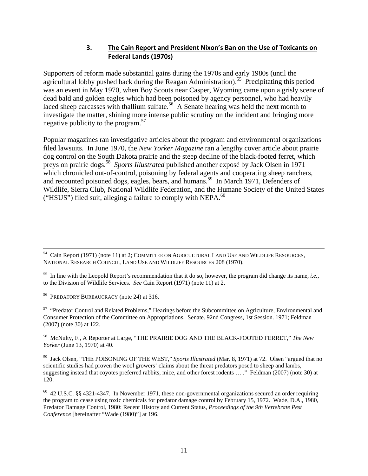# **3. The Cain Report and President Nixon's Ban on the Use of Toxicants on Federal Lands (1970s)**

Supporters of reform made substantial gains during the 1970s and early 1980s (until the agricultural lobby pushed back during the Reagan Administration).<sup>55</sup> Precipitating this period was an event in May 1970, when Boy Scouts near Casper, Wyoming came upon a grisly scene of dead bald and golden eagles which had been poisoned by agency personnel, who had heavily laced sheep carcasses with thallium sulfate.<sup>56</sup> A Senate hearing was held the next month to investigate the matter, shining more intense public scrutiny on the incident and bringing more negative publicity to the program.<sup>57</sup>

Popular magazines ran investigative articles about the program and environmental organizations filed lawsuits. In June 1970, the *New Yorker Magazine* ran a lengthy cover article about prairie dog control on the South Dakota prairie and the steep decline of the black-footed ferret, which preys on prairie dogs.58 *Sports Illustrated* published another exposé by Jack Olsen in 1971 which chronicled out-of-control, poisoning by federal agents and cooperating sheep ranchers, and recounted poisoned dogs, eagles, bears, and humans.<sup>59</sup> In March 1971, Defenders of Wildlife, Sierra Club, National Wildlife Federation, and the Humane Society of the United States ("HSUS") filed suit, alleging a failure to comply with NEPA. $^{60}$ 

56 PREDATORY BUREAUCRACY (note 24) at 316.

<sup>57</sup> "Predator Control and Related Problems," Hearings before the Subcommittee on Agriculture, Environmental and Consumer Protection of the Committee on Appropriations. Senate. 92nd Congress, 1st Session. 1971; Feldman (2007) (note 30) at 122.

58 McNulty, F., A Reporter at Large, "THE PRAIRIE DOG AND THE BLACK-FOOTED FERRET," *The New Yorker* (June 13, 1970) at 40.

59 Jack Olsen, "THE POISONING OF THE WEST," *Sports Illustrated* (Mar. 8, 1971) at 72. Olsen "argued that no scientific studies had proven the wool growers' claims about the threat predators posed to sheep and lambs, suggesting instead that coyotes preferred rabbits, mice, and other forest rodents … ." Feldman (2007) (note 30) at 120.

 $60$  42 U.S.C. §§ 4321-4347. In November 1971, these non-governmental organizations secured an order requiring the program to cease using toxic chemicals for predator damage control by February 15, 1972. Wade, D.A., 1980, Predator Damage Control, 1980: Recent History and Current Status, *Proceedings of the 9th Vertebrate Pest Conference* [hereinafter "Wade (1980)"] at 196.

<sup>&</sup>lt;sup>54</sup> Cain Report (1971) (note 11) at 2; COMMITTEE ON AGRICULTURAL LAND USE AND WILDLIFE RESOURCES, NATIONAL RESEARCH COUNCIL, LAND USE AND WILDLIFE RESOURCES 208 (1970).

<sup>55</sup> In line with the Leopold Report's recommendation that it do so, however, the program did change its name, *i.e.*, to the Division of Wildlife Services. *See* Cain Report (1971) (note 11) at 2.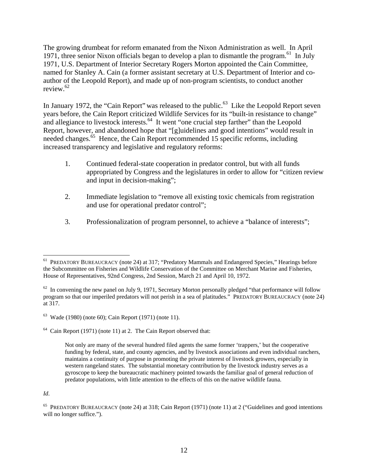The growing drumbeat for reform emanated from the Nixon Administration as well. In April 1971, three senior Nixon officials began to develop a plan to dismantle the program.<sup>61</sup> In July 1971, U.S. Department of Interior Secretary Rogers Morton appointed the Cain Committee, named for Stanley A. Cain (a former assistant secretary at U.S. Department of Interior and coauthor of the Leopold Report), and made up of non-program scientists, to conduct another review.62

In January 1972, the "Cain Report" was released to the public.<sup>63</sup> Like the Leopold Report seven years before, the Cain Report criticized Wildlife Services for its "built-in resistance to change" and allegiance to livestock interests.<sup>64</sup> It went "one crucial step farther" than the Leopold Report, however, and abandoned hope that "[g]uidelines and good intentions" would result in needed changes.<sup>65</sup> Hence, the Cain Report recommended 15 specific reforms, including increased transparency and legislative and regulatory reforms:

- 1. Continued federal-state cooperation in predator control, but with all funds appropriated by Congress and the legislatures in order to allow for "citizen review and input in decision-making";
- 2. Immediate legislation to "remove all existing toxic chemicals from registration and use for operational predator control";
- 3. Professionalization of program personnel, to achieve a "balance of interests";

<u>.</u>

<sup>&</sup>lt;sup>61</sup> PREDATORY BUREAUCRACY (note 24) at 317; "Predatory Mammals and Endangered Species," Hearings before the Subcommittee on Fisheries and Wildlife Conservation of the Committee on Merchant Marine and Fisheries, House of Representatives, 92nd Congress, 2nd Session, March 21 and April 10, 1972.

 $62$  In convening the new panel on July 9, 1971, Secretary Morton personally pledged "that performance will follow program so that our imperiled predators will not perish in a sea of platitudes." PREDATORY BUREAUCRACY (note 24) at 317.

 $63$  Wade (1980) (note 60); Cain Report (1971) (note 11).

 $64$  Cain Report (1971) (note 11) at 2. The Cain Report observed that:

Not only are many of the several hundred filed agents the same former 'trappers,' but the cooperative funding by federal, state, and county agencies, and by livestock associations and even individual ranchers, maintains a continuity of purpose in promoting the private interest of livestock growers, especially in western rangeland states. The substantial monetary contribution by the livestock industry serves as a gyroscope to keep the bureaucratic machinery pointed towards the familiar goal of general reduction of predator populations, with little attention to the effects of this on the native wildlife fauna.

*Id*.

<sup>65</sup> PREDATORY BUREAUCRACY (note 24) at 318; Cain Report (1971) (note 11) at 2 ("Guidelines and good intentions will no longer suffice.").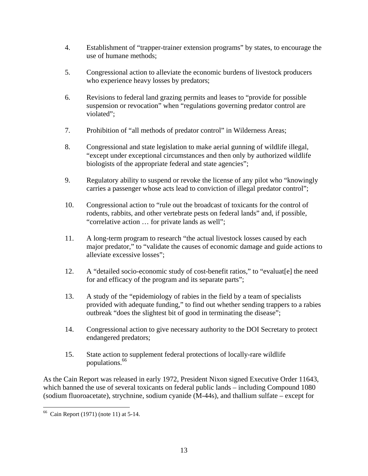- 4. Establishment of "trapper-trainer extension programs" by states, to encourage the use of humane methods;
- 5. Congressional action to alleviate the economic burdens of livestock producers who experience heavy losses by predators;
- 6. Revisions to federal land grazing permits and leases to "provide for possible suspension or revocation" when "regulations governing predator control are violated";
- 7. Prohibition of "all methods of predator control" in Wilderness Areas;
- 8. Congressional and state legislation to make aerial gunning of wildlife illegal, "except under exceptional circumstances and then only by authorized wildlife biologists of the appropriate federal and state agencies";
- 9. Regulatory ability to suspend or revoke the license of any pilot who "knowingly carries a passenger whose acts lead to conviction of illegal predator control";
- 10. Congressional action to "rule out the broadcast of toxicants for the control of rodents, rabbits, and other vertebrate pests on federal lands" and, if possible, "correlative action … for private lands as well";
- 11. A long-term program to research "the actual livestock losses caused by each major predator," to "validate the causes of economic damage and guide actions to alleviate excessive losses";
- 12. A "detailed socio-economic study of cost-benefit ratios," to "evaluat[e] the need for and efficacy of the program and its separate parts";
- 13. A study of the "epidemiology of rabies in the field by a team of specialists provided with adequate funding," to find out whether sending trappers to a rabies outbreak "does the slightest bit of good in terminating the disease";
- 14. Congressional action to give necessary authority to the DOI Secretary to protect endangered predators;
- 15. State action to supplement federal protections of locally-rare wildlife populations.66

As the Cain Report was released in early 1972, President Nixon signed Executive Order 11643, which banned the use of several toxicants on federal public lands – including Compound 1080 (sodium fluoroacetate), strychnine, sodium cyanide (M-44s), and thallium sulfate – except for

<sup>1</sup> 66 Cain Report (1971) (note 11) at 5-14.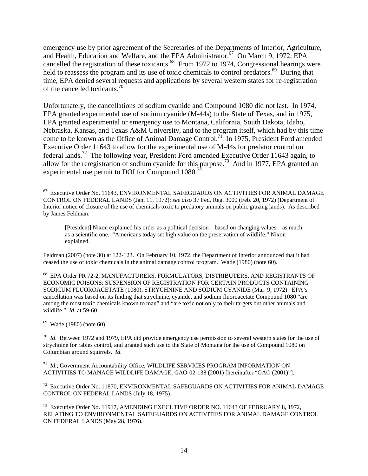emergency use by prior agreement of the Secretaries of the Departments of Interior, Agriculture, and Health, Education and Welfare, and the EPA Administrator.<sup>67</sup> On March 9, 1972, EPA cancelled the registration of these toxicants.<sup>68</sup> From 1972 to 1974, Congressional hearings were held to reassess the program and its use of toxic chemicals to control predators.<sup>69</sup> During that time, EPA denied several requests and applications by several western states for re-registration of the cancelled toxicants.70

Unfortunately, the cancellations of sodium cyanide and Compound 1080 did not last. In 1974, EPA granted experimental use of sodium cyanide (M-44s) to the State of Texas, and in 1975, EPA granted experimental or emergency use to Montana, California, South Dakota, Idaho, Nebraska, Kansas, and Texas A&M University, and to the program itself, which had by this time come to be known as the Office of Animal Damage Control.<sup>71</sup> In 1975, President Ford amended Executive Order 11643 to allow for the experimental use of M-44s for predator control on federal lands.<sup>72</sup> The following year, President Ford amended Executive Order 11643 again, to allow for the reregistration of sodium cyanide for this purpose.<sup>73</sup> And in 1977, EPA granted an experimental use permit to DOI for Compound 1080.<sup>74</sup>

Feldman (2007) (note 30) at 122-123. On February 10, 1972, the Department of Interior announced that it had ceased the use of toxic chemicals in the animal damage control program. Wade (1980) (note 60).

 $69$  Wade (1980) (note 60).

 $\overline{a}$  $67$  Executive Order No. 11643, ENVIRONMENTAL SAFEGUARDS ON ACTIVITIES FOR ANIMAL DAMAGE CONTROL ON FEDERAL LANDS (Jan. 11, 1972); *see also* 37 Fed. Reg. 3000 (Feb. 20, 1972) (Department of Interior notice of closure of the use of chemicals toxic to predatory animals on public grazing lands). As described by James Feldman:

<sup>[</sup>President] Nixon explained his order as a political decision – based on changing values – as much as a scientific one. "Americans today set high value on the preservation of wildlife," Nixon explained.

<sup>68</sup> EPA Order PR 72-2, MANUFACTURERS, FORMULATORS, DISTRIBUTERS, AND REGISTRANTS OF ECONOMIC POISONS: SUSPENSION OF REGISTRATION FOR CERTAIN PRODUCTS CONTAINING SODICUM FLUOROACETATE (1080), STRYCHNINE AND SODIUM CYANIDE (Mar. 9, 1972). EPA's cancellation was based on its finding that strychnine, cyanide, and sodium fluoroacetate Compound 1080 "are among the most toxic chemicals known to man" and "are toxic not only to their targets but other animals and wildlife." *Id*. at 59-60.

<sup>&</sup>lt;sup>70</sup> *Id*. Between 1972 and 1979, EPA did provide emergency use permission to several western states for the use of strychnine for rabies control, and granted such use to the State of Montana for the use of Compound 1080 on Columbian ground squirrels. *Id*.

<sup>71</sup> *Id*.; Government Accountability Office, WILDLIFE SERVICES PROGRAM INFORMATION ON ACTIVITIES TO MANAGE WILDLIFE DAMAGE, GAO-02-138 (2001) [hereinafter "GAO (2001)"].

<sup>&</sup>lt;sup>72</sup> Executive Order No. 11870, ENVIRONMENTAL SAFEGUARDS ON ACTIVITIES FOR ANIMAL DAMAGE CONTROL ON FEDERAL LANDS (July 18, 1975).

<sup>73</sup> Executive Order No. 11917, AMENDING EXECUTIVE ORDER NO. 11643 OF FEBRUARY 8, 1972, RELATING TO ENVIRONMENTAL SAFEGUARDS ON ACTIVITIES FOR ANIMAL DAMAGE CONTROL ON FEDERAL LANDS (May 28, 1976).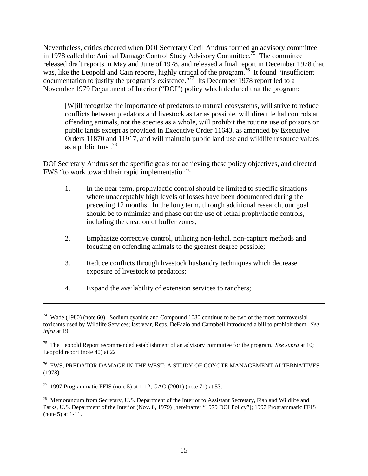Nevertheless, critics cheered when DOI Secretary Cecil Andrus formed an advisory committee in 1978 called the Animal Damage Control Study Advisory Committee.<sup>75</sup> The committee released draft reports in May and June of 1978, and released a final report in December 1978 that was, like the Leopold and Cain reports, highly critical of the program.<sup>76</sup> It found "insufficient" documentation to justify the program's existence."77 Its December 1978 report led to a November 1979 Department of Interior ("DOI") policy which declared that the program:

[W]ill recognize the importance of predators to natural ecosystems, will strive to reduce conflicts between predators and livestock as far as possible, will direct lethal controls at offending animals, not the species as a whole, will prohibit the routine use of poisons on public lands except as provided in Executive Order 11643, as amended by Executive Orders 11870 and 11917, and will maintain public land use and wildlife resource values as a public trust.<sup>78</sup>

DOI Secretary Andrus set the specific goals for achieving these policy objectives, and directed FWS "to work toward their rapid implementation":

- 1. In the near term, prophylactic control should be limited to specific situations where unacceptably high levels of losses have been documented during the preceding 12 months. In the long term, through additional research, our goal should be to minimize and phase out the use of lethal prophylactic controls, including the creation of buffer zones;
- 2. Emphasize corrective control, utilizing non-lethal, non-capture methods and focusing on offending animals to the greatest degree possible;
- 3. Reduce conflicts through livestock husbandry techniques which decrease exposure of livestock to predators;
- 4. Expand the availability of extension services to ranchers;

1

 $74$  Wade (1980) (note 60). Sodium cyanide and Compound 1080 continue to be two of the most controversial toxicants used by Wildlife Services; last year, Reps. DeFazio and Campbell introduced a bill to prohibit them. *See infra* at 19.

<sup>75</sup> The Leopold Report recommended establishment of an advisory committee for the program. *See supra* at 10; Leopold report (note 40) at 22

<sup>76</sup> FWS, PREDATOR DAMAGE IN THE WEST: A STUDY OF COYOTE MANAGEMENT ALTERNATIVES (1978).

 $77$  1997 Programmatic FEIS (note 5) at 1-12; GAO (2001) (note 71) at 53.

<sup>&</sup>lt;sup>78</sup> Memorandum from Secretary, U.S. Department of the Interior to Assistant Secretary, Fish and Wildlife and Parks, U.S. Department of the Interior (Nov. 8, 1979) [hereinafter "1979 DOI Policy"]; 1997 Programmatic FEIS (note 5) at 1-11.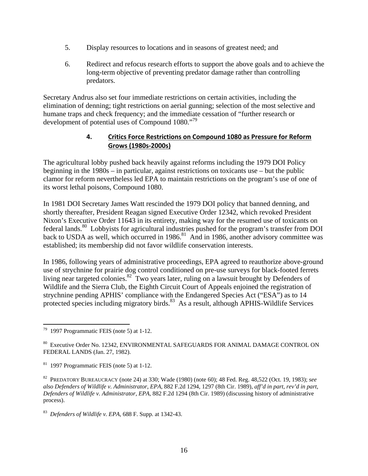- 5. Display resources to locations and in seasons of greatest need; and
- 6. Redirect and refocus research efforts to support the above goals and to achieve the long-term objective of preventing predator damage rather than controlling predators.

Secretary Andrus also set four immediate restrictions on certain activities, including the elimination of denning; tight restrictions on aerial gunning; selection of the most selective and humane traps and check frequency; and the immediate cessation of "further research or development of potential uses of Compound 1080."<sup>79</sup>

## **4. Critics Force Restrictions on Compound 1080 as Pressure for Reform Grows (1980s‐2000s)**

The agricultural lobby pushed back heavily against reforms including the 1979 DOI Policy beginning in the 1980s – in particular, against restrictions on toxicants use – but the public clamor for reform nevertheless led EPA to maintain restrictions on the program's use of one of its worst lethal poisons, Compound 1080.

In 1981 DOI Secretary James Watt rescinded the 1979 DOI policy that banned denning, and shortly thereafter, President Reagan signed Executive Order 12342, which revoked President Nixon's Executive Order 11643 in its entirety, making way for the resumed use of toxicants on federal lands.<sup>80</sup> Lobbyists for agricultural industries pushed for the program's transfer from DOI back to USDA as well, which occurred in 1986.<sup>81</sup> And in 1986, another advisory committee was established; its membership did not favor wildlife conservation interests.

In 1986, following years of administrative proceedings, EPA agreed to reauthorize above-ground use of strychnine for prairie dog control conditioned on pre-use surveys for black-footed ferrets living near targeted colonies.<sup>82</sup> Two years later, ruling on a lawsuit brought by Defenders of Wildlife and the Sierra Club, the Eighth Circuit Court of Appeals enjoined the registration of strychnine pending APHIS' compliance with the Endangered Species Act ("ESA") as to 14 protected species including migratory birds.<sup>83</sup> As a result, although APHIS-Wildlife Services

 $\overline{a}$  $79$  1997 Programmatic FEIS (note 5) at 1-12.

<sup>80</sup> Executive Order No. 12342, ENVIRONMENTAL SAFEGUARDS FOR ANIMAL DAMAGE CONTROL ON FEDERAL LANDS (Jan. 27, 1982).

 $81$  1997 Programmatic FEIS (note 5) at 1-12.

<sup>82</sup> PREDATORY BUREAUCRACY (note 24) at 330; Wade (1980) (note 60); 48 Fed. Reg. 48,522 (Oct. 19, 1983); *see also Defenders of Wildlife v. Administrator, EPA*, 882 F.2d 1294, 1297 (8th Cir. 1989), *aff'd in part, rev'd in part*, *Defenders of Wildlife v. Administrator, EPA*, 882 F.2d 1294 (8th Cir. 1989) (discussing history of administrative process).

<sup>83</sup> *Defenders of Wildlife v. EPA*, 688 F. Supp. at 1342-43.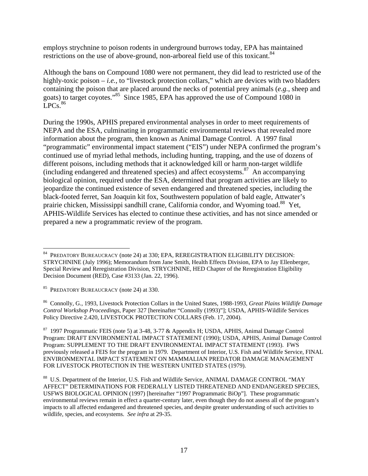employs strychnine to poison rodents in underground burrows today, EPA has maintained restrictions on the use of above-ground, non-arboreal field use of this toxicant.<sup>84</sup>

Although the bans on Compound 1080 were not permanent, they did lead to restricted use of the highly-toxic poison – *i.e.*, to "livestock protection collars," which are devices with two bladders containing the poison that are placed around the necks of potential prey animals (*e.g.*, sheep and goats) to target coyotes."85 Since 1985, EPA has approved the use of Compound 1080 in  $LPCs.<sup>86</sup>$ 

During the 1990s, APHIS prepared environmental analyses in order to meet requirements of NEPA and the ESA, culminating in programmatic environmental reviews that revealed more information about the program, then known as Animal Damage Control. A 1997 final "programmatic" environmental impact statement ("EIS") under NEPA confirmed the program's continued use of myriad lethal methods, including hunting, trapping, and the use of dozens of different poisons, including methods that it acknowledged kill or harm non-target wildlife (including endangered and threatened species) and affect ecosystems. $87$  An accompanying biological opinion, required under the ESA, determined that program activities are likely to jeopardize the continued existence of seven endangered and threatened species, including the black-footed ferret, San Joaquin kit fox, Southwestern population of bald eagle, Attwater's prairie chicken, Mississippi sandhill crane, California condor, and Wyoming toad.<sup>88</sup> Yet, APHIS-Wildlife Services has elected to continue these activities, and has not since amended or prepared a new a programmatic review of the program.

85 PREDATORY BUREAUCRACY (note 24) at 330.

1

86 Connolly, G., 1993, Livestock Protection Collars in the United States, 1988-1993, *Great Plains Wildlife Damage Control Workshop Proceedings*, Paper 327 [hereinafter "Connolly (1993)"]; USDA, APHIS-Wildlife Services Policy Directive 2.420, LIVESTOCK PROTECTION COLLARS (Feb. 17, 2004).

<sup>87</sup> 1997 Programmatic FEIS (note 5) at 3-48, 3-77 & Appendix H; USDA, APHIS, Animal Damage Control Program: DRAFT ENVIRONMENTAL IMPACT STATEMENT (1990); USDA, APHIS, Animal Damage Control Program: SUPPLEMENT TO THE DRAFT ENVIRONMENTAL IMPACT STATEMENT (1993). FWS previously released a FEIS for the program in 1979. Department of Interior, U.S. Fish and Wildlife Service, FINAL ENVIRONMENTAL IMPACT STATEMENT ON MAMMALIAN PREDATOR DAMAGE MANAGEMENT FOR LIVESTOCK PROTECTION IN THE WESTERN UNITED STATES (1979).

<sup>84</sup> PREDATORY BUREAUCRACY (note 24) at 330; EPA, REREGISTRATION ELIGIBILITY DECISION: STRYCHNINE (July 1996); Memorandum from Jane Smith, Health Effects Division, EPA to Jay Ellenberger, Special Review and Reregistration Division, STRYCHNINE, HED Chapter of the Reregistration Eligibility Decision Document (RED), Case #3133 (Jan. 22, 1996).

<sup>88</sup> U.S. Department of the Interior, U.S. Fish and Wildlife Service, ANIMAL DAMAGE CONTROL "MAY AFFECT" DETERMINATIONS FOR FEDERALLY LISTED THREATENED AND ENDANGERED SPECIES, USFWS BIOLOGICAL OPINION (1997) [hereinafter "1997 Programmatic BiOp"]. These programmatic environmental reviews remain in effect a quarter-century later, even though they do not assess all of the program's impacts to all affected endangered and threatened species, and despite greater understanding of such activities to wildlife, species, and ecosystems. *See infra* at 29-35.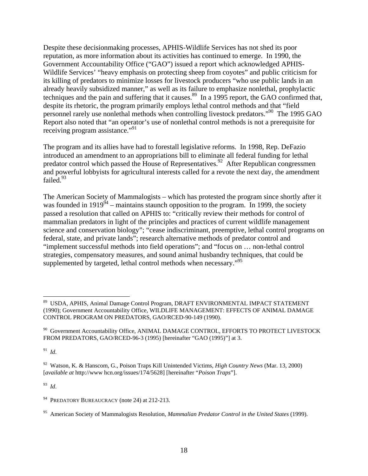Despite these decisionmaking processes, APHIS-Wildlife Services has not shed its poor reputation, as more information about its activities has continued to emerge. In 1990, the Government Accountability Office ("GAO") issued a report which acknowledged APHIS-Wildlife Services' "heavy emphasis on protecting sheep from coyotes" and public criticism for its killing of predators to minimize losses for livestock producers "who use public lands in an already heavily subsidized manner," as well as its failure to emphasize nonlethal, prophylactic techniques and the pain and suffering that it causes.<sup>89</sup> In a 1995 report, the GAO confirmed that, despite its rhetoric, the program primarily employs lethal control methods and that "field personnel rarely use nonlethal methods when controlling livestock predators."90 The 1995 GAO Report also noted that "an operator's use of nonlethal control methods is not a prerequisite for receiving program assistance."91

The program and its allies have had to forestall legislative reforms. In 1998, Rep. DeFazio introduced an amendment to an appropriations bill to eliminate all federal funding for lethal predator control which passed the House of Representatives.<sup>92</sup> After Republican congressmen and powerful lobbyists for agricultural interests called for a revote the next day, the amendment failed.<sup>93</sup>

The American Society of Mammalogists – which has protested the program since shortly after it was founded in  $1919^{94}$  – maintains staunch opposition to the program. In 1999, the society passed a resolution that called on APHIS to: "critically review their methods for control of mammalian predators in light of the principles and practices of current wildlife management science and conservation biology"; "cease indiscriminant, preemptive, lethal control programs on federal, state, and private lands"; research alternative methods of predator control and "implement successful methods into field operations"; and "focus on … non-lethal control strategies, compensatory measures, and sound animal husbandry techniques, that could be supplemented by targeted, lethal control methods when necessary."<sup>95</sup>

91 *Id*.

 $\overline{a}$ 

93 *Id*.

<sup>89</sup> USDA, APHIS, Animal Damage Control Program, DRAFT ENVIRONMENTAL IMPACT STATEMENT (1990); Government Accountability Office, WILDLIFE MANAGEMENT: EFFECTS OF ANIMAL DAMAGE CONTROL PROGRAM ON PREDATORS, GAO/RCED-90-149 (1990).

<sup>&</sup>lt;sup>90</sup> Government Accountability Office, ANIMAL DAMAGE CONTROL, EFFORTS TO PROTECT LIVESTOCK FROM PREDATORS, GAO/RCED-96-3 (1995) [hereinafter "GAO (1995)"] at 3.

<sup>92</sup> Watson, K. & Hanscom, G., Poison Traps Kill Unintended Victims, *High Country News* (Mar. 13, 2000) [*available at* http://www hcn.org/issues/174/5628] [hereinafter "*Poison Traps*"].

<sup>&</sup>lt;sup>94</sup> PREDATORY BUREAUCRACY (note 24) at 212-213.

<sup>95</sup> American Society of Mammalogists Resolution, *Mammalian Predator Control in the United States* (1999).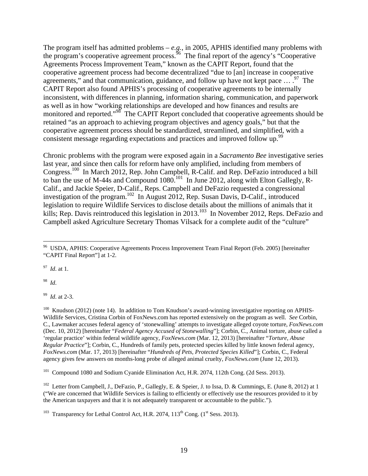The program itself has admitted problems – *e.g.*, in 2005, APHIS identified many problems with the program's cooperative agreement process.<sup>96</sup> The final report of the agency's "Cooperative" Agreements Process Improvement Team," known as the CAPIT Report, found that the cooperative agreement process had become decentralized "due to [an] increase in cooperative agreements," and that communication, guidance, and follow up have not kept pace  $\ldots$ .<sup>97</sup> The CAPIT Report also found APHIS's processing of cooperative agreements to be internally inconsistent, with differences in planning, information sharing, communication, and paperwork as well as in how "working relationships are developed and how finances and results are monitored and reported."<sup>98</sup> The CAPIT Report concluded that cooperative agreements should be retained "as an approach to achieving program objectives and agency goals," but that the cooperative agreement process should be standardized, streamlined, and simplified, with a consistent message regarding expectations and practices and improved follow up.<sup>99</sup>

Chronic problems with the program were exposed again in a *Sacramento Bee* investigative series last year, and since then calls for reform have only amplified, including from members of Congress.<sup>100</sup> In March 2012, Rep. John Campbell, R-Calif. and Rep. DeFazio introduced a bill to ban the use of M-44s and Compound  $1080$ <sup>101</sup> In June 2012, along with Elton Gallegly, R-Calif., and Jackie Speier, D-Calif., Reps. Campbell and DeFazio requested a congressional investigation of the program.<sup>102</sup> In August 2012, Rep. Susan Davis, D-Calif., introduced legislation to require Wildlife Services to disclose details about the millions of animals that it kills; Rep. Davis reintroduced this legislation in 2013.<sup>103</sup> In November 2012, Reps. DeFazio and Campbell asked Agriculture Secretary Thomas Vilsack for a complete audit of the "culture"

97 *Id*. at 1.

98 *Id*.

 $\overline{a}$ 

99 *Id*. at 2-3.

<sup>100</sup> Knudson (2012) (note 14). In addition to Tom Knudson's award-winning investigative reporting on APHIS-Wildlife Services, Cristina Corbin of FoxNews.com has reported extensively on the program as well. *See* Corbin, C., Lawmaker accuses federal agency of 'stonewalling' attempts to investigate alleged coyote torture, *FoxNews.com* (Dec. 10, 2012) [hereinafter "*Federal Agency Accused of Stonewalling*"]; Corbin, C., Animal torture, abuse called a 'regular practice' within federal wildlife agency, *FoxNews.com* (Mar. 12, 2013) [hereinafter "*Torture, Abuse Regular Practice*"]; Corbin, C., Hundreds of family pets, protected species killed by little known federal agency, *FoxNews.com* (Mar. 17, 2013) [hereinafter "*Hundreds of Pets, Protected Species Killed*"]; Corbin, C., Federal agency gives few answers on months-long probe of alleged animal cruelty, *FoxNews.com* (June 12, 2013).

<sup>101</sup> Compound 1080 and Sodium Cyanide Elimination Act, H.R. 2074, 112th Cong. (2d Sess. 2013).

<sup>102</sup> Letter from Campbell, J., DeFazio, P., Gallegly, E. & Speier, J. to Issa, D. & Cummings, E. (June 8, 2012) at 1 ("We are concerned that Wildlife Services is failing to efficiently or effectively use the resources provided to it by the American taxpayers and that it is not adequately transparent or accountable to the public.").

<sup>103</sup> Transparency for Lethal Control Act, H.R. 2074,  $113<sup>th</sup>$  Cong. ( $1<sup>st</sup>$  Sess. 2013).

<sup>&</sup>lt;sup>96</sup> USDA, APHIS: Cooperative Agreements Process Improvement Team Final Report (Feb. 2005) [hereinafter "CAPIT Final Report"] at 1-2.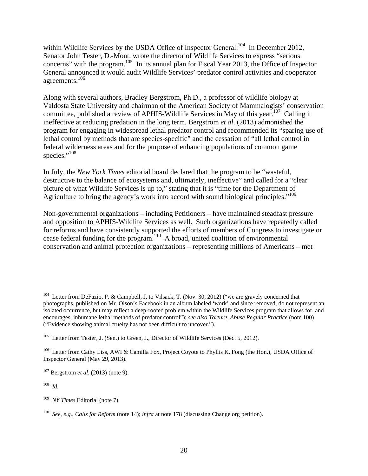within Wildlife Services by the USDA Office of Inspector General.<sup>104</sup> In December 2012, Senator John Tester, D.-Mont. wrote the director of Wildlife Services to express "serious concerns" with the program.<sup>105</sup> In its annual plan for Fiscal Year 2013, the Office of Inspector General announced it would audit Wildlife Services' predator control activities and cooperator agreements.106

Along with several authors, Bradley Bergstrom, Ph.D., a professor of wildlife biology at Valdosta State University and chairman of the American Society of Mammalogists' conservation committee, published a review of APHIS-Wildlife Services in May of this year.<sup>107</sup> Calling it ineffective at reducing predation in the long term, Bergstrom *et al*. (2013) admonished the program for engaging in widespread lethal predator control and recommended its "sparing use of lethal control by methods that are species-specific" and the cessation of "all lethal control in federal wilderness areas and for the purpose of enhancing populations of common game species."<sup>108</sup>

In July, the *New York Times* editorial board declared that the program to be "wasteful, destructive to the balance of ecosystems and, ultimately, ineffective" and called for a "clear picture of what Wildlife Services is up to," stating that it is "time for the Department of Agriculture to bring the agency's work into accord with sound biological principles."<sup>109</sup>

Non-governmental organizations – including Petitioners – have maintained steadfast pressure and opposition to APHIS-Wildlife Services as well. Such organizations have repeatedly called for reforms and have consistently supported the efforts of members of Congress to investigate or cease federal funding for the program.<sup>110</sup> A broad, united coalition of environmental conservation and animal protection organizations – representing millions of Americans – met

108 *Id*.

 $\overline{a}$ 

<sup>&</sup>lt;sup>104</sup> Letter from DeFazio, P. & Campbell, J. to Vilsack, T. (Nov. 30, 2012) ("we are gravely concerned that photographs, published on Mr. Olson's Facebook in an album labeled 'work' and since removed, do not represent an isolated occurrence, but may reflect a deep-rooted problem within the Wildlife Services program that allows for, and encourages, inhumane lethal methods of predator control"); *see also Torture, Abuse Regular Practice* (note 100) ("Evidence showing animal cruelty has not been difficult to uncover.").

<sup>&</sup>lt;sup>105</sup> Letter from Tester, J. (Sen.) to Green, J., Director of Wildlife Services (Dec. 5, 2012).

<sup>106</sup> Letter from Cathy Liss, AWI & Camilla Fox, Project Coyote to Phyllis K. Fong (the Hon.), USDA Office of Inspector General (May 29, 2013).

<sup>107</sup> Bergstrom *et al*. (2013) (note 9).

<sup>109</sup> *NY Times* Editorial (note 7).

<sup>110</sup> *See*, *e.g.*, *Calls for Reform* (note 14); *infra* at note 178 (discussing Change.org petition).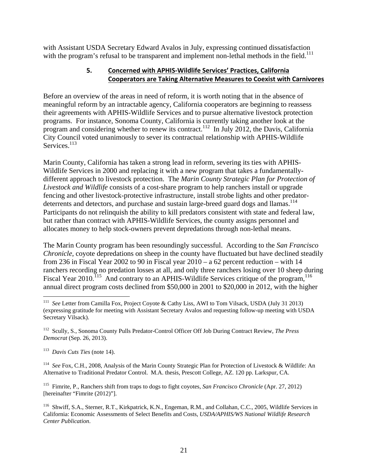with Assistant USDA Secretary Edward Avalos in July, expressing continued dissatisfaction with the program's refusal to be transparent and implement non-lethal methods in the field.<sup>111</sup>

# **5. Concerned with APHIS‐Wildlife Services' Practices, California Cooperators are Taking Alternative Measures to Coexist with Carnivores**

Before an overview of the areas in need of reform, it is worth noting that in the absence of meaningful reform by an intractable agency, California cooperators are beginning to reassess their agreements with APHIS-Wildlife Services and to pursue alternative livestock protection programs. For instance, Sonoma County, California is currently taking another look at the program and considering whether to renew its contract.<sup>112</sup> In July 2012, the Davis, California City Council voted unanimously to sever its contractual relationship with APHIS-Wildlife Services.<sup>113</sup>

Marin County, California has taken a strong lead in reform, severing its ties with APHIS-Wildlife Services in 2000 and replacing it with a new program that takes a fundamentallydifferent approach to livestock protection. The *Marin County Strategic Plan for Protection of Livestock and Wildlife* consists of a cost-share program to help ranchers install or upgrade fencing and other livestock-protective infrastructure, install strobe lights and other predatordeterrents and detectors, and purchase and sustain large-breed guard dogs and llamas.<sup>114</sup> Participants do not relinquish the ability to kill predators consistent with state and federal law, but rather than contract with APHIS-Wildlife Services, the county assigns personnel and allocates money to help stock-owners prevent depredations through non-lethal means.

The Marin County program has been resoundingly successful. According to the *San Francisco Chronicle*, coyote depredations on sheep in the county have fluctuated but have declined steadily from 236 in Fiscal Year 2002 to 90 in Fiscal year  $2010 - a_0$  62 percent reduction – with 14 ranchers recording no predation losses at all, and only three ranchers losing over 10 sheep during Fiscal Year 2010.<sup>115</sup> And contrary to an APHIS-Wildlife Services critique of the program,<sup>116</sup> annual direct program costs declined from \$50,000 in 2001 to \$20,000 in 2012, with the higher

113 *Davis Cuts Ties* (note 14).

 $\overline{a}$ 

114 *See* Fox, C.H., 2008, Analysis of the Marin County Strategic Plan for Protection of Livestock & Wildlife: An Alternative to Traditional Predator Control. M.A. thesis, Prescott College, AZ. 120 pp. Larkspur, CA.

115 Fimrite, P., Ranchers shift from traps to dogs to fight coyotes, *San Francisco Chronicle* (Apr. 27, 2012) [hereinafter "Fimrite (2012)"].

<sup>116</sup> Shwiff, S.A., Sterner, R.T., Kirkpatrick, K.N., Engeman, R.M., and Collahan, C.C., 2005, Wildlife Services in California: Economic Assessments of Select Benefits and Costs, *USDA/APHIS/WS National Wildlife Research Center Publication*.

<sup>111</sup> *See* Letter from Camilla Fox, Project Coyote & Cathy Liss, AWI to Tom Vilsack, USDA (July 31 2013) (expressing gratitude for meeting with Assistant Secretary Avalos and requesting follow-up meeting with USDA Secretary Vilsack).

<sup>112</sup> Scully, S., Sonoma County Pulls Predator-Control Officer Off Job During Contract Review, *The Press Democrat* (Sep. 26, 2013).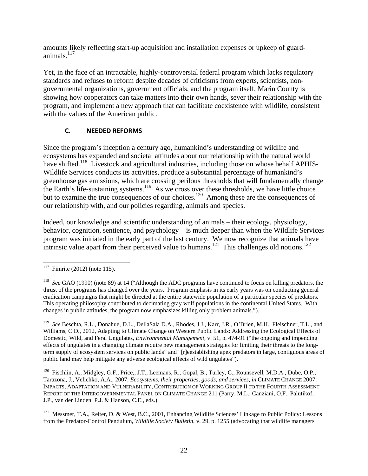amounts likely reflecting start-up acquisition and installation expenses or upkeep of guardanimals. $117$ 

Yet, in the face of an intractable, highly-controversial federal program which lacks regulatory standards and refuses to reform despite decades of criticisms from experts, scientists, nongovernmental organizations, government officials, and the program itself, Marin County is showing how cooperators can take matters into their own hands, sever their relationship with the program, and implement a new approach that can facilitate coexistence with wildlife, consistent with the values of the American public.

# **C. NEEDED REFORMS**

Since the program's inception a century ago, humankind's understanding of wildlife and ecosystems has expanded and societal attitudes about our relationship with the natural world have shifted.<sup>118</sup> Livestock and agricultural industries, including those on whose behalf APHIS-Wildlife Services conducts its activities, produce a substantial percentage of humankind's greenhouse gas emissions, which are crossing perilous thresholds that will fundamentally change the Earth's life-sustaining systems.<sup>119</sup> As we cross over these thresholds, we have little choice but to examine the true consequences of our choices.<sup>120</sup> Among these are the consequences of our relationship with, and our policies regarding, animals and species.

Indeed, our knowledge and scientific understanding of animals – their ecology, physiology, behavior, cognition, sentience, and psychology – is much deeper than when the Wildlife Services program was initiated in the early part of the last century. We now recognize that animals have intrinsic value apart from their perceived value to humans.<sup>121</sup> This challenges old notions.<sup>122</sup>

 $117\,$ Fimrite  $(2012)$  (note 115).

<sup>118</sup> *See* GAO (1990) (note 89) at 14 ("Although the ADC programs have continued to focus on killing predators, the thrust of the programs has changed over the years. Program emphasis in its early years was on conducting general eradication campaigns that might be directed at the entire statewide population of a particular species of predators. This operating philosophy contributed to decimating gray wolf populations in the continental United States. With changes in public attitudes, the program now emphasizes killing only problem animals.").

<sup>119</sup> *See* Beschta, R.L., Donahue, D.L., DellaSala D.A., Rhodes, J.J., Karr, J.R., O'Brien, M.H., Fleischner, T.L., and Williams, C.D., 2012, Adapting to Climate Change on Western Public Lands: Addressing the Ecological Effects of Domestic, Wild, and Feral Ungulates, *Environmental Management*, v. 51, p. 474-91 ("the ongoing and impending effects of ungulates in a changing climate require new management strategies for limiting their threats to the longterm supply of ecosystem services on public lands" and "[r]eestablishing apex predators in large, contiguous areas of public land may help mitigate any adverse ecological effects of wild ungulates").

<sup>&</sup>lt;sup>120</sup> Fischlin, A., Midgley, G.F., Price,, J.T., Leemans, R., Gopal, B., Turley, C., Rounsevell, M.D.A., Dube, O.P., Tarazona, J., Velichko, A.A., 2007, *Ecosystems, their properties, goods, and services*, *in* CLIMATE CHANGE 2007: IMPACTS, ADAPTATION AND VULNERABILITY, CONTRIBUTION OF WORKING GROUP II TO THE FOURTH ASSESSMENT REPORT OF THE INTERGOVERNMENTAL PANEL ON CLIMATE CHANGE 211 (Parry, M.L., Canziani, O.F., Palutikof, J.P., van der Linden, P.J. & Hanson, C.E., eds.).

<sup>&</sup>lt;sup>121</sup> Messmer, T.A., Reiter, D. & West, B.C., 2001, Enhancing Wildlife Sciences' Linkage to Public Policy: Lessons from the Predator-Control Pendulum, *Wildlife Society Bulletin*, v. 29, p. 1255 (advocating that wildlife managers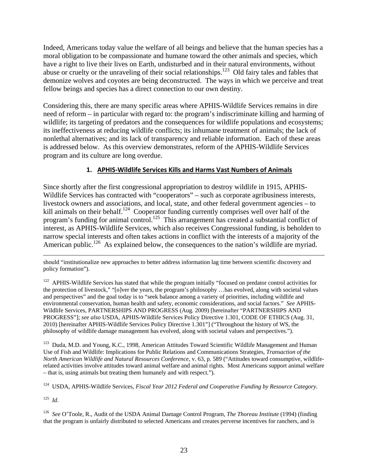Indeed, Americans today value the welfare of all beings and believe that the human species has a moral obligation to be compassionate and humane toward the other animals and species, which have a right to live their lives on Earth, undisturbed and in their natural environments, without abuse or cruelty or the unraveling of their social relationships.<sup>123</sup> Old fairy tales and fables that demonize wolves and coyotes are being deconstructed. The ways in which we perceive and treat fellow beings and species has a direct connection to our own destiny.

Considering this, there are many specific areas where APHIS-Wildlife Services remains in dire need of reform – in particular with regard to: the program's indiscriminate killing and harming of wildlife; its targeting of predators and the consequences for wildlife populations and ecosystems; its ineffectiveness at reducing wildlife conflicts; its inhumane treatment of animals; the lack of nonlethal alternatives; and its lack of transparency and reliable information. Each of these areas is addressed below. As this overview demonstrates, reform of the APHIS-Wildlife Services program and its culture are long overdue.

# **1. APHIS‐Wildlife Services Kills and Harms Vast Numbers of Animals**

Since shortly after the first congressional appropriation to destroy wildlife in 1915, APHIS-Wildlife Services has contracted with "cooperators" – such as corporate agribusiness interests, livestock owners and associations, and local, state, and other federal government agencies – to kill animals on their behalf.<sup>124</sup> Cooperator funding currently comprises well over half of the program's funding for animal control.<sup>125</sup> This arrangement has created a substantial conflict of interest, as APHIS-Wildlife Services, which also receives Congressional funding, is beholden to narrow special interests and often takes actions in conflict with the interests of a majority of the American public.<sup>126</sup> As explained below, the consequences to the nation's wildlife are myriad.

<sup>123</sup> Duda, M.D. and Young, K.C., 1998, American Attitudes Toward Scientific Wildlife Management and Human Use of Fish and Wildlife: Implications for Public Relations and Communications Strategies, *Transaction of the North American Wildlife and Natural Resources Conference*, v. 63, p. 589 ("Attitudes toward consumptive, wildliferelated activities involve attitudes toward animal welfare and animal rights. Most Americans support animal welfare – that is, using animals but treating them humanely and with respect.").

124 USDA, APHIS-Wildlife Services, *Fiscal Year 2012 Federal and Cooperative Funding by Resource Category*.

125 *Id*.

126 *See* O'Toole, R., Audit of the USDA Animal Damage Control Program, *The Thoreau Institute* (1994) (finding that the program is unfairly distributed to selected Americans and creates perverse incentives for ranchers, and is

should "institutionalize new approaches to better address information lag time between scientific discovery and policy formation").

 $122$  APHIS-Wildlife Services has stated that while the program initially "focused on predator control activities for the protection of livestock," "[o]ver the years, the program's philosophy …has evolved, along with societal values and perspectives" and the goal today is to "seek balance among a variety of priorities, including wildlife and environmental conservation, human health and safety, economic considerations, and social factors." *See* APHIS-Wildlife Services, PARTNERSHIPS AND PROGRESS (Aug. 2009) [hereinafter "PARTNERSHIPS AND PROGRESS"]; *see also* USDA, APHIS-Wildlife Services Policy Directive 1.301, CODE OF ETHICS (Aug. 31, 2010) [hereinafter APHIS-Wildlife Services Policy Directive 1.301"] ("Throughout the history of WS, the philosophy of wildlife damage management has evolved, along with societal values and perspectives.").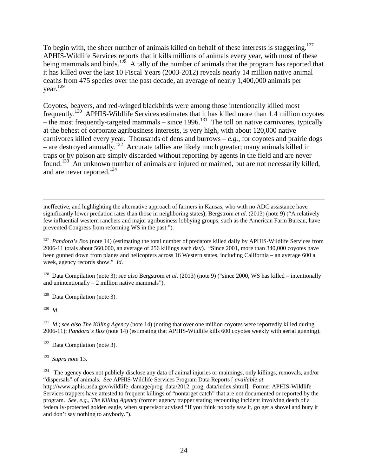To begin with, the sheer number of animals killed on behalf of these interests is staggering.<sup>127</sup> APHIS-Wildlife Services reports that it kills millions of animals every year, with most of these being mammals and birds.<sup>128</sup> A tally of the number of animals that the program has reported that it has killed over the last 10 Fiscal Years (2003-2012) reveals nearly 14 million native animal deaths from 475 species over the past decade, an average of nearly 1,400,000 animals per year. $^{129}$ 

Coyotes, beavers, and red-winged blackbirds were among those intentionally killed most frequently.130 APHIS-Wildlife Services estimates that it has killed more than 1.4 million coyotes – the most frequently-targeted mammals – since 1996.<sup>131</sup> The toll on native carnivores, typically at the behest of corporate agribusiness interests, is very high, with about 120,000 native carnivores killed every year. Thousands of dens and burrows  $-e.g.,$  for coyotes and prairie dogs – are destroyed annually.132 Accurate tallies are likely much greater; many animals killed in traps or by poison are simply discarded without reporting by agents in the field and are never found.133 An unknown number of animals are injured or maimed, but are not necessarily killed, and are never reported.<sup>134</sup>

 ineffective, and highlighting the alternative approach of farmers in Kansas, who with no ADC assistance have significantly lower predation rates than those in neighboring states); Bergstrom *et al*. (2013) (note 9) ("A relatively few influential western ranchers and major agribusiness lobbying groups, such as the American Farm Bureau, have prevented Congress from reforming WS in the past.").

<sup>127</sup> *Pandora's Box* (note 14) (estimating the total number of predators killed daily by APHIS-Wildlife Services from 2006-11 totals about 560,000, an average of 256 killings each day). "Since 2001, more than 340,000 coyotes have been gunned down from planes and helicopters across 16 Western states, including California – an average 600 a week, agency records show." *Id*.

128 Data Compilation (note 3); *see also* Bergstrom *et al*. (2013) (note 9) ("since 2000, WS has killed – intentionally and unintentionally  $-2$  million native mammals").

 $129$  Data Compilation (note 3).

130 *Id*.

<sup>131</sup> *Id.*; *see also The Killing Agency* (note 14) (noting that over one million coyotes were reportedly killed during 2006-11); *Pandora's Box* (note 14) (estimating that APHIS-Wildlife kills 600 coyotes weekly with aerial gunning).

132 Data Compilation (note 3).

133 *Supra note* 13.

 $134$  The agency does not publicly disclose any data of animal injuries or maimings, only killings, removals, and/or "dispersals" of animals. *See* APHIS-Wildlife Services Program Data Reports [ *available at* http://www.aphis.usda.gov/wildlife\_damage/prog\_data/2012\_prog\_data/index.shtml]. Former APHIS-Wildlife Services trappers have attested to frequent killings of "nontarget catch" that are not documented or reported by the program. *See, e.g., The Killing Agency* (former agency trapper stating recounting incident involving death of a federally-protected golden eagle, when supervisor advised "If you think nobody saw it, go get a shovel and bury it and don't say nothing to anybody.").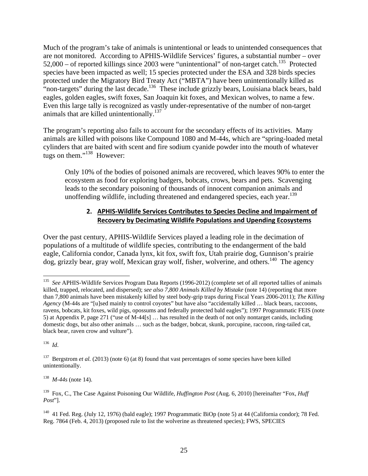Much of the program's take of animals is unintentional or leads to unintended consequences that are not monitored. According to APHIS-Wildlife Services' figures, a substantial number – over  $52,000$  – of reported killings since 2003 were "unintentional" of non-target catch.<sup>135</sup> Protected species have been impacted as well; 15 species protected under the ESA and 328 birds species protected under the Migratory Bird Treaty Act ("MBTA") have been unintentionally killed as "non-targets" during the last decade.<sup>136</sup> These include grizzly bears, Louisiana black bears, bald eagles, golden eagles, swift foxes, San Joaquin kit foxes, and Mexican wolves, to name a few. Even this large tally is recognized as vastly under-representative of the number of non-target animals that are killed unintentionally.<sup>137</sup>

The program's reporting also fails to account for the secondary effects of its activities. Many animals are killed with poisons like Compound 1080 and M-44s, which are "spring-loaded metal cylinders that are baited with scent and fire sodium cyanide powder into the mouth of whatever tugs on them."<sup>138</sup> However:

Only 10% of the bodies of poisoned animals are recovered, which leaves 90% to enter the ecosystem as food for exploring badgers, bobcats, crows, bears and pets. Scavenging leads to the secondary poisoning of thousands of innocent companion animals and unoffending wildlife, including threatened and endangered species, each year.<sup>139</sup>

# **2. APHIS‐Wildlife Services Contributes to Species Decline and Impairment of Recovery by Decimating Wildlife Populations and Upending Ecosystems**

Over the past century, APHIS-Wildlife Services played a leading role in the decimation of populations of a multitude of wildlife species, contributing to the endangerment of the bald eagle, California condor, Canada lynx, kit fox, swift fox, Utah prairie dog, Gunnison's prairie dog, grizzly bear, gray wolf, Mexican gray wolf, fisher, wolverine, and others.<sup>140</sup> The agency

136 *Id*.

138 *M-44s* (note 14).

 $135\,$ 135 *See* APHIS-Wildlife Services Program Data Reports (1996-2012) (complete set of all reported tallies of animals killed, trapped, relocated, and dispersed); *see also 7,800 Animals Killed by Mistake* (note 14) (reporting that more than 7,800 animals have been mistakenly killed by steel body-grip traps during Fiscal Years 2006-2011); *The Killing Agency* (M-44s are "[u]sed mainly to control coyotes" but have also "accidentally killed … black bears, raccoons, ravens, bobcats, kit foxes, wild pigs, opossums and federally protected bald eagles"); 1997 Programmatic FEIS (note 5) at Appendix P, page 271 ("use of M-44[s] … has resulted in the death of not only nontarget canids, including domestic dogs, but also other animals … such as the badger, bobcat, skunk, porcupine, raccoon, ring-tailed cat, black bear, raven crow and vulture").

<sup>&</sup>lt;sup>137</sup> Bergstrom *et al.* (2013) (note 6) (at 8) found that vast percentages of some species have been killed unintentionally.

<sup>139</sup> Fox, C., The Case Against Poisoning Our Wildlife, *Huffington Post* (Aug. 6, 2010) [hereinafter "Fox, *Huff Post*"].

<sup>&</sup>lt;sup>140</sup> 41 Fed. Reg. (July 12, 1976) (bald eagle); 1997 Programmatic BiOp (note 5) at 44 (California condor); 78 Fed. Reg. 7864 (Feb. 4, 2013) (proposed rule to list the wolverine as threatened species); FWS, SPECIES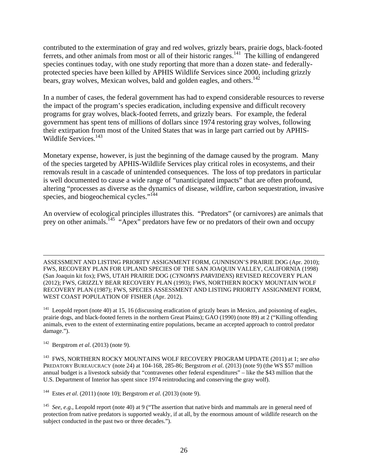contributed to the extermination of gray and red wolves, grizzly bears, prairie dogs, black-footed ferrets, and other animals from most or all of their historic ranges.<sup>141</sup> The killing of endangered species continues today, with one study reporting that more than a dozen state- and federallyprotected species have been killed by APHIS Wildlife Services since 2000, including grizzly bears, gray wolves, Mexican wolves, bald and golden eagles, and others.<sup>142</sup>

In a number of cases, the federal government has had to expend considerable resources to reverse the impact of the program's species eradication, including expensive and difficult recovery programs for gray wolves, black-footed ferrets, and grizzly bears. For example, the federal government has spent tens of millions of dollars since 1974 restoring gray wolves, following their extirpation from most of the United States that was in large part carried out by APHIS-Wildlife Services.<sup>143</sup>

Monetary expense, however, is just the beginning of the damage caused by the program. Many of the species targeted by APHIS-Wildlife Services play critical roles in ecosystems, and their removals result in a cascade of unintended consequences. The loss of top predators in particular is well documented to cause a wide range of "unanticipated impacts" that are often profound, altering "processes as diverse as the dynamics of disease, wildfire, carbon sequestration, invasive species, and biogeochemical cycles."<sup>144</sup>

An overview of ecological principles illustrates this. "Predators" (or carnivores) are animals that prey on other animals.<sup>145</sup> "Apex" predators have few or no predators of their own and occupy

 ASSESSMENT AND LISTING PRIORITY ASSIGNMENT FORM, GUNNISON'S PRAIRIE DOG (Apr. 2010); FWS, RECOVERY PLAN FOR UPLAND SPECIES OF THE SAN JOAQUIN VALLEY, CALIFORNIA (1998) (San Joaquin kit fox); FWS, UTAH PRAIRIE DOG (*CYNOMYS PARVIDENS*) REVISED RECOVERY PLAN (2012); FWS, GRIZZLY BEAR RECOVERY PLAN (1993); FWS, NORTHERN ROCKY MOUNTAIN WOLF RECOVERY PLAN (1987); FWS, SPECIES ASSESSMENT AND LISTING PRIORITY ASSIGNMENT FORM, WEST COAST POPULATION OF FISHER (Apr. 2012).

 $141$  Leopold report (note 40) at 15, 16 (discussing eradication of grizzly bears in Mexico, and poisoning of eagles, prairie dogs, and black-footed ferrets in the northern Great Plains); GAO (1990) (note 89) at 2 ("Killing offending animals, even to the extent of exterminating entire populations, became an accepted approach to control predator damage.").

142 Bergstrom *et al*. (2013) (note 9).

143 FWS, NORTHERN ROCKY MOUNTAINS WOLF RECOVERY PROGRAM UPDATE (2011) at 1; *see also*  PREDATORY BUREAUCRACY (note 24) at 104-168, 285-86; Bergstrom *et al*. (2013) (note 9) (the WS \$57 million annual budget is a livestock subsidy that "contravenes other federal expenditures" – like the \$43 million that the U.S. Department of Interior has spent since 1974 reintroducing and conserving the gray wolf).

144 Estes *et al*. (2011) (note 10); Bergstrom *et al*. (2013) (note 9).

145 *See*, *e.g.*, Leopold report (note 40) at 9 ("The assertion that native birds and mammals are in general need of protection from native predators is supported weakly, if at all, by the enormous amount of wildlife research on the subject conducted in the past two or three decades.").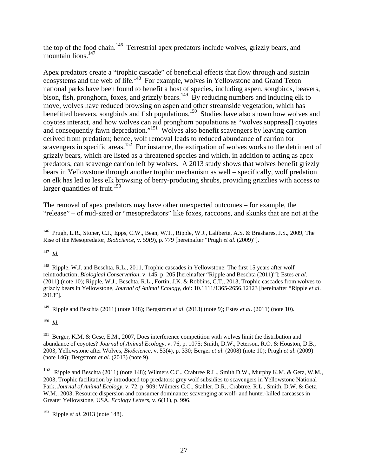the top of the food chain.<sup>146</sup> Terrestrial apex predators include wolves, grizzly bears, and mountain lions. $147$ 

Apex predators create a "trophic cascade" of beneficial effects that flow through and sustain ecosystems and the web of life.<sup>148</sup> For example, wolves in Yellowstone and Grand Teton national parks have been found to benefit a host of species, including aspen, songbirds, beavers, bison, fish, pronghorn, foxes, and grizzly bears.<sup>149</sup> By reducing numbers and inducing elk to move, wolves have reduced browsing on aspen and other streamside vegetation, which has benefitted beavers, songbirds and fish populations.<sup>150</sup> Studies have also shown how wolves and coyotes interact, and how wolves can aid pronghorn populations as "wolves suppress[] coyotes and consequently fawn depredation."<sup>151</sup> Wolves also benefit scavengers by leaving carrion derived from predation; hence, wolf removal leads to reduced abundance of carrion for scavengers in specific areas.<sup>152</sup> For instance, the extirpation of wolves works to the detriment of grizzly bears, which are listed as a threatened species and which, in addition to acting as apex predators, can scavenge carrion left by wolves. A 2013 study shows that wolves benefit grizzly bears in Yellowstone through another trophic mechanism as well – specifically, wolf predation on elk has led to less elk browsing of berry-producing shrubs, providing grizzlies with access to larger quantities of fruit. $153$ 

The removal of apex predators may have other unexpected outcomes – for example, the "release" – of mid-sized or "mesopredators" like foxes, raccoons, and skunks that are not at the

147 *Id.* 

149 Ripple and Beschta (2011) (note 148); Bergstrom *et al*. (2013) (note 9); Estes *et al*. (2011) (note 10).

 $^{150}\,$   $Id.$ 

<sup>151</sup> Berger, K.M. & Gese, E.M., 2007, Does interference competition with wolves limit the distribution and abundance of coyotes? *Journal of Animal Ecology*, v. 76, p. 1075; Smith, D.W., Peterson, R.O. & Houston, D.B., 2003, Yellowstone after Wolves, *BioScience*, v. 53(4), p. 330; Berger *et al*. (2008) (note 10); Prugh *et al*. (2009) (note 146); Bergstrom *et al*. (2013) (note 9).

 $\overline{a}$ <sup>146</sup> Prugh, L.R., Stoner, C.J., Epps, C.W., Bean, W.T., Ripple, W.J., Laliberte, A.S. & Brashares, J.S., 2009, The Rise of the Mesopredator, *BioScience*, v. 59(9), p. 779 [hereinafter "Prugh *et al*. (2009)"].

<sup>&</sup>lt;sup>148</sup> Ripple, W.J. and Beschta, R.L., 2011, Trophic cascades in Yellowstone: The first 15 years after wolf reintroduction, *Biological Conservation*, v. 145, p. 205 [hereinafter "Ripple and Beschta (2011)"]; Estes *et al*. (2011) (note 10); Ripple, W.J., Beschta, R.L,, Fortin, J.K. & Robbins, C.T., 2013, Trophic cascades from wolves to grizzly bears in Yellowstone*, Journal of Animal Ecology*, doi: 10.1111/1365-2656.12123 [hereinafter "Ripple *et al*. 2013"].

<sup>152</sup> Ripple and Beschta (2011) (note 148); Wilmers C.C., Crabtree R.L., Smith D.W., Murphy K.M. & Getz, W.M., 2003, Trophic facilitation by introduced top predators: grey wolf subsidies to scavengers in Yellowstone National Park, *Journal of Animal Ecology*, v. 72, p. 909*;* Wilmers C.C., Stahler, D.R., Crabtree, R.L., Smith, D.W. & Getz, W.M., 2003, Resource dispersion and consumer dominance: scavenging at wolf- and hunter-killed carcasses in Greater Yellowstone, USA, *Ecology Letters*, v. 6(11), p. 996.

<sup>153</sup> Ripple *et al*. 2013 (note 148).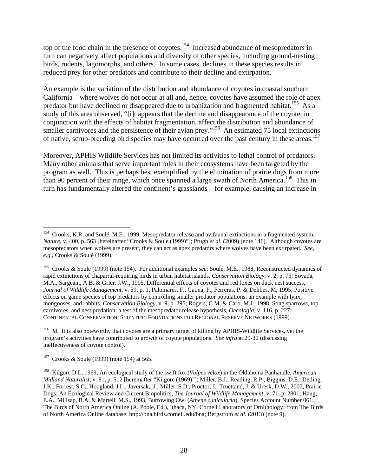top of the food chain in the presence of coyotes.<sup>154</sup> Increased abundance of mesopredators in turn can negatively affect populations and diversity of other species, including ground-nesting birds, rodents, lagomorphs, and others. In some cases, declines in these species results in reduced prey for other predators and contribute to their decline and extirpation.

An example is the variation of the distribution and abundance of coyotes in coastal southern California – where wolves do not occur at all and, hence, coyotes have assumed the role of apex predator but have declined or disappeared due to urbanization and fragmented habitat.<sup>155</sup> As a study of this area observed, "[i]t appears that the decline and disappearance of the coyote, in conjunction with the effects of habitat fragmentation, affect the distribution and abundance of smaller carnivores and the persistence of their avian prey."<sup>156</sup> An estimated 75 local extinctions of native, scrub-breeding bird species may have occurred over the past century in these areas.<sup>157</sup>

Moreover, APHIS Wildlife Services has not limited its activities to lethal control of predators. Many other animals that serve important roles in their ecosystems have been targeted by the program as well. This is perhaps best exemplified by the elimination of prairie dogs from more than 90 percent of their range, which once spanned a large swath of North America.<sup>158</sup> This in turn has fundamentally altered the continent's grasslands – for example, causing an increase in

1

<sup>&</sup>lt;sup>154</sup> Crooks, K.R. and Soulé, M.E., 1999, Mesopredator release and avifaunal extinctions in a fragmented system, *Nature*, v. 400, p. 563 [hereinafter "Crooks & Soule (1999)"]; Prugh *et al*. (2009) (note 146). Although coyotes are mesopredators when wolves are present, they can act as apex predators where wolves have been extirpated. *See*, *e.g.*, Crooks & Soulé (1999).

<sup>155</sup> Crooks & Soulé (1999) (note 154). For additional examples *see*: Soulé, M.E., 1988, Reconstructed dynamics of rapid extinctions of chaparral-requiring birds in urban habitat islands, *Conservation Biology*, v. 2, p. 75; Sovada, M.A., Sargeant, A.B. & Grier, J.W., 1995, Differential effects of coyotes and red foxes on duck nest success, *Journal of Wildlife Management*, v. 59, p. 1; Palomares, F., Gaona, P., Ferreras, P. & Delibes, M, 1995, Positive effects on game species of top predators by controlling smaller predator populations: an example with lynx, mongooses, and rabbits, *Conservation Biology*, v. 9, p. 295; Rogers, C.M. & Caro, M.J., 1998, Song sparrows, top carnivores, and nest predation: a test of the mesopredator release hypothesis, *Oecologia*, v. 116, p. 227; CONTINENTAL CONSERVATION: SCIENTIFIC FOUNDATIONS FOR REGIONAL RESERVE NETWORKS (1999).

<sup>&</sup>lt;sup>156</sup> *Id.* It is also noteworthy that coyotes are a primary target of killing by APHIS-Wildlife Services, yet the program's activities have contributed to growth of coyote populations. *See infra* at 29-30 (discussing ineffectiveness of coyote control).

<sup>&</sup>lt;sup>157</sup> Crooks & Soulé (1999) (note 154) at 565.

<sup>158</sup> Kilgore D.L, 1969, An ecological study of the swift fox (*Vulpes velox*) in the Oklahoma Panhandle, *American Midland Naturalist*, v. 81, p. 512 [hereinafter "Kilgore (1969)"]; Miller, B.J., Reading, R.P., Biggins, D.E., Detling, J.K., Forrest, S.C., Hoogland, J.L., Javersak,, J., Miller, S.D., Proctor, J., Truettand, J. & Uresk, D.W., 2007, Prairie Dogs: An Ecological Review and Current Biopolitics, *The Journal of Wildlife Management*, v. 71, p. 2801; Haug, E.A., Millsap, B.A. & Martell, M.S., 1993, Burrowing Owl (*Athene cunicularia*), Species Account Number 061, The Birds of North America Online (A. Poole, Ed.), Ithaca, NY: Cornell Laboratory of Ornithology; from The Birds of North America Online database: http://bna.birds.cornell.edu/bna; Bergstrom *et al*. (2013) (note 9).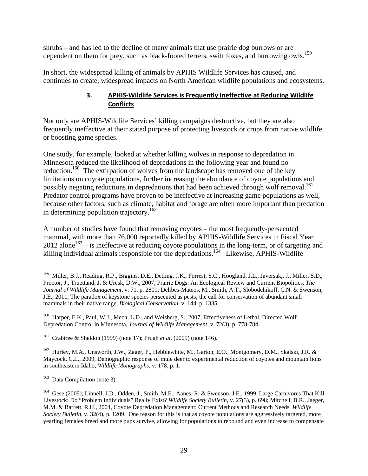shrubs – and has led to the decline of many animals that use prairie dog burrows or are dependent on them for prey, such as black-footed ferrets, swift foxes, and burrowing owls.<sup>159</sup>

In short, the widespread killing of animals by APHIS Wildlife Services has caused, and continues to create, widespread impacts on North American wildlife populations and ecosystems.

#### **3. APHIS‐Wildlife Services is Frequently Ineffective at Reducing Wildlife Conflicts**

Not only are APHIS-Wildlife Services' killing campaigns destructive, but they are also frequently ineffective at their stated purpose of protecting livestock or crops from native wildlife or boosting game species.

One study, for example, looked at whether killing wolves in response to depredation in Minnesota reduced the likelihood of depredations in the following year and found no reduction.<sup>160</sup> The extirpation of wolves from the landscape has removed one of the key limitations on coyote populations, further increasing the abundance of coyote populations and possibly negating reductions in depredations that had been achieved through wolf removal.<sup>161</sup> Predator control programs have proven to be ineffective at increasing game populations as well, because other factors, such as climate, habitat and forage are often more important than predation in determining population trajectory.<sup>162</sup>

A number of studies have found that removing coyotes – the most frequently-persecuted mammal, with more than 76,000 reportedly killed by APHIS-Wildlife Services in Fiscal Year  $2012$  alone<sup>163</sup> – is ineffective at reducing coyote populations in the long-term, or of targeting and killing individual animals responsible for the depredations.<sup>164</sup> Likewise, APHIS-Wildlife

161 Crabtree & Sheldon (1999) (note 17); Prugh *et al*. (2009) (note 146).

<sup>162</sup> Hurley, M.A., Unsworth, J.W., Zager, P., Hebblewhite, M., Garton, E.O., Montgomery, D.M., Skalski, J.R. & Maycock, C.L., 2009, Demographic response of mule deer to experimental reduction of coyotes and mountain lions in southeastern Idaho, *Wildlife Monographs*, v. 178, p. 1.

<sup>163</sup> Data Compilation (note 3).

<sup>&</sup>lt;sup>159</sup> Miller, B.J., Reading, R.P., Biggins, D.E., Detling, J.K., Forrest, S.C., Hoogland, J.L., Javersak,, J., Miller, S.D., Proctor, J., Truettand, J. & Uresk, D.W., 2007, Prairie Dogs: An Ecological Review and Current Biopolitics, *The Journal of Wildlife Management*, v. 71, p. 2801; Delibes-Mateos, M., Smith, A.T., Slobodchikoff, C.N. & Swenson, J.E., 2011, The paradox of keystone species persecuted as pests; the call for conservation of abundant small mammals in their native range, *Biological Conservation*, v. 144, p. 1335.

<sup>&</sup>lt;sup>160</sup> Harper, E.K., Paul, W.J., Mech, L.D., and Weisberg, S., 2007, Effectiveness of Lethal, Directed Wolf-Depredation Control in Minnesota, *Journal of Wildlife Management*, v. 72(3), p. 778-784.

<sup>&</sup>lt;sup>164</sup> Gese (2005); Linnell, J.D., Odden, J., Smith, M.E., Aanes, R. & Swenson, J.E., 1999, Large Carnivores That Kill Livestock: Do "Problem Individuals" Really Exist? *Wildlife Society Bulletin*, v. 27(3), p. 698; Mitchell, B.R., Jaeger, M.M. & Barrett, R.H., 2004, Coyote Depredation Management: Current Methods and Research Needs, *Wildlife Society Bulletin, v.* 32(4), p. 1209. One reason for this is that as coyote populations are aggressively targeted, more yearling females breed and more pups survive, allowing for populations to rebound and even increase to compensate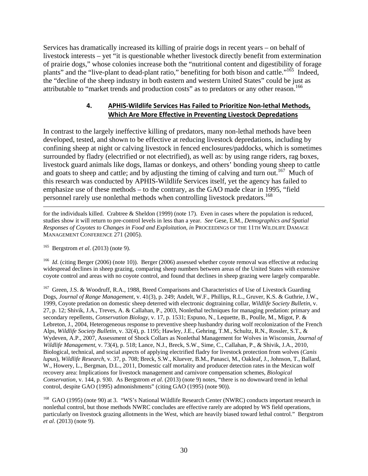Services has dramatically increased its killing of prairie dogs in recent years – on behalf of livestock interests – yet "it is questionable whether livestock directly benefit from extermination of prairie dogs," whose colonies increase both the "nutritional content and digestibility of forage plants" and the "live-plant to dead-plant ratio," benefiting for both bison and cattle."<sup>165</sup> Indeed, the "decline of the sheep industry in both eastern and western United States" could be just as attributable to "market trends and production costs" as to predators or any other reason.<sup>166</sup>

#### **4. APHIS‐Wildlife Services Has Failed to Prioritize Non‐lethal Methods, Which Are More Effective in Preventing Livestock Depredations**

In contrast to the largely ineffective killing of predators, many non-lethal methods have been developed, tested, and shown to be effective at reducing livestock depredations, including by confining sheep at night or calving livestock in fenced enclosures/paddocks, which is sometimes surrounded by fladry (electrified or not electrified), as well as: by using range riders, rag boxes, livestock guard animals like dogs, llamas or donkeys, and others' bonding young sheep to cattle and goats to sheep and cattle; and by adjusting the timing of calving and turn out.<sup>167</sup> Much of this research was conducted by APHIS-Wildlife Services itself, yet the agency has failed to emphasize use of these methods – to the contrary, as the GAO made clear in 1995, "field personnel rarely use nonlethal methods when controlling livestock predators.<sup>168</sup>

 for the individuals killed. Crabtree & Sheldon (1999) (note 17). Even in cases where the population is reduced, studies show it will return to pre-control levels in less than a year. *See* Gese, E.M., *Demographics and Spatial Responses of Coyotes to Changes in Food and Exploitation*, *in* PROCEEDINGS OF THE 11TH WILDLIFE DAMAGE MANAGEMENT CONFERENCE 271 (2005).

165 Bergstrom *et al*. (2013) (note 9).

<sup>166</sup> *Id.* (citing Berger (2006) (note 10)). Berger (2006) assessed whether covote removal was effective at reducing widespread declines in sheep grazing, comparing sheep numbers between areas of the United States with extensive coyote control and areas with no coyote control, and found that declines in sheep grazing were largely comparable.

<sup>167</sup> Green, J.S. & Woodruff, R.A., 1988, Breed Comparisons and Characteristics of Use of Livestock Guarding Dogs, *Journal of Range Management*, v. 41(3), p. 249; Andelt, W.F., Phillips, R.L., Gruver, K.S. & Guthrie, J.W., 1999, Coyote predation on domestic sheep deterred with electronic dogtraining collar, *Wildlife Society Bulletin*, v. 27, p. 12; Shivik, J.A., Treves, A. & Callahan, P., 2003, Nonlethal techniques for managing predation: primary and secondary repellents, *Conservation Biology*, v. 17, p. 1531; Espuno, N., Lequette, B., Poulle, M., Migot, P. & Lebreton, J., 2004, Heterogeneous response to preventive sheep husbandry during wolf recolonization of the French Alps, *Wildlife Society Bulletin*, v. 32(4), p. 1195; Hawley, J.E., Gehring, T.M., Schultz, R.N., Rossler, S.T., & Wydeven, A.P., 2007, Assessment of Shock Collars as Nonlethal Management for Wolves in Wisconsin, *Journal of Wildlife Management*, v. 73(4), p. 518; Lance, N.J., Breck, S.W., Sime, C., Callahan, P., & Shivik, J.A., 2010, Biological, technical, and social aspects of applying electrified fladry for livestock protection from wolves (*Canis lupus*), *Wildlife Research*, v. 37, p. 708; Breck, S.W., Kluever, B.M., Panasci, M., Oakleaf, J., Johnson, T., Ballard, W., Howery, L., Bergman, D.L., 2011, Domestic calf mortality and producer detection rates in the Mexican wolf recovery area: Implications for livestock management and carnivore compensation schemes, *Biological Conservation*, v. 144, p. 930. As Bergstrom *et al*. (2013) (note 9) notes, "there is no downward trend in lethal control, despite GAO (1995) admonishments" (citing GAO (1995) (note 90)).

<sup>168</sup> GAO (1995) (note 90) at 3. "WS's National Wildlife Research Center (NWRC) conducts important research in nonlethal control, but those methods NWRC concludes are effective rarely are adopted by WS field operations, particularly on livestock grazing allotments in the West, which are heavily biased toward lethal control." Bergstrom *et al*. (2013) (note 9).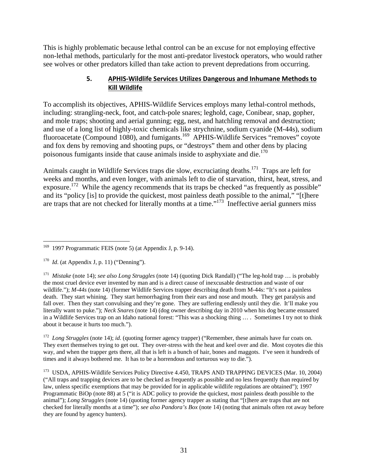This is highly problematic because lethal control can be an excuse for not employing effective non-lethal methods, particularly for the most anti-predator livestock operators, who would rather see wolves or other predators killed than take action to prevent depredations from occurring.

#### **5. APHIS‐Wildlife Services Utilizes Dangerous and Inhumane Methods to Kill Wildlife**

To accomplish its objectives, APHIS-Wildlife Services employs many lethal-control methods, including: strangling-neck, foot, and catch-pole snares; leghold, cage, Conibear, snap, gopher, and mole traps; shooting and aerial gunning; egg, nest, and hatchling removal and destruction; and use of a long list of highly-toxic chemicals like strychnine, sodium cyanide (M-44s), sodium fluoroacetate (Compound 1080), and fumigants.169 APHIS-Wildlife Services "removes" coyote and fox dens by removing and shooting pups, or "destroys" them and other dens by placing poisonous fumigants inside that cause animals inside to asphyxiate and die.<sup>170</sup>

Animals caught in Wildlife Services traps die slow, excruciating deaths.<sup>171</sup> Traps are left for weeks and months, and even longer, with animals left to die of starvation, thirst, heat, stress, and exposure.<sup>172</sup> While the agency recommends that its traps be checked "as frequently as possible" and its "policy [is] to provide the quickest, most painless death possible to the animal," "[t]here are traps that are not checked for literally months at a time."<sup>173</sup> Ineffective aerial gunners miss

<sup>172</sup> *Long Struggles* (note 14); *id*. (quoting former agency trapper) ("Remember, these animals have fur coats on. They exert themselves trying to get out. They over-stress with the heat and keel over and die. Most coyotes die this way, and when the trapper gets there, all that is left is a bunch of hair, bones and maggots. I've seen it hundreds of times and it always bothered me. It has to be a horrendous and torturous way to die.").

<sup>173</sup> USDA, APHIS-Wildlife Services Policy Directive 4.450, TRAPS AND TRAPPING DEVICES (Mar. 10, 2004) ("All traps and trapping devices are to be checked as frequently as possible and no less frequently than required by law, unless specific exemptions that may be provided for in applicable wildlife regulations are obtained"); 1997 Programmatic BiOp (note 88) at 5 ("it is ADC policy to provide the quickest, most painless death possible to the animal"); *Long Struggles* (note 14) (quoting former agency trapper as stating that "[t]here are traps that are not checked for literally months at a time"); *see also Pandora's Box* (note 14) (noting that animals often rot away before they are found by agency hunters).

 $\overline{a}$ 169 1997 Programmatic FEIS (note 5) (at Appendix J, p. 9-14).

 $170$  *Id.* (at Appendix J, p. 11) ("Denning").

<sup>171</sup> *Mistake* (note 14); *see also Long Struggles* (note 14) (quoting Dick Randall) ("The leg-hold trap … is probably the most cruel device ever invented by man and is a direct cause of inexcusable destruction and waste of our wildlife."); *M-44s* (note 14) (former Wildlife Services trapper describing death from M-44s: "It's not a painless death. They start whining. They start hemorrhaging from their ears and nose and mouth. They get paralysis and fall over. Then they start convulsing and they're gone. They are suffering endlessly until they die. It'll make you literally want to puke."); *Neck Snares* (note 14) (dog owner describing day in 2010 when his dog became ensnared in a Wildlife Services trap on an Idaho national forest: "This was a shocking thing … . Sometimes I try not to think about it because it hurts too much.").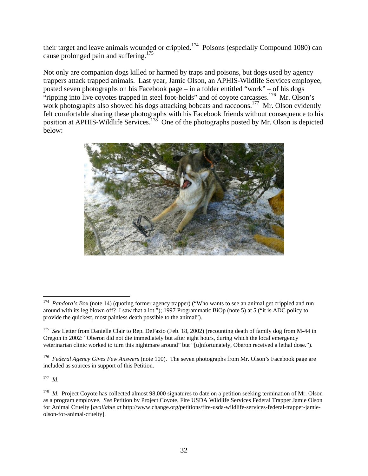their target and leave animals wounded or crippled.<sup>174</sup> Poisons (especially Compound 1080) can cause prolonged pain and suffering.<sup>175</sup>

Not only are companion dogs killed or harmed by traps and poisons, but dogs used by agency trappers attack trapped animals. Last year, Jamie Olson, an APHIS-Wildlife Services employee, posted seven photographs on his Facebook page – in a folder entitled "work" – of his dogs "ripping into live coyotes trapped in steel foot-holds" and of coyote carcasses.<sup>176</sup> Mr. Olson's work photographs also showed his dogs attacking bobcats and raccoons.<sup>177</sup> Mr. Olson evidently felt comfortable sharing these photographs with his Facebook friends without consequence to his position at APHIS-Wildlife Services.<sup>178</sup> One of the photographs posted by Mr. Olson is depicted below:



177 *Id*.

<sup>&</sup>lt;sup>174</sup> *Pandora's Box* (note 14) (quoting former agency trapper) ("Who wants to see an animal get crippled and run around with its leg blown off? I saw that a lot."); 1997 Programmatic BiOp (note 5) at 5 ("it is ADC policy to provide the quickest, most painless death possible to the animal").

<sup>&</sup>lt;sup>175</sup> *See* Letter from Danielle Clair to Rep. DeFazio (Feb. 18, 2002) (recounting death of family dog from M-44 in Oregon in 2002: "Oberon did not die immediately but after eight hours, during which the local emergency veterinarian clinic worked to turn this nightmare around" but "[u]nfortunately, Oberon received a lethal dose.").

<sup>176</sup> *Federal Agency Gives Few Answers* (note 100). The seven photographs from Mr. Olson's Facebook page are included as sources in support of this Petition.

<sup>&</sup>lt;sup>178</sup> *Id.* Project Coyote has collected almost 98,000 signatures to date on a petition seeking termination of Mr. Olson as a program employee. *See* Petition by Project Coyote, Fire USDA Wildlife Services Federal Trapper Jamie Olson for Animal Cruelty [*available at* http://www.change.org/petitions/fire-usda-wildlife-services-federal-trapper-jamieolson-for-animal-cruelty].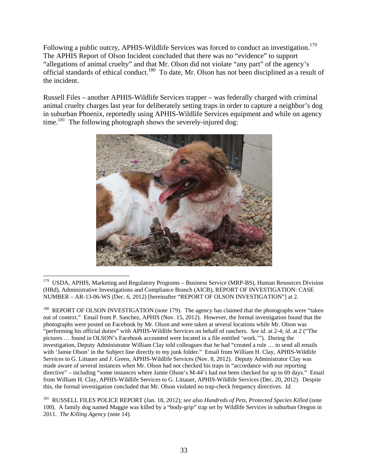Following a public outcry, APHIS-Wildlife Services was forced to conduct an investigation.<sup>179</sup> The APHIS Report of Olson Incident concluded that there was no "evidence" to support "allegations of animal cruelty" and that Mr. Olson did not violate "any part" of the agency's official standards of ethical conduct.180 To date, Mr. Olson has not been disciplined as a result of the incident.

Russell Files – another APHIS-Wildlife Services trapper – was federally charged with criminal animal cruelty charges last year for deliberately setting traps in order to capture a neighbor's dog in suburban Phoenix, reportedly using APHIS-Wildlife Services equipment and while on agency time.<sup>181</sup> The following photograph shows the severely-injured dog:



 $\overline{a}$ <sup>179</sup> USDA, APHIS, Marketing and Regulatory Programs – Business Service (MRP-BS), Human Resources Division (HRd), Administrative Investigations and Compliance Branch (AICB), REPORT OF INVESTIGATION: CASE NUMBER – AR-13-06-WS (Dec. 6, 2012) [hereinafter "REPORT OF OLSON INVESTIGATION"] at 2.

REPORT OF OLSON INVESTIGATION (note 179). The agency has claimed that the photographs were "taken out of context." Email from P. Sanchez, APHIS (Nov. 15, 2012). However, the formal investigation found that the photographs were posted on Facebook by Mr. Olson and were taken at several locations while Mr. Olson was "performing his official duties" with APHIS-Wildlife Services on behalf of ranchers. *See id*. at 2-4; *id*. at 2 ("The pictures … found in OLSON's Facebook accounted were located in a file entitled 'work.'"). During the investigation, Deputy Administrator William Clay told colleagues that he had "created a rule … to send all emails with 'Jamie Olson' in the Subject line directly to my junk folder." Email from William H. Clay, APHIS-Wildlife Services to G. Littauer and J. Green, APHIS-Wildlife Services (Nov. 8, 2012). Deputy Administrator Clay was made aware of several instances when Mr. Olson had not checked his traps in "accordance with our reporting directive" – including "some instances where Jamie Olson's M-44's had not been checked for up to 69 days." Email from William H. Clay, APHIS-Wildlife Services to G. Littauer, APHIS-Wildlife Services (Dec. 20, 2012). Despite this, the formal investigation concluded that Mr. Olson violated no trap-check frequency directives. *Id*.

<sup>181</sup> RUSSELL FILES POLICE REPORT (Jan. 18, 2012); *see also Hundreds of Pets, Protected Species Killed* (note 100). A family dog named Maggie was killed by a "body-grip" trap set by Wildlife Services in suburban Oregon in 2011. *The Killing Agency* (note 14).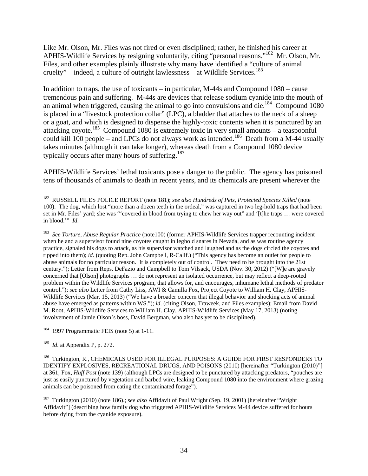Like Mr. Olson, Mr. Files was not fired or even disciplined; rather, he finished his career at APHIS-Wildlife Services by resigning voluntarily, citing "personal reasons."182 Mr. Olson, Mr. Files, and other examples plainly illustrate why many have identified a "culture of animal cruelty" – indeed, a culture of outright lawlessness – at Wildlife Services.<sup>183</sup>

In addition to traps, the use of toxicants – in particular, M-44s and Compound 1080 – cause tremendous pain and suffering. M-44s are devices that release sodium cyanide into the mouth of an animal when triggered, causing the animal to go into convulsions and die.<sup>184</sup> Compound 1080 is placed in a "livestock protection collar" (LPC), a bladder that attaches to the neck of a sheep or a goat, and which is designed to dispense the highly-toxic contents when it is punctured by an attacking coyote.185 Compound 1080 is extremely toxic in very small amounts – a teaspoonful could kill 100 people – and LPCs do not always work as intended.<sup>186</sup> Death from a M-44 usually takes minutes (although it can take longer), whereas death from a Compound 1080 device typically occurs after many hours of suffering.<sup>187</sup>

APHIS-Wildlife Services' lethal toxicants pose a danger to the public. The agency has poisoned tens of thousands of animals to death in recent years, and its chemicals are present wherever the

183 *See Torture, Abuse Regular Practice* (note100) (former APHIS-Wildlife Services trapper recounting incident when he and a supervisor found nine coyotes caught in leghold snares in Nevada, and as was routine agency practice, signaled his dogs to attack, as his supervisor watched and laughed and as the dogs circled the coyotes and ripped into them); *id*. (quoting Rep. John Campbell, R-Calif.) ("This agency has become an outlet for people to abuse animals for no particular reason. It is completely out of control. They need to be brought into the 21st century."); Letter from Reps. DeFazio and Campbell to Tom Vilsack, USDA (Nov. 30, 2012) ("[W]e are gravely concerned that [Olson] photographs … do not represent an isolated occurrence, but may reflect a deep-rooted problem within the Wildlife Services program, that allows for, and encourages, inhumane lethal methods of predator control."); see also Letter from Cathy Liss, AWI & Camilla Fox, Project Coyote to William H. Clay, APHIS-Wildlife Services (Mar. 15, 2013) ("We have a broader concern that illegal behavior and shocking acts of animal abuse have emerged as patterns within WS."); *id*. (citing Olson, Traweek, and Files examples); Email from David M. Root, APHIS-Wildlife Services to William H. Clay, APHIS-Wildlife Services (May 17, 2013) (noting involvement of Jamie Olson's boss, David Bergman, who also has yet to be disciplined).

<sup>184</sup> 1997 Programmatic FEIS (note 5) at 1-11.

185 *Id*. at Appendix P, p. 272.

<sup>182</sup> RUSSELL FILES POLICE REPORT (note 181); *see also Hundreds of Pets, Protected Species Killed* (note 100). The dog, which lost "more than a dozen teeth in the ordeal," was captured in two leg-hold traps that had been set in Mr. Files' yard; she was "'covered in blood from trying to chew her way out" and '[t]he traps … were covered in blood.'" *Id*.

<sup>186</sup> Turkington, R., CHEMICALS USED FOR ILLEGAL PURPOSES: A GUIDE FOR FIRST RESPONDERS TO IDENTIFY EXPLOSIVES, RECREATIONAL DRUGS, AND POISONS (2010) [hereinafter "Turkington (2010)"] at 361; Fox, *Huff Post* (note 139) (although LPCs are designed to be punctured by attacking predators, "pouches are just as easily punctured by vegetation and barbed wire, leaking Compound 1080 into the environment where grazing animals can be poisoned from eating the contaminated forage").

<sup>187</sup> Turkington (2010) (note 186).; *see also* Affidavit of Paul Wright (Sep. 19, 2001) [hereinafter "Wright Affidavit"] (describing how family dog who triggered APHIS-Wildlife Services M-44 device suffered for hours before dying from the cyanide exposure).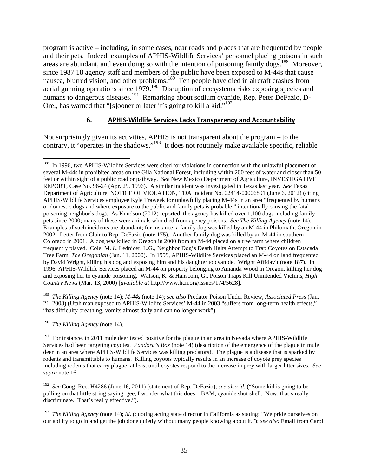program is active – including, in some cases, near roads and places that are frequented by people and their pets. Indeed, examples of APHIS-Wildlife Services' personnel placing poisons in such areas are abundant, and even doing so with the intention of poisoning family dogs.<sup>188</sup> Moreover, since 1987 18 agency staff and members of the public have been exposed to M-44s that cause nausea, blurred vision, and other problems.<sup>189</sup> Ten people have died in aircraft crashes from aerial gunning operations since 1979.<sup>190</sup> Disruption of ecosystems risks exposing species and humans to dangerous diseases.<sup>191</sup> Remarking about sodium cyanide, Rep. Peter DeFazio, D-Ore., has warned that "[s]ooner or later it's going to kill a kid."<sup>192</sup>

#### **6. APHIS‐Wildlife Services Lacks Transparency and Accountability**

Not surprisingly given its activities, APHIS is not transparent about the program – to the contrary, it "operates in the shadows."<sup>193</sup> It does not routinely make available specific, reliable

189 *The Killing Agency* (note 14); *M-44s* (note 14); *see also* Predator Poison Under Review, *Associated Press* (Jan. 21, 2008) (Utah man exposed to APHIS-Wildlife Services' M-44 in 2003 "suffers from long-term health effects," "has difficulty breathing, vomits almost daily and can no longer work").

190 *The Killing Agency* (note 14).

<sup>&</sup>lt;sup>188</sup> In 1996, two APHIS-Wildlife Services were cited for violations in connection with the unlawful placement of several M-44s in prohibited areas on the Gila National Forest, including within 200 feet of water and closer than 50 feet or within sight of a public road or pathway. *See* New Mexico Department of Agriculture, INVESTIGATIVE REPORT, Case No. 96-24 (Apr. 29, 1996). A similar incident was investigated in Texas last year. *See* Texas Department of Agriculture, NOTICE OF VIOLATION, TDA Incident No. 02414-00006891 (June 6, 2012) (citing APHIS-Wildlife Services employee Kyle Traweek for unlawfully placing M-44s in an area "frequented by humans or domestic dogs and where exposure to the public and family pets is probable," intentionally causing the fatal poisoning neighbor's dog). As Knudson (2012) reported, the agency has killed over 1,100 dogs including family pets since 2000; many of these were animals who died from agency poisons. *See The Killing Agency* (note 14). Examples of such incidents are abundant; for instance, a family dog was killed by an M-44 in Philomath, Oregon in 2002. Letter from Clair to Rep. DeFazio (note 175). Another family dog was killed by an M-44 in southern Colorado in 2001. A dog was killed in Oregon in 2000 from an M-44 placed on a tree farm where children frequently played. Cole, M. & Lednicer, L.G., Neighbor Dog's Death Halts Attempt to Trap Coyotes on Estacada Tree Farm, *The Oregonian* (Jan. 11, 2000). In 1999, APHIS-Wildlife Services placed an M-44 on land frequented by David Wright, killing his dog and exposing him and his daughter to cyanide. Wright Affidavit (note 187). In 1996, APHIS-Wildlife Services placed an M-44 on property belonging to Amanda Wood in Oregon, killing her dog and exposing her to cyanide poisoning. Watson, K. & Hanscom, G., Poison Traps Kill Unintended Victims, *High Country News* (Mar. 13, 2000) [*available at* http://www.hcn.org/issues/174/5628].

<sup>&</sup>lt;sup>191</sup> For instance, in 2011 mule deer tested positive for the plague in an area in Nevada where APHIS-Wildlife Services had been targeting coyotes. *Pandora's Box* (note 14) (description of the emergence of the plague in mule deer in an area where APHIS-Wildlife Services was killing predators). The plague is a disease that is sparked by rodents and transmittable to humans. Killing coyotes typically results in an increase of coyote prey species including rodents that carry plague, at least until coyotes respond to the increase in prey with larger litter sizes. *See supra* note 16

<sup>192</sup> *See* Cong. Rec. H4286 (June 16, 2011) (statement of Rep. DeFazio); *see also id*. ("Some kid is going to be pulling on that little string saying, gee, I wonder what this does – BAM, cyanide shot shell. Now, that's really discriminate. That's really effective.").

<sup>193</sup> *The Killing Agency* (note 14); *id*. (quoting acting state director in California as stating: "We pride ourselves on our ability to go in and get the job done quietly without many people knowing about it."); *see also* Email from Carol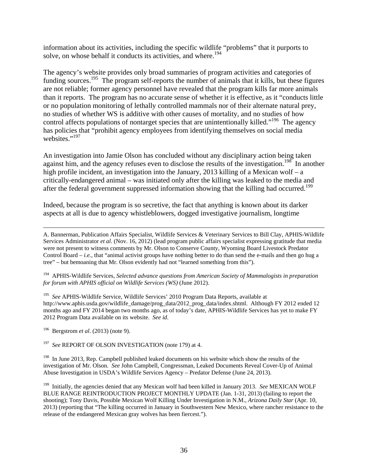information about its activities, including the specific wildlife "problems" that it purports to solve, on whose behalf it conducts its activities, and where.<sup>194</sup>

The agency's website provides only broad summaries of program activities and categories of funding sources.<sup>195</sup> The program self-reports the number of animals that it kills, but these figures are not reliable; former agency personnel have revealed that the program kills far more animals than it reports. The program has no accurate sense of whether it is effective, as it "conducts little or no population monitoring of lethally controlled mammals nor of their alternate natural prey, no studies of whether WS is additive with other causes of mortality, and no studies of how control affects populations of nontarget species that are unintentionally killed."<sup>196</sup> The agency has policies that "prohibit agency employees from identifying themselves on social media websites."<sup>197</sup>

An investigation into Jamie Olson has concluded without any disciplinary action being taken against him, and the agency refuses even to disclose the results of the investigation.<sup>198</sup> In another high profile incident, an investigation into the January, 2013 killing of a Mexican wolf – a critically-endangered animal – was initiated only after the killing was leaked to the media and after the federal government suppressed information showing that the killing had occurred.<sup>199</sup>

Indeed, because the program is so secretive, the fact that anything is known about its darker aspects at all is due to agency whistleblowers, dogged investigative journalism, longtime

 A. Bannerman, Publication Affairs Specialist, Wildlife Services & Veterinary Services to Bill Clay, APHIS-Wildlife Services Administrator *et al*. (Nov. 16, 2012) (lead program public affairs specialist expressing gratitude that media were not present to witness comments by Mr. Olson to Conserve County, Wyoming Board Livestock Predator Control Board – *i.e.*, that "animal activist groups have nothing better to do than send the e-mails and then go hug a tree" – but bemoaning that Mr. Olson evidently had not "learned something from this").

194 APHIS-Wildlife Services, *Selected advance questions from American Society of Mammalogists in preparation for forum with APHIS official on Wildlife Services (WS)* (June 2012).

195 *See* APHIS-Wildlife Service, Wildlife Services' 2010 Program Data Reports, available at http://www.aphis.usda.gov/wildlife\_damage/prog\_data/2012\_prog\_data/index.shtml. Although FY 2012 ended 12 months ago and FY 2014 began two months ago, as of today's date, APHIS-Wildlife Services has yet to make FY 2012 Program Data available on its website. *See id*.

Bergstrom *et al.* (2013) (note 9).

<sup>197</sup> See REPORT OF OLSON INVESTIGATION (note 179) at 4.

<sup>198</sup> In June 2013, Rep. Campbell published leaked documents on his website which show the results of the investigation of Mr. Olson. *See* John Campbell, Congressman, Leaked Documents Reveal Cover-Up of Animal Abuse Investigation in USDA's Wildlife Services Agency – Predator Defense (June 24, 2013).

199 Initially, the agencies denied that any Mexican wolf had been killed in January 2013. *See* MEXICAN WOLF BLUE RANGE REINTRODUCTION PROJECT MONTHLY UPDATE (Jan. 1-31, 2013) (failing to report the shooting); Tony Davis, Possible Mexican Wolf Killing Under Investigation in N.M., *Arizona Daily Star* (Apr. 10, 2013) (reporting that "The killing occurred in January in Southwestern New Mexico, where rancher resistance to the release of the endangered Mexican gray wolves has been fiercest.").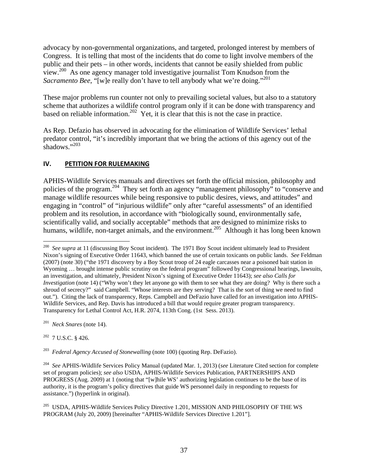advocacy by non-governmental organizations, and targeted, prolonged interest by members of Congress. It is telling that most of the incidents that do come to light involve members of the public and their pets – in other words, incidents that cannot be easily shielded from public view.200 As one agency manager told investigative journalist Tom Knudson from the *Sacramento Bee*, "[w]e really don't have to tell anybody what we're doing."<sup>201</sup>

These major problems run counter not only to prevailing societal values, but also to a statutory scheme that authorizes a wildlife control program only if it can be done with transparency and based on reliable information.<sup>202</sup> Yet, it is clear that this is not the case in practice.

As Rep. Defazio has observed in advocating for the elimination of Wildlife Services' lethal predator control, "it's incredibly important that we bring the actions of this agency out of the shadows."203

# **IV. PETITION FOR RULEMAKING**

APHIS-Wildlife Services manuals and directives set forth the official mission, philosophy and policies of the program.204 They set forth an agency "management philosophy" to "conserve and manage wildlife resources while being responsive to public desires, views, and attitudes" and engaging in "control" of "injurious wildlife" only after "careful assessments" of an identified problem and its resolution, in accordance with "biologically sound, environmentally safe, scientifically valid, and socially acceptable" methods that are designed to minimize risks to humans, wildlife, non-target animals, and the environment.<sup>205</sup> Although it has long been known

201 *Neck Snares* (note 14).

 $202$  7 U.S.C. § 426.

203 *Federal Agency Accused of Stonewalling* (note 100) (quoting Rep. DeFazio).

 $\overline{a}$ <sup>200</sup> See supra at 11 (discussing Boy Scout incident). The 1971 Boy Scout incident ultimately lead to President Nixon's signing of Executive Order 11643, which banned the use of certain toxicants on public lands. *See* Feldman (2007) (note 30) ("the 1971 discovery by a Boy Scout troop of 24 eagle carcasses near a poisoned bait station in Wyoming ... brought intense public scrutiny on the federal program" followed by Congressional hearings, lawsuits, an investigation, and ultimately, President Nixon's signing of Executive Order 11643); *see also Calls for Investigation* (note 14) ("Why won't they let anyone go with them to see what they are doing? Why is there such a shroud of secrecy?" said Campbell. "Whose interests are they serving? That is the sort of thing we need to find out."). Citing the lack of transparency, Reps. Campbell and DeFazio have called for an investigation into APHIS-Wildlife Services, and Rep. Davis has introduced a bill that would require greater program transparency. Transparency for Lethal Control Act, H.R. 2074, 113th Cong. (1st Sess. 2013).

<sup>204</sup> *See* APHIS-Wildlife Services Policy Manual (updated Mar. 1, 2013) (*see* Literature Cited section for complete set of program policies); *see also* USDA, APHIS-Wildlife Services Publication, PARTNERSHIPS AND PROGRESS (Aug. 2009) at 1 (noting that "[w]hile WS' authorizing legislation continues to be the base of its authority, it is the program's policy directives that guide WS personnel daily in responding to requests for assistance.") (hyperlink in original).

<sup>&</sup>lt;sup>205</sup> USDA, APHIS-Wildlife Services Policy Directive 1.201, MISSION AND PHILOSOPHY OF THE WS PROGRAM (July 20, 2009) [hereinafter "APHIS-Wildlife Services Directive 1.201"].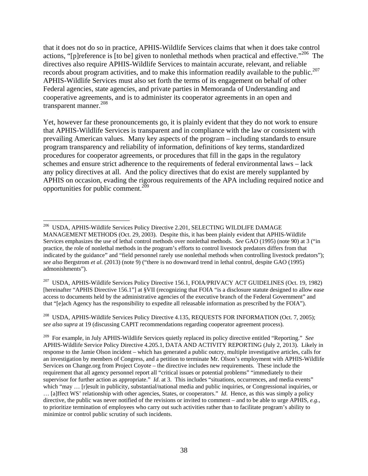that it does not do so in practice, APHIS-Wildlife Services claims that when it does take control actions, "[p]reference is [to be] given to nonlethal methods when practical and effective."<sup>206</sup> The directives also require APHIS-Wildlife Services to maintain accurate, relevant, and reliable records about program activities, and to make this information readily available to the public.<sup>207</sup> APHIS-Wildlife Services must also set forth the terms of its engagement on behalf of other Federal agencies, state agencies, and private parties in Memoranda of Understanding and cooperative agreements, and is to administer its cooperator agreements in an open and transparent manner.<sup>208</sup>

Yet, however far these pronouncements go, it is plainly evident that they do not work to ensure that APHIS-Wildlife Services is transparent and in compliance with the law or consistent with prevailing American values. Many key aspects of the program – including standards to ensure program transparency and reliability of information, definitions of key terms, standardized procedures for cooperator agreements, or procedures that fill in the gaps in the regulatory schemes and ensure strict adherence to the requirements of federal environmental laws – lack any policy directives at all. And the policy directives that do exist are merely supplanted by APHIS on occasion, evading the rigorous requirements of the APA including required notice and opportunities for public comment.<sup>209</sup>

<sup>1</sup> 206 USDA, APHIS-Wildlife Services Policy Directive 2.201, SELECTING WILDLIFE DAMAGE MANAGEMENT METHODS (Oct. 29, 2003). Despite this, it has been plainly evident that APHIS-Wildlife Services emphasizes the use of lethal control methods over nonlethal methods. *See* GAO (1995) (note 90) at 3 ("in practice, the role of nonlethal methods in the program's efforts to control livestock predators differs from that indicated by the guidance" and "field personnel rarely use nonlethal methods when controlling livestock predators"); *see also* Bergstrom *et al*. (2013) (note 9) ("there is no downward trend in lethal control, despite GAO (1995) admonishments").

<sup>207</sup> USDA, APHIS-Wildlife Services Policy Directive 156.1, FOIA/PRIVACY ACT GUIDELINES (Oct. 19, 1982) [hereinafter "APHIS Directive 156.1"] at §VII (recognizing that FOIA "is a disclosure statute designed to allow ease access to documents held by the administrative agencies of the executive branch of the Federal Government" and that "[e]ach Agency has the responsibility to expedite all releasable information as prescribed by the FOIA").

<sup>&</sup>lt;sup>208</sup> USDA, APHIS-Wildlife Services Policy Directive 4.135, REQUESTS FOR INFORMATION (Oct. 7, 2005); *see also supra* at 19 (discussing CAPIT recommendations regarding cooperator agreement process).

<sup>209</sup> For example, in July APHIS-Wildlife Services quietly replaced its policy directive entitled "Reporting." *See* APHIS-Wildlife Service Policy Directive 4.205.1, DATA AND ACTIVITY REPORTING (July 2, 2013). Likely in response to the Jamie Olson incident – which has generated a public outcry, multiple investigative articles, calls for an investigation by members of Congress, and a petition to terminate Mr. Olson's employment with APHIS-Wildlife Services on Change.org from Project Coyote – the directive includes new requirements. These include the requirement that all agency personnel report all "critical issues or potential problems" "immediately to their supervisor for further action as appropriate." *Id.* at 3. This includes "situations, occurrences, and media events" which "may ... [r]esult in publicity, substantial/national media and public inquiries, or Congressional inquiries, or … [a]ffect WS' relationship with other agencies, States, or cooperators." *Id*. Hence, as this was simply a policy directive, the public was never notified of the revisions or invited to comment – and to be able to urge APHIS, *e.g.*, to prioritize termination of employees who carry out such activities rather than to facilitate program's ability to minimize or control public scrutiny of such incidents.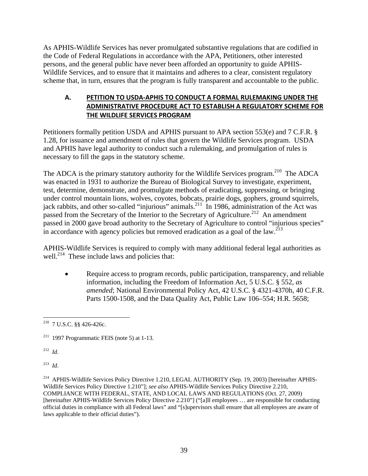As APHIS-Wildlife Services has never promulgated substantive regulations that are codified in the Code of Federal Regulations in accordance with the APA, Petitioners, other interested persons, and the general public have never been afforded an opportunity to guide APHIS-Wildlife Services, and to ensure that it maintains and adheres to a clear, consistent regulatory scheme that, in turn, ensures that the program is fully transparent and accountable to the public.

# **A. PETITION TO USDA‐APHIS TO CONDUCT A FORMAL RULEMAKING UNDER THE ADMINISTRATIVE PROCEDURE ACT TO ESTABLISH A REGULATORY SCHEME FOR THE WILDLIFE SERVICES PROGRAM**

Petitioners formally petition USDA and APHIS pursuant to APA section 553(e) and 7 C.F.R. § 1.28, for issuance and amendment of rules that govern the Wildlife Services program. USDA and APHIS have legal authority to conduct such a rulemaking, and promulgation of rules is necessary to fill the gaps in the statutory scheme.

The ADCA is the primary statutory authority for the Wildlife Services program.<sup>210</sup> The ADCA was enacted in 1931 to authorize the Bureau of Biological Survey to investigate, experiment, test, determine, demonstrate, and promulgate methods of eradicating, suppressing, or bringing under control mountain lions, wolves, coyotes, bobcats, prairie dogs, gophers, ground squirrels, jack rabbits, and other so-called "injurious" animals.<sup>211</sup> In 1986, administration of the Act was passed from the Secretary of the Interior to the Secretary of Agriculture.<sup>212</sup> An amendment passed in 2000 gave broad authority to the Secretary of Agriculture to control "injurious species" in accordance with agency policies but removed eradication as a goal of the law.<sup>213</sup>

APHIS-Wildlife Services is required to comply with many additional federal legal authorities as well.<sup>214</sup> These include laws and policies that:

• Require access to program records, public participation, transparency, and reliable information, including the Freedom of Information Act, 5 U.S.C. § 552, *as amended*; National Environmental Policy Act, 42 U.S.C. § 4321-4370h, 40 C.F.R. Parts 1500-1508, and the Data Quality Act, Public Law 106–554; H.R. 5658;

212 *Id*.

213 *Id*.

<sup>&</sup>lt;u>.</u>  $^{210}$  7 U.S.C. §§ 426-426c.

 $211$  1997 Programmatic FEIS (note 5) at 1-13.

<sup>214</sup> APHIS-Wildlife Services Policy Directive 1.210, LEGAL AUTHORITY (Sep. 19, 2003) [hereinafter APHIS-Wildlife Services Policy Directive 1.210"]; *see also* APHIS-Wildlife Services Policy Directive 2.210, COMPLIANCE WITH FEDERAL, STATE, AND LOCAL LAWS AND REGULATIONS (Oct. 27, 2009) [hereinafter APHIS-Wildlife Services Policy Directive 2.210"] ("[a]ll employees … are responsible for conducting official duties in compliance with all Federal laws" and "[s]upervisors shall ensure that all employees are aware of laws applicable to their official duties").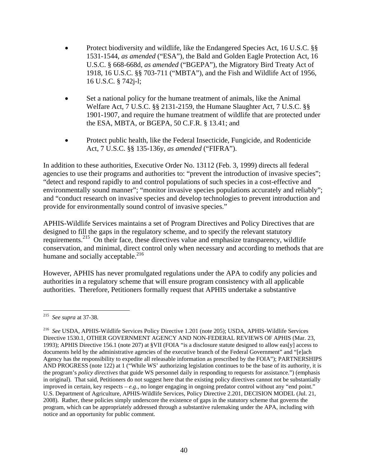- Protect biodiversity and wildlife, like the Endangered Species Act, 16 U.S.C. §§ 1531-1544, *as amended* ("ESA"), the Bald and Golden Eagle Protection Act, 16 U.S.C. § 668-668d, *as amended* ("BGEPA"), the Migratory Bird Treaty Act of 1918, 16 U.S.C. §§ 703-711 ("MBTA"), and the Fish and Wildlife Act of 1956, 16 U.S.C. § 742j-l;
- Set a national policy for the humane treatment of animals, like the Animal Welfare Act, 7 U.S.C. §§ 2131-2159, the Humane Slaughter Act, 7 U.S.C. §§ 1901-1907, and require the humane treatment of wildlife that are protected under the ESA, MBTA, or BGEPA, 50 C.F.R. § 13.41; and
- Protect public health, like the Federal Insecticide, Fungicide, and Rodenticide Act, 7 U.S.C. §§ 135-136y, *as amended* ("FIFRA").

In addition to these authorities, Executive Order No. 13112 (Feb. 3, 1999) directs all federal agencies to use their programs and authorities to: "prevent the introduction of invasive species"; "detect and respond rapidly to and control populations of such species in a cost-effective and environmentally sound manner"; "monitor invasive species populations accurately and reliably"; and "conduct research on invasive species and develop technologies to prevent introduction and provide for environmentally sound control of invasive species."

APHIS-Wildlife Services maintains a set of Program Directives and Policy Directives that are designed to fill the gaps in the regulatory scheme, and to specify the relevant statutory requirements.<sup>215</sup> On their face, these directives value and emphasize transparency, wildlife conservation, and minimal, direct control only when necessary and according to methods that are humane and socially acceptable. $^{216}$ 

However, APHIS has never promulgated regulations under the APA to codify any policies and authorities in a regulatory scheme that will ensure program consistency with all applicable authorities. Therefore, Petitioners formally request that APHIS undertake a substantive

 $\overline{a}$ 215 *See supra* at 37-38.

<sup>216</sup> *See* USDA, APHIS-Wildlife Services Policy Directive 1.201 (note 205); USDA, APHIS-Wildlife Services Directive 1530.1, OTHER GOVERNMENT AGENCY AND NON-FEDERAL REVIEWS OF APHIS (Mar. 23, 1993); APHIS Directive 156.1 (note 207) at §VII (FOIA "is a disclosure statute designed to allow eas[y] access to documents held by the administrative agencies of the executive branch of the Federal Government" and "[e]ach Agency has the responsibility to expedite all releasable information as prescribed by the FOIA"); PARTNERSHIPS AND PROGRESS (note 122) at 1 ("While WS' authorizing legislation continues to be the base of its authority, it is the program's *policy directives* that guide WS personnel daily in responding to requests for assistance.") (emphasis in original). That said, Petitioners do not suggest here that the existing policy directives cannot not be substantially improved in certain, key respects – *e.g.*, no longer engaging in ongoing predator control without any "end point." U.S. Department of Agriculture, APHIS-Wildlife Services, Policy Directive 2.201, DECISION MODEL (Jul. 21, 2008). Rather, these policies simply underscore the existence of gaps in the statutory scheme that governs the program, which can be appropriately addressed through a substantive rulemaking under the APA, including with notice and an opportunity for public comment.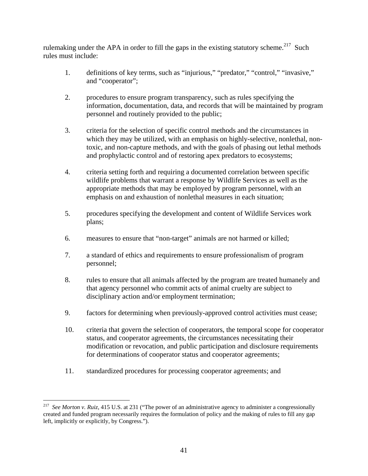rulemaking under the APA in order to fill the gaps in the existing statutory scheme.<sup>217</sup> Such rules must include:

- 1. definitions of key terms, such as "injurious," "predator," "control," "invasive," and "cooperator";
- 2. procedures to ensure program transparency, such as rules specifying the information, documentation, data, and records that will be maintained by program personnel and routinely provided to the public;
- 3. criteria for the selection of specific control methods and the circumstances in which they may be utilized, with an emphasis on highly-selective, nonlethal, nontoxic, and non-capture methods, and with the goals of phasing out lethal methods and prophylactic control and of restoring apex predators to ecosystems;
- 4. criteria setting forth and requiring a documented correlation between specific wildlife problems that warrant a response by Wildlife Services as well as the appropriate methods that may be employed by program personnel, with an emphasis on and exhaustion of nonlethal measures in each situation;
- 5. procedures specifying the development and content of Wildlife Services work plans;
- 6. measures to ensure that "non-target" animals are not harmed or killed;
- 7. a standard of ethics and requirements to ensure professionalism of program personnel;
- 8. rules to ensure that all animals affected by the program are treated humanely and that agency personnel who commit acts of animal cruelty are subject to disciplinary action and/or employment termination;
- 9. factors for determining when previously-approved control activities must cease;
- 10. criteria that govern the selection of cooperators, the temporal scope for cooperator status, and cooperator agreements, the circumstances necessitating their modification or revocation, and public participation and disclosure requirements for determinations of cooperator status and cooperator agreements;
- 11. standardized procedures for processing cooperator agreements; and

<sup>217</sup> *See Morton v. Ruiz*, 415 U.S. at 231 ("The power of an administrative agency to administer a congressionally created and funded program necessarily requires the formulation of policy and the making of rules to fill any gap left, implicitly or explicitly, by Congress.").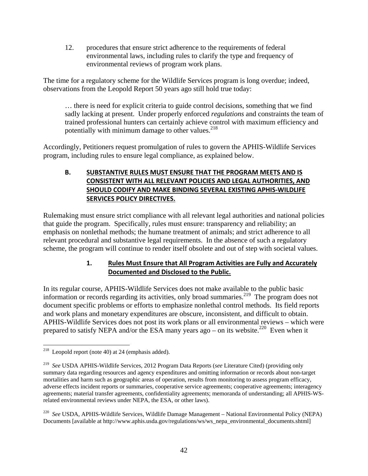12. procedures that ensure strict adherence to the requirements of federal environmental laws, including rules to clarify the type and frequency of environmental reviews of program work plans.

The time for a regulatory scheme for the Wildlife Services program is long overdue; indeed, observations from the Leopold Report 50 years ago still hold true today:

… there is need for explicit criteria to guide control decisions, something that we find sadly lacking at present. Under properly enforced *regulations* and constraints the team of trained professional hunters can certainly achieve control with maximum efficiency and potentially with minimum damage to other values.<sup>218</sup>

Accordingly, Petitioners request promulgation of rules to govern the APHIS-Wildlife Services program, including rules to ensure legal compliance, as explained below.

# **B. SUBSTANTIVE RULES MUST ENSURE THAT THE PROGRAM MEETS AND IS CONSISTENT WITH ALL RELEVANT POLICIES AND LEGAL AUTHORITIES, AND SHOULD CODIFY AND MAKE BINDING SEVERAL EXISTING APHIS‐WILDLIFE SERVICES POLICY DIRECTIVES.**

Rulemaking must ensure strict compliance with all relevant legal authorities and national policies that guide the program. Specifically, rules must ensure: transparency and reliability; an emphasis on nonlethal methods; the humane treatment of animals; and strict adherence to all relevant procedural and substantive legal requirements. In the absence of such a regulatory scheme, the program will continue to render itself obsolete and out of step with societal values.

# **1. Rules Must Ensure that All Program Activities are Fully and Accurately Documented and Disclosed to the Public.**

In its regular course, APHIS-Wildlife Services does not make available to the public basic information or records regarding its activities, only broad summaries.<sup>219</sup> The program does not document specific problems or efforts to emphasize nonlethal control methods. Its field reports and work plans and monetary expenditures are obscure, inconsistent, and difficult to obtain. APHIS-Wildlife Services does not post its work plans or all environmental reviews – which were prepared to satisfy NEPA and/or the ESA many years ago – on its website.<sup>220</sup> Even when it

 $\overline{a}$ <sup>218</sup> Leopold report (note 40) at 24 (emphasis added).

<sup>219</sup> *See* USDA APHIS-Wildlife Services, 2012 Program Data Reports (*see* Literature Cited) (providing only summary data regarding resources and agency expenditures and omitting information or records about non-target mortalities and harm such as geographic areas of operation, results from monitoring to assess program efficacy, adverse effects incident reports or summaries, cooperative service agreements; cooperative agreements; interagency agreements; material transfer agreements, confidentiality agreements; memoranda of understanding; all APHIS-WSrelated environmental reviews under NEPA, the ESA, or other laws).

<sup>220</sup> *See* USDA, APHIS-Wildlife Services, Wildlife Damage Management – National Environmental Policy (NEPA) Documents [available at http://www.aphis.usda.gov/regulations/ws/ws\_nepa\_environmental\_documents.shtml]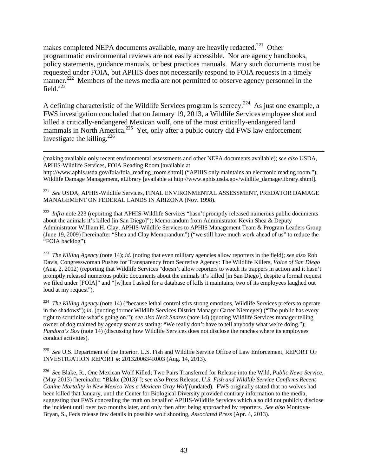makes completed NEPA documents available, many are heavily redacted.<sup>221</sup> Other programmatic environmental reviews are not easily accessible. Nor are agency handbooks, policy statements, guidance manuals, or best practices manuals. Many such documents must be requested under FOIA, but APHIS does not necessarily respond to FOIA requests in a timely manner.<sup>222</sup> Members of the news media are not permitted to observe agency personnel in the field. $^{223}$ 

A defining characteristic of the Wildlife Services program is secrecy.<sup>224</sup> As just one example, a FWS investigation concluded that on January 19, 2013, a Wildlife Services employee shot and killed a critically-endangered Mexican wolf, one of the most critically-endangered land mammals in North America.<sup>225</sup> Yet, only after a public outcry did FWS law enforcement investigate the killing.<sup>226</sup>

 (making available only recent environmental assessments and other NEPA documents available); *see also* USDA, APHIS-Wildlife Services, FOIA Reading Room [available at

http://www.aphis.usda.gov/foia/foia\_reading\_room.shtml] ("APHIS only maintains an electronic reading room."); Wildlife Damage Management, eLibrary [available at http://www.aphis.usda.gov/wildlife\_damage/library.shtml].

221 *See* USDA, APHIS-Wildlife Services, FINAL ENVIRONMENTAL ASSESSMENT, PREDATOR DAMAGE MANAGEMENT ON FEDERAL LANDS IN ARIZONA (Nov. 1998).

<sup>222</sup> *Infra* note 223 (reporting that APHIS-Wildlife Services "hasn't promptly released numerous public documents about the animals it's killed [in San Diego]"); Memorandum from Administrator Kevin Shea & Deputy Administrator William H. Clay, APHIS-Wildlife Services to APHIS Management Team & Program Leaders Group (June 19, 2009) [hereinafter "Shea and Clay Memorandum") ("we still have much work ahead of us" to reduce the "FOIA backlog").

223 *The Killing Agency* (note 14); *id*. (noting that even military agencies allow reporters in the field); *see also* Rob Davis, Congresswoman Pushes for Transparency from Secretive Agency: The Wildlife Killers, *Voice of San Diego* (Aug. 2, 2012) (reporting that Wildlife Services "doesn't allow reporters to watch its trappers in action and it hasn't promptly released numerous public documents about the animals it's killed [in San Diego], despite a formal request we filed under [FOIA]" and "[w]hen I asked for a database of kills it maintains, two of its employees laughed out loud at my request").

<sup>224</sup> *The Killing Agency* (note 14) ("because lethal control stirs strong emotions, Wildlife Services prefers to operate in the shadows"); *id*. (quoting former Wildlife Services District Manager Carter Niemeyer) ("The public has every right to scrutinize what's going on."); *see also Neck Snares* (note 14) (quoting Wildlife Services manager telling owner of dog maimed by agency snare as stating: "We really don't have to tell anybody what we're doing."); *Pandora's Box* (note 14) (discussing how Wildlife Services does not disclose the ranches where its employees conduct activities).

<sup>225</sup> See U.S. Department of the Interior, U.S. Fish and Wildlife Service Office of Law Enforcement, REPORT OF INVESTIGATION REPORT #: 2013200634R003 (Aug. 14, 2013).

226 *See* Blake, R., One Mexican Wolf Killed; Two Pairs Transferred for Release into the Wild, *Public News Service*, (May 2013) [hereinafter "Blake (2013)"]; *see also* Press Release, *U.S. Fish and Wildlife Service Confirms Recent Canine Mortality in New Mexico Was a Mexican Gray Wolf* (undated). FWS originally stated that no wolves had been killed that January, until the Center for Biological Diversity provided contrary information to the media, suggesting that FWS concealing the truth on behalf of APHIS-Wildlife Services which also did not publicly disclose the incident until over two months later, and only then after being approached by reporters. *See also* Montoya-Bryan, S., Feds release few details in possible wolf shooting, *Associated Press* (Apr. 4, 2013).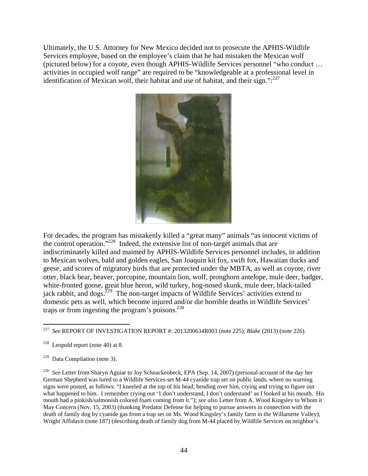Ultimately, the U.S. Attorney for New Mexico decided not to prosecute the APHIS-Wildlife Services employee, based on the employee's claim that he had mistaken the Mexican wolf (pictured below) for a coyote, even though APHIS-Wildlife Services personnel "who conduct … activities in occupied wolf range" are required to be "knowledgeable at a professional level in identification of Mexican wolf, their habitat and use of habitat, and their sign.": $^{227}$ 



For decades, the program has mistakenly killed a "great many" animals "as innocent victims of the control operation."228 Indeed, the extensive list of non-target animals that are indiscriminately killed and maimed by APHIS-Wildlife Services personnel includes, in addition to Mexican wolves, bald and golden eagles, San Joaquin kit fox, swift fox, Hawaiian ducks and geese, and scores of migratory birds that are protected under the MBTA, as well as coyote, river otter, black bear, beaver, porcupine, mountain lion, wolf, pronghorn antelope, mule deer, badger, white-fronted goose, great blue heron, wild turkey, hog-nosed skunk, mule deer, black-tailed jack rabbit, and dogs.<sup>229</sup> The non-target impacts of Wildlife Services' activities extend to domestic pets as well, which become injured and/or die horrible deaths in Wildlife Services' traps or from ingesting the program's poisons. $^{230}$ 

<sup>230</sup> *See* Letter from Sharyn Aguiar to Joy Schnackenbeck, EPA (Sep. 14, 2007) (personal account of the day her German Shepherd was lured to a Wildlife Services-set M-44 cyanide trap set on public lands, where no warning signs were posted, as follows: "I kneeled at the top of his head, bending over him, crying and trying to figure out what happened to him. I remember crying out '1 don't understand, I don't understand' as I looked at his mouth. His mouth had a pinkish/salmonish colored foam coming from it."); *see also* Letter from A. Wood Kingsley to Whom it May Concern (Nov. 15, 2003) (thanking Predator Defense for helping to pursue answers in connection with the death of family dog by cyanide gas from a trap set on Ms. Wood Kingsley's family farm in the Willamette Valley); Wright Affidavit (note 187) (describing death of family dog from M-44 placed by Wildlife Services on neighbor's

 $227\,$ 227 *See* REPORT OF INVESTIGATION REPORT #: 2013200634R003 (note 225); *Blake* (2013) (note 226)*.* 

 $228$  Leopold report (note 40) at 8.

 $229$  Data Compilation (note 3).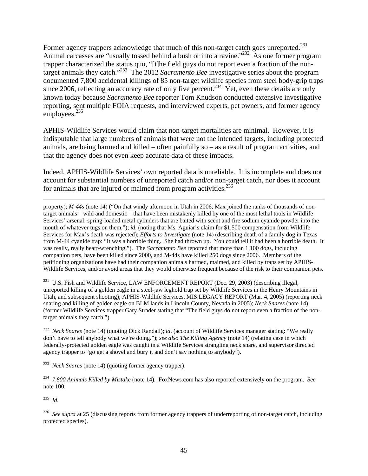Former agency trappers acknowledge that much of this non-target catch goes unreported.<sup>231</sup> Animal carcasses are "usually tossed behind a bush or into a ravine."<sup>232</sup> As one former program trapper characterized the status quo, "[t]he field guys do not report even a fraction of the nontarget animals they catch."233 The 2012 *Sacramento Bee* investigative series about the program documented 7,800 accidental killings of 85 non-target wildlife species from steel body-grip traps since 2006, reflecting an accuracy rate of only five percent.<sup>234</sup> Yet, even these details are only known today because *Sacramento Bee* reporter Tom Knudson conducted extensive investigative reporting, sent multiple FOIA requests, and interviewed experts, pet owners, and former agency employees.<sup>235</sup>

APHIS-Wildlife Services would claim that non-target mortalities are minimal. However, it is indisputable that large numbers of animals that were not the intended targets, including protected animals, are being harmed and killed – often painfully so – as a result of program activities, and that the agency does not even keep accurate data of these impacts.

Indeed, APHIS-Wildlife Services' own reported data is unreliable. It is incomplete and does not account for substantial numbers of unreported catch and/or non-target catch, nor does it account for animals that are injured or maimed from program activities. $^{236}$ 

property); *M-44s* (note 14) ("On that windy afternoon in Utah in 2006, Max joined the ranks of thousands of nontarget animals – wild and domestic – that have been mistakenly killed by one of the most lethal tools in Wildlife Services' arsenal: spring-loaded metal cylinders that are baited with scent and fire sodium cyanide powder into the mouth of whatever tugs on them."); *id.* (noting that Ms. Aguiar's claim for \$1,500 compensation from Wildlife Services for Max's death was rejected); *Efforts to Investigate* (note 14) (describing death of a family dog in Texas from M-44 cyanide trap: "It was a horrible thing. She had thrown up. You could tell it had been a horrible death. It was really, really heart-wrenching."). The *Sacramento Bee* reported that more than 1,100 dogs, including companion pets, have been killed since 2000, and M-44s have killed 250 dogs since 2006. Members of the petitioning organizations have had their companion animals harmed, maimed, and killed by traps set by APHIS-Wildlife Services, and/or avoid areas that they would otherwise frequent because of the risk to their companion pets.

<sup>231</sup> U.S. Fish and Wildlife Service, LAW ENFORCEMENT REPORT (Dec. 29, 2003) (describing illegal, unreported killing of a golden eagle in a steel-jaw leghold trap set by Wildlife Services in the Henry Mountains in Utah, and subsequent shooting); APHIS-Wildlife Services, MIS LEGACY REPORT (Mar. 4, 2005) (reporting neck snaring and killing of golden eagle on BLM lands in Lincoln County, Nevada in 2005); *Neck Snares* (note 14) (former Wildlife Services trapper Gary Strader stating that "The field guys do not report even a fraction of the nontarget animals they catch.").

232 *Neck Snares* (note 14) (quoting Dick Randall); *id*. (account of Wildlife Services manager stating: "We really don't have to tell anybody what we're doing."); *see also The Killing Agency* (note 14) (relating case in which federally-protected golden eagle was caught in a Wildlife Services strangling neck snare, and supervisor directed agency trapper to "go get a shovel and bury it and don't say nothing to anybody").

233 *Neck Snares* (note 14) (quoting former agency trapper).

234 *7,800 Animals Killed by Mistake* (note 14). FoxNews.com has also reported extensively on the program. *See*  note 100.

235 *Id*.

<sup>236</sup> *See supra* at 25 (discussing reports from former agency trappers of underreporting of non-target catch, including protected species).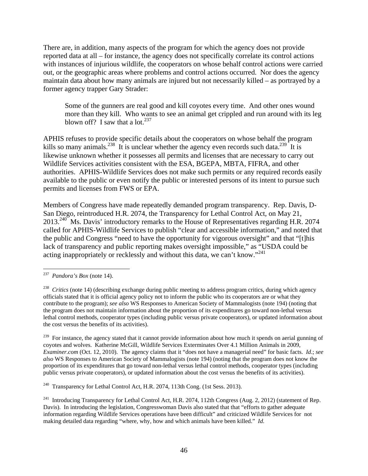There are, in addition, many aspects of the program for which the agency does not provide reported data at all – for instance, the agency does not specifically correlate its control actions with instances of injurious wildlife, the cooperators on whose behalf control actions were carried out, or the geographic areas where problems and control actions occurred. Nor does the agency maintain data about how many animals are injured but not necessarily killed – as portrayed by a former agency trapper Gary Strader:

Some of the gunners are real good and kill coyotes every time. And other ones wound more than they kill. Who wants to see an animal get crippled and run around with its leg blown off? I saw that a lot.<sup>237</sup>

APHIS refuses to provide specific details about the cooperators on whose behalf the program kills so many animals.<sup>238</sup> It is unclear whether the agency even records such data.<sup>239</sup> It is likewise unknown whether it possesses all permits and licenses that are necessary to carry out Wildlife Services activities consistent with the ESA, BGEPA, MBTA, FIFRA, and other authorities. APHIS-Wildlife Services does not make such permits or any required records easily available to the public or even notify the public or interested persons of its intent to pursue such permits and licenses from FWS or EPA.

Members of Congress have made repeatedly demanded program transparency. Rep. Davis, D-San Diego, reintroduced H.R. 2074, the Transparency for Lethal Control Act, on May 21, 2013.<sup>240</sup> Ms. Davis' introductory remarks to the House of Representatives regarding H.R. 2074 called for APHIS-Wildlife Services to publish "clear and accessible information," and noted that the public and Congress "need to have the opportunity for vigorous oversight" and that "[t]his lack of transparency and public reporting makes oversight impossible," as "USDA could be acting inappropriately or recklessly and without this data, we can't know."<sup>241</sup>

 $\overline{a}$ 

<sup>239</sup> For instance, the agency stated that it cannot provide information about how much it spends on aerial gunning of coyotes and wolves. Katherine McGill, Wildlife Services Exterminates Over 4.1 Million Animals in 2009, *Examiner.com* (Oct. 12, 2010). The agency claims that it "does not have a managerial need" for basic facts. *Id*.; *see also* WS Responses to American Society of Mammalogists (note 194) (noting that the program does not know the proportion of its expenditures that go toward non-lethal versus lethal control methods, cooperator types (including public versus private cooperators), or updated information about the cost versus the benefits of its activities).

<sup>240</sup> Transparency for Lethal Control Act, H.R. 2074, 113th Cong. (1st Sess. 2013).

<sup>237</sup> *Pandora's Box* (note 14).

<sup>&</sup>lt;sup>238</sup> *Critics* (note 14) (describing exchange during public meeting to address program critics, during which agency officials stated that it is official agency policy not to inform the public who its cooperators are or what they contribute to the program); *see also* WS Responses to American Society of Mammalogists (note 194) (noting that the program does not maintain information about the proportion of its expenditures go toward non-lethal versus lethal control methods, cooperator types (including public versus private cooperators), or updated information about the cost versus the benefits of its activities).

<sup>&</sup>lt;sup>241</sup> Introducing Transparency for Lethal Control Act, H.R. 2074, 112th Congress (Aug. 2, 2012) (statement of Rep. Davis). In introducing the legislation, Congresswoman Davis also stated that that "efforts to gather adequate information regarding Wildlife Services operations have been difficult" and criticized Wildlife Services for not making detailed data regarding "where, why, how and which animals have been killed." *Id*.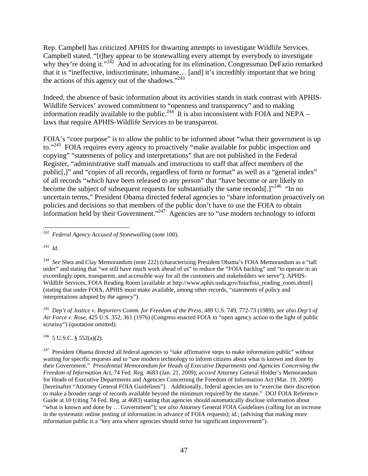Rep. Campbell has criticized APHIS for thwarting attempts to investigate Wildlife Services. Campbell stated, "[t]hey appear to be stonewalling every attempt by everybody to investigate why they're doing it."<sup>242</sup> And in advocating for its elimination, Congressman DeFazio remarked that it is "ineffective, indiscriminate, inhumane… [and] it's incredibly important that we bring the actions of this agency out of the shadows."<sup>243</sup>

Indeed, the absence of basic information about its activities stands in stark contrast with APHIS-Wildlife Services' avowed commitment to "openness and transparency" and to making information readily available to the public.<sup>244</sup> It is also inconsistent with FOIA and NEPA – laws that require APHIS-Wildlife Services to be transparent.

FOIA's "core purpose" is to allow the public to be informed about "what their government is up to."<sup>245</sup> FOIA requires every agency to proactively "make available for public inspection and copying" "statements of policy and interpretations" that are not published in the Federal Register, "administrative staff manuals and instructions to staff that affect members of the public[,]" and "copies of all records, regardless of form or format" as well as a "general index" of all records "which have been released to any person" that "have become or are likely to become the subject of subsequent requests for substantially the same records[.] $^{246}$  "In no uncertain terms," President Obama directed federal agencies to "share information proactively on policies and decisions so that members of the public don't have to use the FOIA to obtain information held by their Government."247 Agencies are to "use modern technology to inform

245 *Dep't of Justice v. Reporters Comm. for Freedom of the Press*, 489 U.S. 749, 772-73 (1989); *see also Dep't of Air Force v. Rose*, 425 U.S. 352, 361 (1976) (Congress enacted FOIA to "open agency action to the light of public scrutiny") (quotation omitted).

 $246$  5 U.S.C. § 552(a)(2).

 $247$  President Obama directed all federal agencies to "take affirmative steps to make information public" without waiting for specific requests and to "use modern technology to inform citizens about what is known and done by their Government." *Presidential Memorandum for Heads of Executive Departments and Agencies Concerning the Freedom of Information Act*, 74 Fed. Reg. 4683 (Jan. 21, 2009); *accord* Attorney General Holder's Memorandum for Heads of Executive Departments and Agencies Concerning the Freedom of Information Act (Mar. 19, 2009) [hereinafter "Attorney General FOIA Guidelines"]. Additionally, federal agencies are to "exercise their discretion to make a broader range of records available beyond the minimum required by the statute." DOJ FOIA Reference Guide at 10 (citing 74 Fed. Reg. at 4683) stating that agencies should automatically disclose information about "what is known and done by … Government"); *see also* Attorney General FOIA Guidelines (calling for an increase in the systematic online posting of information in advance of FOIA requests); *id.*; (advising that making more information public is a "key area where agencies should strive for significant improvement").

 $\overline{a}$ 242 *Federal Agency Accused of Stonewalling* (note 100).

<sup>243</sup> *Id*.

<sup>&</sup>lt;sup>244</sup> See Shea and Clay Memorandum (note 222) (characterizing President Obama's FOIA Memorandum as a "tall order" and stating that "we still have much work ahead of us" to reduce the "FOIA backlog" and "to operate in an exceedingly open, transparent, and accessible way for all the customers and stakeholders we serve"); APHIS-Wildlife Services, FOIA Reading Room [available at http://www.aphis.usda.gov/foia/foia\_reading\_room.shtml] (stating that under FOIA, APHIS must make available, among other records, "statements of policy and interpretations adopted by the agency").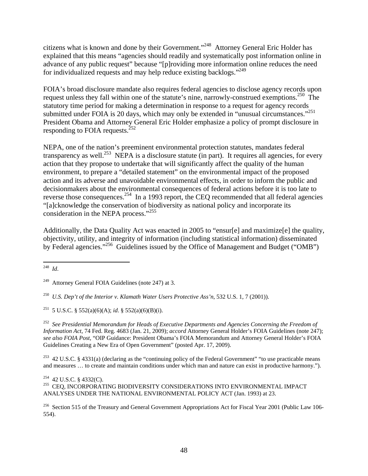citizens what is known and done by their Government."248 Attorney General Eric Holder has explained that this means "agencies should readily and systematically post information online in advance of any public request" because "[p]roviding more information online reduces the need for individualized requests and may help reduce existing backlogs."249

FOIA's broad disclosure mandate also requires federal agencies to disclose agency records upon request unless they fall within one of the statute's nine, narrowly-construed exemptions.<sup>250</sup> The statutory time period for making a determination in response to a request for agency records submitted under FOIA is 20 days, which may only be extended in "unusual circumstances."<sup>251</sup> President Obama and Attorney General Eric Holder emphasize a policy of prompt disclosure in responding to FOIA requests.<sup>252</sup>

NEPA, one of the nation's preeminent environmental protection statutes, mandates federal transparency as well.<sup>253</sup> NEPA is a disclosure statute (in part). It requires all agencies, for every action that they propose to undertake that will significantly affect the quality of the human environment, to prepare a "detailed statement" on the environmental impact of the proposed action and its adverse and unavoidable environmental effects, in order to inform the public and decisionmakers about the environmental consequences of federal actions before it is too late to reverse those consequences.<sup>254</sup> In a 1993 report, the CEQ recommended that all federal agencies "[a]cknowledge the conservation of biodiversity as national policy and incorporate its consideration in the NEPA process."<sup>255</sup>

Additionally, the Data Quality Act was enacted in 2005 to "ensur[e] and maximize[e] the quality, objectivity, utility, and integrity of information (including statistical information) disseminated by Federal agencies."<sup>256</sup> Guidelines issued by the Office of Management and Budget ("OMB")

252 *See Presidential Memorandum for Heads of Executive Departments and Agencies Concerning the Freedom of Information Act*, 74 Fed. Reg. 4683 (Jan. 21, 2009); *accord* Attorney General Holder's FOIA Guidelines (note 247); *see also FOIA Post*, "OIP Guidance: President Obama's FOIA Memorandum and Attorney General Holder's FOIA Guidelines Creating a New Era of Open Government" (posted Apr. 17, 2009).

<sup>253</sup> 42 U.S.C. § 4331(a) (declaring as the "continuing policy of the Federal Government" "to use practicable means and measures … to create and maintain conditions under which man and nature can exist in productive harmony.").

<sup>256</sup> Section 515 of the Treasury and General Government Appropriations Act for Fiscal Year 2001 (Public Law 106-554).

 $\overline{a}$ 248 *Id*.

<sup>&</sup>lt;sup>249</sup> Attorney General FOIA Guidelines (note 247) at 3.

<sup>250</sup> *U.S. Dep't of the Interior v. Klamath Water Users Protective Ass'n*, 532 U.S. 1, 7 (2001)).

<sup>&</sup>lt;sup>251</sup> 5 U.S.C. § 552(a)(6)(A); *id*. § 552(a)(6)(B)(i).

 $^{254}$  42 U.S.C. § 4332(C). 255 CEQ, INCORPORATING BIODIVERSITY CONSIDERATIONS INTO ENVIRONMENTAL IMPACT ANALYSES UNDER THE NATIONAL ENVIRONMENTAL POLICY ACT (Jan. 1993) at 23.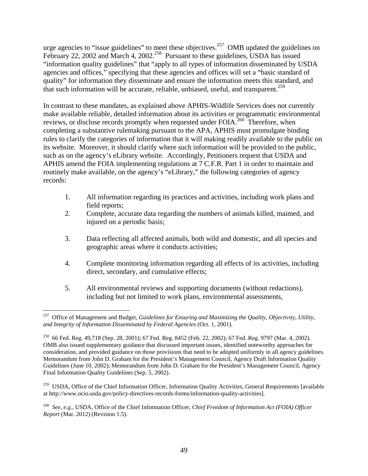urge agencies to "issue guidelines" to meet these objectives.<sup>257</sup> OMB updated the guidelines on February 22, 2002 and March 4, 2002.<sup>258</sup> Pursuant to these guidelines, USDA has issued "information quality guidelines" that "apply to all types of information disseminated by USDA agencies and offices," specifying that these agencies and offices will set a "basic standard of quality" for information they disseminate and ensure the information meets this standard, and that such information will be accurate, reliable, unbiased, useful, and transparent.<sup>259</sup>

In contrast to these mandates, as explained above APHIS-Wildlife Services does not currently make available reliable, detailed information about its activities or programmatic environmental reviews, or disclose records promptly when requested under FOIA.<sup>260</sup> Therefore, when completing a substantive rulemaking pursuant to the APA, APHIS must promulgate binding rules to clarify the categories of information that it will making readily available to the public on its website. Moreover, it should clarify where such information will be provided to the public, such as on the agency's eLibrary website. Accordingly, Petitioners request that USDA and APHIS amend the FOIA implementing regulations at 7 C.F.R. Part 1 in order to maintain and routinely make available, on the agency's "eLibrary," the following categories of agency records:

- 1. All information regarding its practices and activities, including work plans and field reports;
- 2. Complete, accurate data regarding the numbers of animals killed, maimed, and injured on a periodic basis;
- 3. Data reflecting all affected animals, both wild and domestic, and all species and geographic areas where it conducts activities;
- 4. Complete monitoring information regarding all effects of its activities, including direct, secondary, and cumulative effects;
- 5. All environmental reviews and supporting documents (without redactions), including but not limited to work plans, environmental assessments,

<sup>257</sup> Office of Management and Budget, *Guidelines for Ensuring and Maximizing the Quality, Objectivity, Utility, and Integrity of Information Disseminated by Federal Agencies* (Oct. 1, 2001).

<sup>258 66</sup> Fed. Reg. 49,718 (Sep. 28, 2001); 67 Fed. Reg. 8452 (Feb. 22, 2002); 67 Fed. Reg. 9797 (Mar. 4, 2002). OMB also issued supplementary guidance that discussed important issues, identified noteworthy approaches for consideration, and provided guidance on those provisions that need to be adopted uniformly in all agency guidelines. Memorandum from John D. Graham for the President's Management Council, Agency Draft Information Quality Guidelines (June 10, 2002); Memorandum from John D. Graham for the President's Management Council, Agency Final Information Quality Guidelines (Sep. 5, 2002).

<sup>&</sup>lt;sup>259</sup> USDA, Office of the Chief Information Officer, Information Quality Activities, General Requirements [available at http://www.ocio.usda.gov/policy-directives-records-forms/information-quality-activities].

<sup>260</sup> *See*, *e.g.*, USDA, Office of the Chief Information Officer, *Chief Freedom of Information Act (FOIA) Officer Report* (Mar. 2012) (Revision 1.5).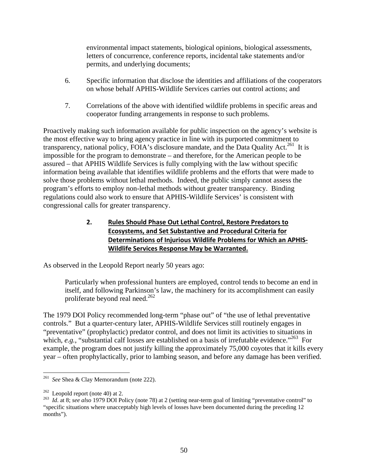environmental impact statements, biological opinions, biological assessments, letters of concurrence, conference reports, incidental take statements and/or permits, and underlying documents;

- 6. Specific information that disclose the identities and affiliations of the cooperators on whose behalf APHIS-Wildlife Services carries out control actions; and
- 7. Correlations of the above with identified wildlife problems in specific areas and cooperator funding arrangements in response to such problems.

Proactively making such information available for public inspection on the agency's website is the most effective way to bring agency practice in line with its purported commitment to transparency, national policy, FOIA's disclosure mandate, and the Data Quality Act.<sup>261</sup> It is impossible for the program to demonstrate – and therefore, for the American people to be assured – that APHIS Wildlife Services is fully complying with the law without specific information being available that identifies wildlife problems and the efforts that were made to solve those problems without lethal methods. Indeed, the public simply cannot assess the program's efforts to employ non-lethal methods without greater transparency. Binding regulations could also work to ensure that APHIS-Wildlife Services' is consistent with congressional calls for greater transparency.

# **2. Rules Should Phase Out Lethal Control, Restore Predators to Ecosystems, and Set Substantive and Procedural Criteria for Determinations of Injurious Wildlife Problems for Which an APHIS‐ Wildlife Services Response May be Warranted.**

As observed in the Leopold Report nearly 50 years ago:

Particularly when professional hunters are employed, control tends to become an end in itself, and following Parkinson's law, the machinery for its accomplishment can easily proliferate beyond real need.262

The 1979 DOI Policy recommended long-term "phase out" of "the use of lethal preventative controls." But a quarter-century later, APHIS-Wildlife Services still routinely engages in "preventative" (prophylactic) predator control, and does not limit its activities to situations in which, *e.g.*, "substantial calf losses are established on a basis of irrefutable evidence."<sup>263</sup> For example, the program does not justify killing the approximately 75,000 coyotes that it kills every year – often prophylactically, prior to lambing season, and before any damage has been verified.

<sup>1</sup> 261 *See* Shea & Clay Memorandum (note 222).

<sup>262</sup> Leopold report (note 40) at 2. 263 *Id*. at 8; *see also* 1979 DOI Policy (note 78) at 2 (setting near-term goal of limiting "preventative control" to "specific situations where unacceptably high levels of losses have been documented during the preceding 12 months").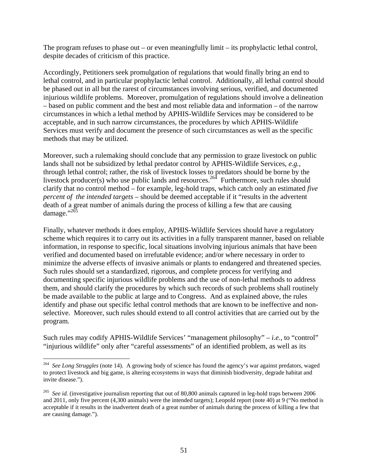The program refuses to phase out – or even meaningfully limit – its prophylactic lethal control, despite decades of criticism of this practice.

Accordingly, Petitioners seek promulgation of regulations that would finally bring an end to lethal control, and in particular prophylactic lethal control. Additionally, all lethal control should be phased out in all but the rarest of circumstances involving serious, verified, and documented injurious wildlife problems. Moreover, promulgation of regulations should involve a delineation – based on public comment and the best and most reliable data and information – of the narrow circumstances in which a lethal method by APHIS-Wildlife Services may be considered to be acceptable, and in such narrow circumstances, the procedures by which APHIS-Wildlife Services must verify and document the presence of such circumstances as well as the specific methods that may be utilized.

Moreover, such a rulemaking should conclude that any permission to graze livestock on public lands shall not be subsidized by lethal predator control by APHIS-Wildlife Services, *e.g.*, through lethal control; rather, the risk of livestock losses to predators should be borne by the livestock producer(s) who use public lands and resources.<sup>264</sup> Furthermore, such rules should clarify that no control method – for example, leg-hold traps, which catch only an estimated *five percent of the intended targets* – should be deemed acceptable if it "results in the advertent death of a great number of animals during the process of killing a few that are causing damage."<sup>265</sup>

Finally, whatever methods it does employ, APHIS-Wildlife Services should have a regulatory scheme which requires it to carry out its activities in a fully transparent manner, based on reliable information, in response to specific, local situations involving injurious animals that have been verified and documented based on irrefutable evidence; and/or where necessary in order to minimize the adverse effects of invasive animals or plants to endangered and threatened species. Such rules should set a standardized, rigorous, and complete process for verifying and documenting specific injurious wildlife problems and the use of non-lethal methods to address them, and should clarify the procedures by which such records of such problems shall routinely be made available to the public at large and to Congress. And as explained above, the rules identify and phase out specific lethal control methods that are known to be ineffective and nonselective. Moreover, such rules should extend to all control activities that are carried out by the program.

Such rules may codify APHIS-Wildlife Services' "management philosophy" – *i.e.*, to "control" "injurious wildlife" only after "careful assessments" of an identified problem, as well as its

<sup>264</sup> *See Long Struggles* (note 14). A growing body of science has found the agency's war against predators, waged to protect livestock and big game, is altering ecosystems in ways that diminish biodiversity, degrade habitat and invite disease.").

<sup>&</sup>lt;sup>265</sup> *See id.* (investigative journalism reporting that out of 80,800 animals captured in leg-hold traps between 2006 and 2011, only five percent (4,300 animals) were the intended targets); Leopold report (note 40) at 9 ("No method is acceptable if it results in the inadvertent death of a great number of animals during the process of killing a few that are causing damage.").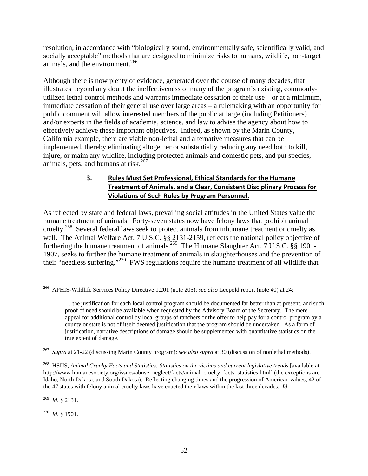resolution, in accordance with "biologically sound, environmentally safe, scientifically valid, and socially acceptable" methods that are designed to minimize risks to humans, wildlife, non-target animals, and the environment.<sup>266</sup>

Although there is now plenty of evidence, generated over the course of many decades, that illustrates beyond any doubt the ineffectiveness of many of the program's existing, commonlyutilized lethal control methods and warrants immediate cessation of their use – or at a minimum, immediate cessation of their general use over large areas – a rulemaking with an opportunity for public comment will allow interested members of the public at large (including Petitioners) and/or experts in the fields of academia, science, and law to advise the agency about how to effectively achieve these important objectives. Indeed, as shown by the Marin County, California example, there are viable non-lethal and alternative measures that can be implemented, thereby eliminating altogether or substantially reducing any need both to kill, injure, or maim any wildlife, including protected animals and domestic pets, and put species, animals, pets, and humans at risk.<sup>267</sup>

# **3. Rules Must Set Professional, Ethical Standards for the Humane Treatment of Animals, and a Clear, Consistent Disciplinary Process for Violations of Such Rules by Program Personnel.**

As reflected by state and federal laws, prevailing social attitudes in the United States value the humane treatment of animals. Forty-seven states now have felony laws that prohibit animal cruelty.<sup>268</sup> Several federal laws seek to protect animals from inhumane treatment or cruelty as well. The Animal Welfare Act, 7 U.S.C. §§ 2131-2159, reflects the national policy objective of furthering the humane treatment of animals.<sup>269</sup> The Humane Slaughter Act,  $7 \text{ U.S.C. }$  §§ 1901-1907, seeks to further the humane treatment of animals in slaughterhouses and the prevention of their "needless suffering."270 FWS regulations require the humane treatment of all wildlife that

269 *Id*. § 2131.

270 *Id*. § 1901.

<sup>1</sup> 266 APHIS-Wildlife Services Policy Directive 1.201 (note 205); *see also* Leopold report (note 40) at 24:

<sup>…</sup> the justification for each local control program should be documented far better than at present, and such proof of need should be available when requested by the Advisory Board or the Secretary. The mere appeal for additional control by local groups of ranchers or the offer to help pay for a control program by a county or state is not of itself deemed justification that the program should be undertaken. As a form of justification, narrative descriptions of damage should be supplemented with quantitative statistics on the true extent of damage.

<sup>267</sup> *Supra* at 21-22 (discussing Marin County program); *see also supra* at 30 (discussion of nonlethal methods).

<sup>268</sup> HSUS, *Animal Cruelty Facts and Statistics: Statistics on the victims and current legislative trends* [available at http://www.humanesociety.org/issues/abuse\_neglect/facts/animal\_cruelty\_facts\_statistics html] (the exceptions are Idaho, North Dakota, and South Dakota). Reflecting changing times and the progression of American values, 42 of the 47 states with felony animal cruelty laws have enacted their laws within the last three decades. *Id*.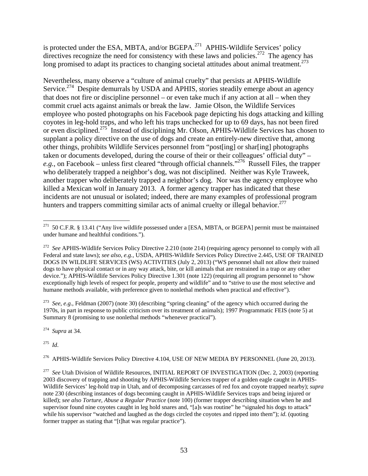is protected under the ESA, MBTA, and/or BGEPA.<sup>271</sup> APHIS-Wildlife Services' policy directives recognize the need for consistency with these laws and policies.<sup>272</sup> The agency has long promised to adapt its practices to changing societal attitudes about animal treatment.<sup>273</sup>

Nevertheless, many observe a "culture of animal cruelty" that persists at APHIS-Wildlife Service.<sup>274</sup> Despite demurrals by USDA and APHIS, stories steadily emerge about an agency that does not fire or discipline personnel – or even take much if any action at all – when they commit cruel acts against animals or break the law. Jamie Olson, the Wildlife Services employee who posted photographs on his Facebook page depicting his dogs attacking and killing coyotes in leg-hold traps, and who left his traps unchecked for up to 69 days, has not been fired or even disciplined.275 Instead of disciplining Mr. Olson, APHIS-Wildlife Services has chosen to supplant a policy directive on the use of dogs and create an entirely-new directive that, among other things, prohibits Wildlife Services personnel from "post[ing] or shar[ing] photographs taken or documents developed, during the course of their or their colleagues' official duty" – *e.g.*, on Facebook – unless first cleared "through official channels."<sup>276</sup> Russell Files, the trapper who deliberately trapped a neighbor's dog, was not disciplined. Neither was Kyle Traweek, another trapper who deliberately trapped a neighbor's dog. Nor was the agency employee who killed a Mexican wolf in January 2013. A former agency trapper has indicated that these incidents are not unusual or isolated; indeed, there are many examples of professional program hunters and trappers committing similar acts of animal cruelty or illegal behavior.<sup>277</sup>

273 *See*, *e.g.*, Feldman (2007) (note 30) (describing "spring cleaning" of the agency which occurred during the 1970s, in part in response to public criticism over its treatment of animals); 1997 Programmatic FEIS (note 5) at Summary 8 (promising to use nonlethal methods "whenever practical").

274 *Supra* at 34.

275 *Id*.

<sup>276</sup> APHIS-Wildlife Services Policy Directive 4.104, USE OF NEW MEDIA BY PERSONNEL (June 20, 2013).

 $\overline{a}$  $271$  50 C.F.R. § 13.41 ("Any live wildlife possessed under a [ESA, MBTA, or BGEPA] permit must be maintained under humane and healthful conditions.").

<sup>&</sup>lt;sup>272</sup> See APHIS-Wildlife Services Policy Directive 2.210 (note 214) (requiring agency personnel to comply with all Federal and state laws); *see also*, *e.g.*, USDA, APHIS-Wildlife Services Policy Directive 2.445, USE OF TRAINED DOGS IN WILDLIFE SERVICES (WS) ACTIVITIES (July 2, 2013) ("WS personnel shall not allow their trained dogs to have physical contact or in any way attack, bite, or kill animals that are restrained in a trap or any other device."); APHIS-Wildlife Services Policy Directive 1.301 (note 122) (requiring all program personnel to "show exceptionally high levels of respect for people, property and wildlife" and to "strive to use the most selective and humane methods available, with preference given to nonlethal methods when practical and effective").

<sup>&</sup>lt;sup>277</sup> See Utah Division of Wildlife Resources, INITIAL REPORT OF INVESTIGATION (Dec. 2, 2003) (reporting 2003 discovery of trapping and shooting by APHIS-Wildlife Services trapper of a golden eagle caught in APHIS-Wildlife Services' leg-hold trap in Utah, and of decomposing carcasses of red fox and coyote trapped nearby); *supra* note 230 (describing instances of dogs becoming caught in APHIS-Wildlife Services traps and being injured or killed); *see also Torture, Abuse a Regular Practice* (note 100) (former trapper describing situation when he and supervisor found nine coyotes caught in leg hold snares and, "[a]s was routine" he "signaled his dogs to attack" while his supervisor "watched and laughed as the dogs circled the coyotes and ripped into them"); *id*. (quoting former trapper as stating that "[t]hat was regular practice").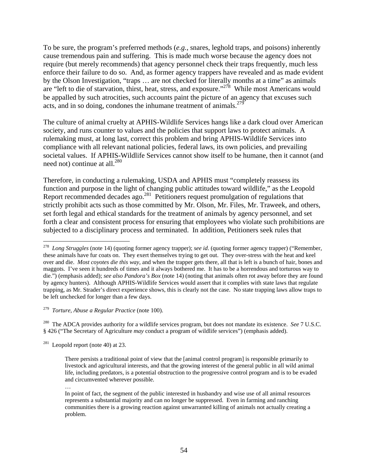To be sure, the program's preferred methods (*e.g.*, snares, leghold traps, and poisons) inherently cause tremendous pain and suffering. This is made much worse because the agency does not require (but merely recommends) that agency personnel check their traps frequently, much less enforce their failure to do so. And, as former agency trappers have revealed and as made evident by the Olson Investigation, "traps … are not checked for literally months at a time" as animals are "left to die of starvation, thirst, heat, stress, and exposure."<sup>278</sup> While most Americans would be appalled by such atrocities, such accounts paint the picture of an agency that excuses such acts, and in so doing, condones the inhumane treatment of animals.<sup> $279$ </sup>

The culture of animal cruelty at APHIS-Wildlife Services hangs like a dark cloud over American society, and runs counter to values and the policies that support laws to protect animals. A rulemaking must, at long last, correct this problem and bring APHIS-Wildlife Services into compliance with all relevant national policies, federal laws, its own policies, and prevailing societal values. If APHIS-Wildlife Services cannot show itself to be humane, then it cannot (and need not) continue at all.<sup>280</sup>

Therefore, in conducting a rulemaking, USDA and APHIS must "completely reassess its function and purpose in the light of changing public attitudes toward wildlife," as the Leopold Report recommended decades ago.<sup>281</sup> Petitioners request promulgation of regulations that strictly prohibit acts such as those committed by Mr. Olson, Mr. Files, Mr. Traweek, and others, set forth legal and ethical standards for the treatment of animals by agency personnel, and set forth a clear and consistent process for ensuring that employees who violate such prohibitions are subjected to a disciplinary process and terminated. In addition, Petitioners seek rules that

 $281$  Leopold report (note 40) at 23.

<sup>278</sup> *Long Struggles* (note 14) (quoting former agency trapper); *see id*. (quoting former agency trapper) ("Remember, these animals have fur coats on. They exert themselves trying to get out. They over-stress with the heat and keel over and die. *Most coyotes die this way*, and when the trapper gets there, all that is left is a bunch of hair, bones and maggots. I've seen it hundreds of times and it always bothered me. It has to be a horrendous and torturous way to die.") (emphasis added); *see also Pandora's Box* (note 14) (noting that animals often rot away before they are found by agency hunters). Although APHIS-Wildlife Services would assert that it complies with state laws that regulate trapping, as Mr. Strader's direct experience shows, this is clearly not the case. No state trapping laws allow traps to be left unchecked for longer than a few days.

<sup>279</sup> *Torture, Abuse a Regular Practice* (note 100).

<sup>280</sup> The ADCA provides authority for a wildlife services program, but does not mandate its existence. *See* 7 U.S.C. § 426 ("The Secretary of Agriculture *may* conduct a program of wildlife services") (emphasis added).

There persists a traditional point of view that the [animal control program] is responsible primarily to livestock and agricultural interests, and that the growing interest of the general public in all wild animal life, including predators, is a potential obstruction to the progressive control program and is to be evaded and circumvented wherever possible.

<sup>…</sup> 

In point of fact, the segment of the public interested in husbandry and wise use of all animal resources represents a substantial majority and can no longer be suppressed. Even in farming and ranching communities there is a growing reaction against unwarranted killing of animals not actually creating a problem.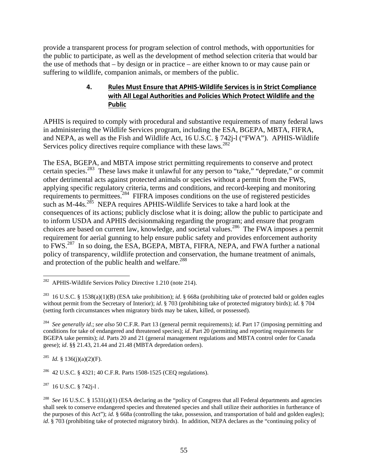provide a transparent process for program selection of control methods, with opportunities for the public to participate, as well as the development of method selection criteria that would bar the use of methods that – by design or in practice – are either known to or may cause pain or suffering to wildlife, companion animals, or members of the public.

#### **4. Rules Must Ensure that APHIS‐Wildlife Services is in Strict Compliance with All Legal Authorities and Policies Which Protect Wildlife and the Public**

APHIS is required to comply with procedural and substantive requirements of many federal laws in administering the Wildlife Services program, including the ESA, BGEPA, MBTA, FIFRA, and NEPA, as well as the Fish and Wildlife Act, 16 U.S.C. § 742j-l ("FWA"). APHIS-Wildlife Services policy directives require compliance with these laws.<sup>282</sup>

The ESA, BGEPA, and MBTA impose strict permitting requirements to conserve and protect certain species.<sup>283</sup> These laws make it unlawful for any person to "take," "depredate," or commit other detrimental acts against protected animals or species without a permit from the FWS, applying specific regulatory criteria, terms and conditions, and record-keeping and monitoring requirements to permittees.<sup>284</sup> FIFRA imposes conditions on the use of registered pesticides such as M-44s.<sup>285</sup> NEPA requires APHIS-Wildlife Services to take a hard look at the consequences of its actions; publicly disclose what it is doing; allow the public to participate and to inform USDA and APHIS decisionmaking regarding the program; and ensure that program choices are based on current law, knowledge, and societal values.<sup>286</sup> The FWA imposes a permit requirement for aerial gunning to help ensure public safety and provides enforcement authority to FWS.<sup>287</sup> In so doing, the ESA, BGEPA, MBTA, FIFRA, NEPA, and FWA further a national policy of transparency, wildlife protection and conservation, the humane treatment of animals, and protection of the public health and welfare.<sup>288</sup>

285 *Id.* § 136(j)(a)(2)(F).

286 42 U.S.C. § 4321; 40 C.F.R. Parts 1508-1525 (CEQ regulations).

 $287$  16 U.S.C. § 742*i*-1.

<sup>282</sup> 282 APHIS-Wildlife Services Policy Directive 1.210 (note 214).

<sup>283 16</sup> U.S.C. § 1538(a)(1)(B) (ESA take prohibition); *id*. § 668a (prohibiting take of protected bald or golden eagles without permit from the Secretary of Interior); *id*. § 703 (prohibiting take of protected migratory birds); *id*. § 704 (setting forth circumstances when migratory birds may be taken, killed, or possessed).

<sup>284</sup> *See generally id*.; *see also* 50 C.F.R. Part 13 (general permit requirements); *id*. Part 17 (imposing permitting and conditions for take of endangered and threatened species); *id*. Part 20 (permitting and reporting requirements for BGEPA take permits); *id*. Parts 20 and 21 (general management regulations and MBTA control order for Canada geese); *id*. §§ 21.43, 21.44 and 21.48 (MBTA depredation orders).

<sup>288</sup> *See* 16 U.S.C. § 1531(a)(1) (ESA declaring as the "policy of Congress that all Federal departments and agencies shall seek to conserve endangered species and threatened species and shall utilize their authorities in furtherance of the purposes of this Act"); *id*. § 668a (controlling the take, possession, and transportation of bald and golden eagles); *id*. § 703 (prohibiting take of protected migratory birds). In addition, NEPA declares as the "continuing policy of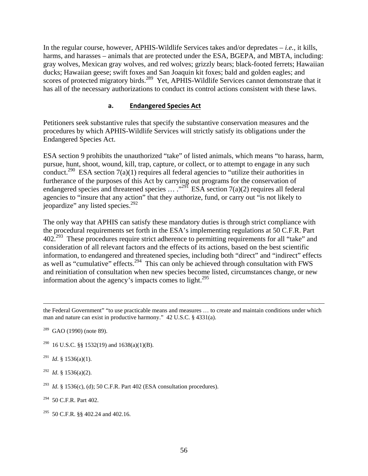In the regular course, however, APHIS-Wildlife Services takes and/or depredates – *i.e.*, it kills, harms, and harasses – animals that are protected under the ESA, BGEPA, and MBTA, including: gray wolves, Mexican gray wolves, and red wolves; grizzly bears; black-footed ferrets; Hawaiian ducks; Hawaiian geese; swift foxes and San Joaquin kit foxes; bald and golden eagles; and scores of protected migratory birds.<sup>289</sup> Yet, APHIS-Wildlife Services cannot demonstrate that it has all of the necessary authorizations to conduct its control actions consistent with these laws.

#### **a. Endangered Species Act**

Petitioners seek substantive rules that specify the substantive conservation measures and the procedures by which APHIS-Wildlife Services will strictly satisfy its obligations under the Endangered Species Act.

ESA section 9 prohibits the unauthorized "take" of listed animals, which means "to harass, harm, pursue, hunt, shoot, wound, kill, trap, capture, or collect, or to attempt to engage in any such conduct.<sup>290</sup> ESA section 7(a)(1) requires all federal agencies to "utilize their authorities in furtherance of the purposes of this Act by carrying out programs for the conservation of endangered species and threatened species  $\dots$  ...<sup>291</sup> ESA section 7(a)(2) requires all federal agencies to "insure that any action" that they authorize, fund, or carry out "is not likely to jeopardize" any listed species.<sup>292</sup>

The only way that APHIS can satisfy these mandatory duties is through strict compliance with the procedural requirements set forth in the ESA's implementing regulations at 50 C.F.R. Part  $402.<sup>293</sup>$  These procedures require strict adherence to permitting requirements for all "take" and consideration of all relevant factors and the effects of its actions, based on the best scientific information, to endangered and threatened species, including both "direct" and "indirect" effects as well as "cumulative" effects.<sup>294</sup> This can only be achieved through consultation with FWS and reinitiation of consultation when new species become listed, circumstances change, or new information about the agency's impacts comes to light. $^{295}$ 

- <sup>290</sup> 16 U.S.C. §§ 1532(19) and 1638(a)(1)(B).
- <sup>291</sup> *Id.* § 1536(a)(1).

292 *Id*. § 1536(a)(2).

<sup>293</sup> *Id.* § 1536(c), (d); 50 C.F.R. Part 402 (ESA consultation procedures).

 $294$  50 C.F.R. Part 402.

295 50 C.F.R. §§ 402.24 and 402.16.

the Federal Government" "to use practicable means and measures … to create and maintain conditions under which man and nature can exist in productive harmony." 42 U.S.C. § 4331(a).

 $289$  GAO (1990) (note 89).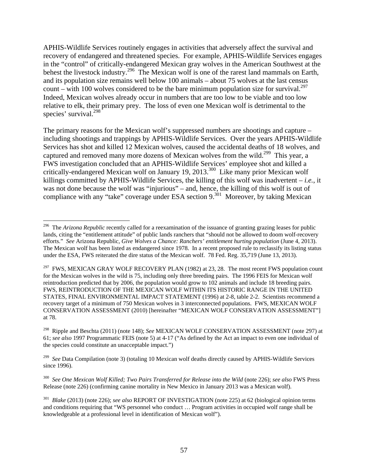APHIS-Wildlife Services routinely engages in activities that adversely affect the survival and recovery of endangered and threatened species. For example, APHIS-Wildlife Services engages in the "control" of critically-endangered Mexican gray wolves in the American Southwest at the behest the livestock industry.<sup>296</sup> The Mexican wolf is one of the rarest land mammals on Earth, and its population size remains well below 100 animals – about 75 wolves at the last census count – with 100 wolves considered to be the bare minimum population size for survival.<sup>297</sup> Indeed, Mexican wolves already occur in numbers that are too low to be viable and too low relative to elk, their primary prey. The loss of even one Mexican wolf is detrimental to the species' survival.<sup>298</sup>

The primary reasons for the Mexican wolf's suppressed numbers are shootings and capture – including shootings and trappings by APHIS-Wildlife Services. Over the years APHIS-Wildlife Services has shot and killed 12 Mexican wolves, caused the accidental deaths of 18 wolves, and captured and removed many more dozens of Mexican wolves from the wild.<sup>299</sup> This year, a FWS investigation concluded that an APHIS-Wildlife Services' employee shot and killed a critically-endangered Mexican wolf on January 19, 2013.<sup>300</sup> Like many prior Mexican wolf killings committed by APHIS-Wildlife Services, the killing of this wolf was inadvertent – *i.e.*, it was not done because the wolf was "injurious" – and, hence, the killing of this wolf is out of compliance with any "take" coverage under ESA section  $9^{301}$  Moreover, by taking Mexican

300 *See One Mexican Wolf Killed; Two Pairs Transferred for Release into the Wild* (note 226); *see also* FWS Press Release (note 226) (confirming canine mortality in New Mexico in January 2013 was a Mexican wolf).

<sup>1</sup> 296 The *Arizona Republic* recently called for a reexamination of the issuance of granting grazing leases for public lands, citing the "entitlement attitude" of public lands ranchers that "should not be allowed to doom wolf-recovery efforts." *See* Arizona Republic, *Give Wolves a Chance: Ranchers' entitlement hurting population* (June 4, 2013). The Mexican wolf has been listed as endangered since 1978. In a recent proposed rule to reclassify its listing status under the ESA, FWS reiterated the dire status of the Mexican wolf. 78 Fed. Reg. 35,719 (June 13, 2013).

<sup>&</sup>lt;sup>297</sup> FWS, MEXICAN GRAY WOLF RECOVERY PLAN (1982) at 23, 28. The most recent FWS population count for the Mexican wolves in the wild is 75, including only three breeding pairs. The 1996 FEIS for Mexican wolf reintroduction predicted that by 2006, the population would grow to 102 animals and include 18 breeding pairs. FWS, REINTRODUCTION OF THE MEXICAN WOLF WITHIN ITS HISTORIC RANGE IN THE UNITED STATES, FINAL ENVIRONMENTAL IMPACT STATEMENT (1996) at 2-8, table 2-2. Scientists recommend a recovery target of a minimum of 750 Mexican wolves in 3 interconnected populations. FWS, MEXICAN WOLF CONSERVATION ASSESSMENT (2010) [hereinafter "MEXICAN WOLF CONSERVATION ASSESSMENT"] at 78.

<sup>298</sup> Ripple and Beschta (2011) (note 148); *See* MEXICAN WOLF CONSERVATION ASSESSMENT (note 297) at 61; *see also* 1997 Programmatic FEIS (note 5) at 4-17 ("As defined by the Act an impact to even one individual of the species could constitute an unacceptable impact.")

<sup>&</sup>lt;sup>299</sup> *See* Data Compilation (note 3) (totaling 10 Mexican wolf deaths directly caused by APHIS-Wildlife Services since 1996).

<sup>301</sup> *Blake* (2013) (note 226); *see also* REPORT OF INVESTIGATION (note 225) at 62 (biological opinion terms and conditions requiring that "WS personnel who conduct … Program activities in occupied wolf range shall be knowledgeable at a professional level in identification of Mexican wolf").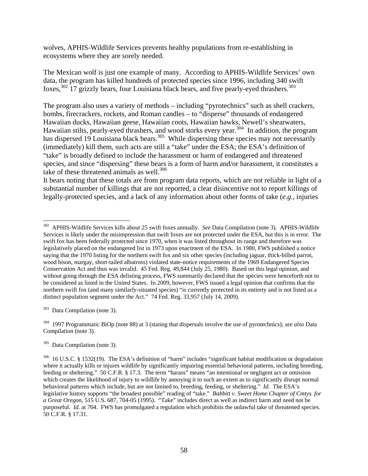wolves, APHIS-Wildlife Services prevents healthy populations from re-establishing in ecosystems where they are sorely needed.

The Mexican wolf is just one example of many. According to APHIS-Wildlife Services' own data, the program has killed hundreds of protected species since 1996, including 340 swift foxes,  $302$  17 grizzly bears, four Louisiana black bears, and five pearly-eyed thrashers.  $303$ 

The program also uses a variety of methods – including "pyrotechnics" such as shell crackers, bombs, firecrackers, rockets, and Roman candles – to "disperse" thousands of endangered Hawaiian ducks, Hawaiian geese, Hawaiian coots, Hawaiian hawks, Newell's shearwaters, Hawaiian stilts, pearly-eyed thrashers, and wood storks every year.<sup>304</sup> In addition, the program has dispersed 19 Louisiana black bears.<sup>305</sup> While dispersing these species may not necessarily (immediately) kill them, such acts are still a "take" under the ESA; the ESA's definition of "take" is broadly defined to include the harassment or harm of endangered and threatened species, and since "dispersing" these bears is a form of harm and/or harassment, it constitutes a take of these threatened animals as well. $306$ 

It bears noting that these totals are from program data reports, which are not reliable in light of a substantial number of killings that are not reported, a clear disincentive not to report killings of legally-protected species, and a lack of any information about other forms of take (*e.g.*, injuries

303 Data Compilation (note 3).

 $\overline{a}$ 

304 1997 Programmatic BiOp (note 88) at 3 (stating that dispersals involve the use of pyrotechnics); *see also* Data Compilation (note 3).

<sup>302</sup> APHIS-Wildlife Services kills about 25 swift foxes annually. *See* Data Compilation (note 3). APHIS-Wildlife Services is likely under the misimpression that swift foxes are not protected under the ESA, but this is in error. The swift fox has been federally protected since 1970, when it was listed throughout its range and therefore was legislatively placed on the endangered list in 1973 upon enactment of the ESA. In 1980, FWS published a notice saying that the 1970 listing for the northern swift fox and six other species (including jaguar, thick-billed parrot, wood bison, margay, short-tailed albatross) violated state-notice requirements of the 1969 Endangered Species Conservation Act and thus was invalid. 45 Fed. Reg. 49,844 (July 25, 1980). Based on this legal opinion, and without going through the ESA delisting process, FWS summarily declared that the species were henceforth not to be considered as listed in the United States. In 2009, however, FWS issued a legal opinion that confirms that the northern swift fox (and many similarly-situated species) "is currently protected in its entirety and is not listed as a distinct population segment under the Act." 74 Fed. Reg. 33,957 (July 14, 2009).

<sup>305</sup> Data Compilation (note 3).

 $306$  16 U.S.C. § 1532(19). The ESA's definition of "harm" includes "significant habitat modification or degradation where it actually kills or injures wildlife by significantly impairing essential behavioral patterns, including breeding, feeding or sheltering." 50 C.F.R. § 17.3. The term "harass" means "an intentional or negligent act or omission which creates the likelihood of injury to wildlife by annoying it to such an extent as to significantly disrupt normal behavioral patterns which include, but are not limited to, breeding, feeding, or sheltering." *Id.* The ESA's legislative history supports "the broadest possible" reading of "take." *Babbitt v. Sweet Home Chapter of Cmtys. for a Great Oregon*, 515 U.S. 687, 704-05 (1995). "Take" includes direct as well as indirect harm and need not be purposeful. *Id.* at 704. FWS has promulgated a regulation which prohibits the unlawful take of threatened species. 50 C.F.R. § 17.31.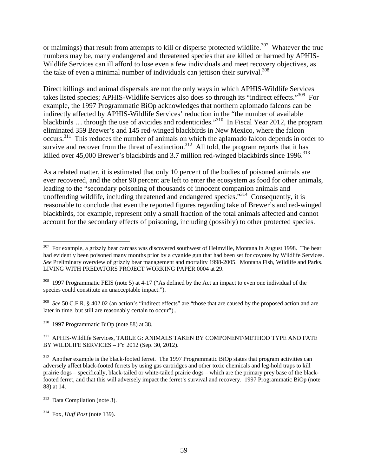or maimings) that result from attempts to kill or disperse protected wildlife.<sup>307</sup> Whatever the true numbers may be, many endangered and threatened species that are killed or harmed by APHIS-Wildlife Services can ill afford to lose even a few individuals and meet recovery objectives, as the take of even a minimal number of individuals can jettison their survival.<sup>308</sup>

Direct killings and animal dispersals are not the only ways in which APHIS-Wildlife Services takes listed species; APHIS-Wildlife Services also does so through its "indirect effects."309 For example, the 1997 Programmatic BiOp acknowledges that northern aplomado falcons can be indirectly affected by APHIS-Wildlife Services' reduction in the "the number of available blackbirds … through the use of avicides and rodenticides."310 In Fiscal Year 2012, the program eliminated 359 Brewer's and 145 red-winged blackbirds in New Mexico, where the falcon occurs.311 This reduces the number of animals on which the aplamado falcon depends in order to survive and recover from the threat of extinction.<sup>312</sup> All told, the program reports that it has killed over 45,000 Brewer's blackbirds and 3.7 million red-winged blackbirds since  $1996$ <sup>313</sup>

As a related matter, it is estimated that only 10 percent of the bodies of poisoned animals are ever recovered, and the other 90 percent are left to enter the ecosystem as food for other animals, leading to the "secondary poisoning of thousands of innocent companion animals and unoffending wildlife, including threatened and endangered species."<sup>314</sup> Consequently, it is reasonable to conclude that even the reported figures regarding take of Brewer's and red-winged blackbirds, for example, represent only a small fraction of the total animals affected and cannot account for the secondary effects of poisoning, including (possibly) to other protected species.

309 *See* 50 C.F.R. § 402.02 (an action's "indirect effects" are "those that are caused by the proposed action and are later in time, but still are reasonably certain to occur")..

310 1997 Programmatic BiOp (note 88) at 38.

311 APHIS-Wildlife Services, TABLE G: ANIMALS TAKEN BY COMPONENT/METHOD TYPE AND FATE BY WILDLIFE SERVICES – FY 2012 (Sep. 30, 2012).

 $307$  For example, a grizzly bear carcass was discovered southwest of Helmville, Montana in August 1998. The bear had evidently been poisoned many months prior by a cyanide gun that had been set for coyotes by Wildlife Services. *See* Preliminary overview of grizzly bear management and mortality 1998-2005. Montana Fish, Wildlife and Parks. LIVING WITH PREDATORS PROJECT WORKING PAPER 0004 at 29.

<sup>&</sup>lt;sup>308</sup> 1997 Programmatic FEIS (note 5) at 4-17 ("As defined by the Act an impact to even one individual of the species could constitute an unacceptable impact.").

<sup>&</sup>lt;sup>312</sup> Another example is the black-footed ferret. The 1997 Programmatic BiOp states that program activities can adversely affect black-footed ferrets by using gas cartridges and other toxic chemicals and leg-hold traps to kill prairie dogs – specifically, black-tailed or white-tailed prairie dogs – which are the primary prey base of the blackfooted ferret, and that this will adversely impact the ferret's survival and recovery. 1997 Programmatic BiOp (note 88) at 14.

<sup>313</sup> Data Compilation (note 3).

<sup>314</sup> Fox, *Huff Post* (note 139).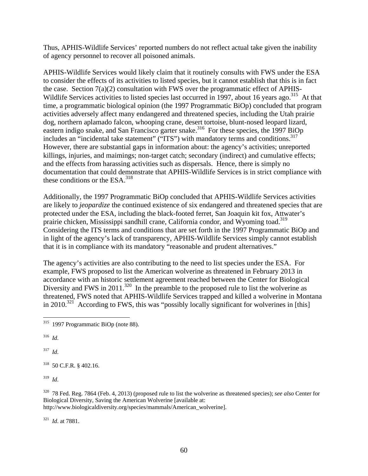Thus, APHIS-Wildlife Services' reported numbers do not reflect actual take given the inability of agency personnel to recover all poisoned animals.

APHIS-Wildlife Services would likely claim that it routinely consults with FWS under the ESA to consider the effects of its activities to listed species, but it cannot establish that this is in fact the case. Section 7(a)(2) consultation with FWS over the programmatic effect of APHIS-Wildlife Services activities to listed species last occurred in 1997, about 16 years ago.<sup>315</sup> At that time, a programmatic biological opinion (the 1997 Programmatic BiOp) concluded that program activities adversely affect many endangered and threatened species, including the Utah prairie dog, northern aplamado falcon, whooping crane, desert tortoise, blunt-nosed leopard lizard, eastern indigo snake, and San Francisco garter snake.<sup>316</sup> For these species, the 1997 BiOp includes an "incidental take statement" ("ITS") with mandatory terms and conditions.<sup>317</sup> However, there are substantial gaps in information about: the agency's activities; unreported killings, injuries, and maimings; non-target catch; secondary (indirect) and cumulative effects; and the effects from harassing activities such as dispersals. Hence, there is simply no documentation that could demonstrate that APHIS-Wildlife Services is in strict compliance with these conditions or the ESA. $318$ 

Additionally, the 1997 Programmatic BiOp concluded that APHIS-Wildlife Services activities are likely to *jeopardize* the continued existence of six endangered and threatened species that are protected under the ESA, including the black-footed ferret, San Joaquin kit fox, Attwater's prairie chicken, Mississippi sandhill crane, California condor, and Wyoming toad.<sup>319</sup> Considering the ITS terms and conditions that are set forth in the 1997 Programmatic BiOp and in light of the agency's lack of transparency, APHIS-Wildlife Services simply cannot establish that it is in compliance with its mandatory "reasonable and prudent alternatives."

The agency's activities are also contributing to the need to list species under the ESA. For example, FWS proposed to list the American wolverine as threatened in February 2013 in accordance with an historic settlement agreement reached between the Center for Biological Diversity and FWS in 2011.<sup>320</sup> In the preamble to the proposed rule to list the wolverine as threatened, FWS noted that APHIS-Wildlife Services trapped and killed a wolverine in Montana in 2010.<sup>321</sup> According to FWS, this was "possibly locally significant for wolverines in [this]

316 *Id*.

<u>.</u>

317 *Id*.

318 50 C.F.R. § 402.16.

319 *Id*.

320 78 Fed. Reg. 7864 (Feb. 4, 2013) (proposed rule to list the wolverine as threatened species); *see also* Center for Biological Diversity, Saving the American Wolverine [available at: http://www.biologicaldiversity.org/species/mammals/American\_wolverine].

321 *Id*. at 7881.

 $315$  1997 Programmatic BiOp (note 88).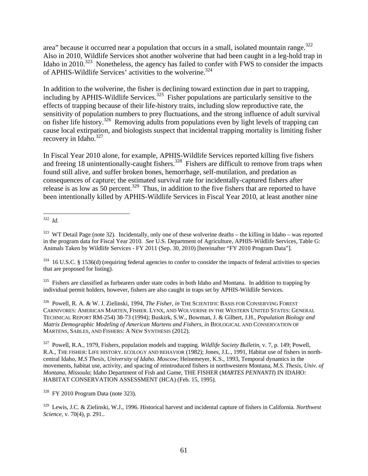area" because it occurred near a population that occurs in a small, isolated mountain range.<sup>322</sup> Also in 2010, Wildlife Services shot another wolverine that had been caught in a leg-hold trap in Idaho in 2010.<sup>323</sup> Nonetheless, the agency has failed to confer with FWS to consider the impacts of APHIS-Wildlife Services' activities to the wolverine.<sup>324</sup>

In addition to the wolverine, the fisher is declining toward extinction due in part to trapping, including by APHIS-Wildlife Services.<sup>325</sup> Fisher populations are particularly sensitive to the effects of trapping because of their life-history traits, including slow reproductive rate, the sensitivity of population numbers to prey fluctuations, and the strong influence of adult survival on fisher life history.<sup>326</sup> Removing adults from populations even by light levels of trapping can cause local extirpation, and biologists suspect that incidental trapping mortality is limiting fisher recovery in Idaho.<sup>327</sup>

In Fiscal Year 2010 alone, for example, APHIS-Wildlife Services reported killing five fishers and freeing 18 unintentionally-caught fishers.<sup>328</sup> Fishers are difficult to remove from traps when found still alive, and suffer broken bones, hemorrhage, self-mutilation, and predation as consequences of capture; the estimated survival rate for incidentally-captured fishers after release is as low as 50 percent.<sup>329</sup> Thus, in addition to the five fishers that are reported to have been intentionally killed by APHIS-Wildlife Services in Fiscal Year 2010, at least another nine

 $325$  Fishers are classified as furbearers under state codes in both Idaho and Montana. In addition to trapping by individual permit holders, however, fishers are also caught in traps set by APHIS-Wildlife Services.

326 Powell, R. A. & W. J. Zielinski, 1994, *The Fisher*, *in* THE SCIENTIFIC BASIS FOR CONSERVING FOREST CARNIVORES: AMERICAN MARTEN, FISHER. LYNX, AND WOLVERINE IN THE WESTERN UNITED STATES: GENERAL TECHNICAL REPORT RM-254) 38-73 (1994); Buskirk, S.W., Bowman, J. & Gilbert, J.H., *Population Biology and Matrix Demographic Modeling of American Martens and Fishers*, *in* BIOLOGICAL AND CONSERVATION OF MARTENS, SABLES, AND FISHERS: A NEW SYNTHESIS (2012).

327 Powell, R.A., 1979, Fishers, population models and trapping. *Wildlife Society Bulletin*, v. 7, p. 149; Powell, R.A., THE FISHER: LIFE HISTORY. ECOLOGY AND BEHAVIOR (1982); Jones, J.L., 1991, Habitat use of fishers in northcentral Idaho, *M.S Thesis, University of Idaho. Moscow*; Heinemeyer, K.S., 1993, Temporal dynamics in the movements, habitat use, activity, and spacing of reintroduced fishers in northwestern Montana, *M.S. Thesis, Univ. of Montana, Missoula*; Idaho Department of Fish and Game, THE FISHER (*MARTES PENNANTI*) IN IDAHO: HABITAT CONSERVATION ASSESSMENT (HCA) (Feb. 15, 1995).

 $328$  FY 2010 Program Data (note 323).

329 Lewis, J.C. & Zielinski, W.J., 1996. Historical harvest and incidental capture of fishers in California. *Northwest Science*, v. 70(4), p. 291..

 $\overline{a}$ 322 *Id*.

 $323$  WT Detail Page (note 32). Incidentally, only one of these wolverine deaths – the killing in Idaho – was reported in the program data for Fiscal Year 2010. *See* U.S. Department of Agriculture, APHIS-Wildlife Services, Table G: Animals Taken by Wildlife Services - FY 2011 (Sep. 30, 2010) [hereinafter "FY 2010 Program Data"].

 $324$  16 U.S.C. § 1536(d) (requiring federal agencies to confer to consider the impacts of federal activities to species that are proposed for listing).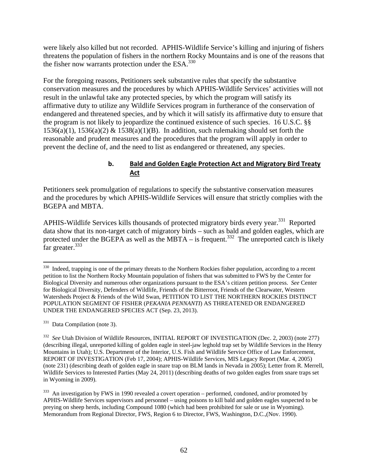were likely also killed but not recorded. APHIS-Wildlife Service's killing and injuring of fishers threatens the population of fishers in the northern Rocky Mountains and is one of the reasons that the fisher now warrants protection under the ESA.<sup>330</sup>

For the foregoing reasons, Petitioners seek substantive rules that specify the substantive conservation measures and the procedures by which APHIS-Wildlife Services' activities will not result in the unlawful take any protected species, by which the program will satisfy its affirmative duty to utilize any Wildlife Services program in furtherance of the conservation of endangered and threatened species, and by which it will satisfy its affirmative duty to ensure that the program is not likely to jeopardize the continued existence of such species. 16 U.S.C. §§  $1536(a)(1)$ ,  $1536(a)(2)$  &  $1538(a)(1)(B)$ . In addition, such rulemaking should set forth the reasonable and prudent measures and the procedures that the program will apply in order to prevent the decline of, and the need to list as endangered or threatened, any species.

### **b. Bald and Golden Eagle Protection Act and Migratory Bird Treaty Act**

Petitioners seek promulgation of regulations to specify the substantive conservation measures and the procedures by which APHIS-Wildlife Services will ensure that strictly complies with the BGEPA and MBTA.

APHIS-Wildlife Services kills thousands of protected migratory birds every year.<sup>331</sup> Reported data show that its non-target catch of migratory birds – such as bald and golden eagles, which are protected under the BGEPA as well as the MBTA – is frequent.<sup>332</sup> The unreported catch is likely far greater.<sup>333</sup>

331 Data Compilation (note 3).

 $330$  Indeed, trapping is one of the primary threats to the Northern Rockies fisher population, according to a recent petition to list the Northern Rocky Mountain population of fishers that was submitted to FWS by the Center for Biological Diversity and numerous other organizations pursuant to the ESA's citizen petition process. *See* Center for Biological Diversity, Defenders of Wildlife, Friends of the Bitterroot, Friends of the Clearwater, Western Watersheds Project & Friends of the Wild Swan, PETITION TO LIST THE NORTHERN ROCKIES DISTINCT POPULATION SEGMENT OF FISHER (*PEKANIA PENNANTI*) AS THREATENED OR ENDANGERED UNDER THE ENDANGERED SPECIES ACT (Sep. 23, 2013).

<sup>332</sup> *See* Utah Division of Wildlife Resources, INITIAL REPORT OF INVESTIGATION (Dec. 2, 2003) (note 277) (describing illegal, unreported killing of golden eagle in steel-jaw leghold trap set by Wildlife Services in the Henry Mountains in Utah); U.S. Department of the Interior, U.S. Fish and Wildlife Service Office of Law Enforcement, REPORT OF INVESTIGATION (Feb 17, 2004); APHIS-Wildlife Services, MIS Legacy Report (Mar. 4, 2005) (note 231) (describing death of golden eagle in snare trap on BLM lands in Nevada in 2005); Letter from R. Merrell, Wildlife Services to Interested Parties (May 24, 2011) (describing deaths of two golden eagles from snare traps set in Wyoming in 2009).

<sup>&</sup>lt;sup>333</sup> An investigation by FWS in 1990 revealed a covert operation – performed, condoned, and/or promoted by APHIS-Wildlife Services supervisors and personnel – using poisons to kill bald and golden eagles suspected to be preying on sheep herds, including Compound 1080 (which had been prohibited for sale or use in Wyoming). Memorandum from Regional Director, FWS, Region 6 to Director, FWS, Washington, D.C.,(Nov. 1990).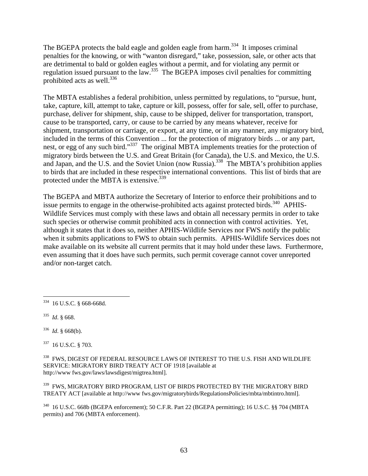The BGEPA protects the bald eagle and golden eagle from harm.<sup>334</sup> It imposes criminal penalties for the knowing, or with "wanton disregard," take, possession, sale, or other acts that are detrimental to bald or golden eagles without a permit, and for violating any permit or regulation issued pursuant to the law.<sup>335</sup> The BGEPA imposes civil penalties for committing prohibited acts as well.336

The MBTA establishes a federal prohibition, unless permitted by regulations, to "pursue, hunt, take, capture, kill, attempt to take, capture or kill, possess, offer for sale, sell, offer to purchase, purchase, deliver for shipment, ship, cause to be shipped, deliver for transportation, transport, cause to be transported, carry, or cause to be carried by any means whatever, receive for shipment, transportation or carriage, or export, at any time, or in any manner, any migratory bird, included in the terms of this Convention ... for the protection of migratory birds ... or any part, nest, or egg of any such bird."<sup>337</sup> The original MBTA implements treaties for the protection of migratory birds between the U.S. and Great Britain (for Canada), the U.S. and Mexico, the U.S. and Japan, and the U.S. and the Soviet Union (now Russia).<sup>338</sup> The MBTA's prohibition applies to birds that are included in these respective international conventions. This list of birds that are protected under the MBTA is extensive.<sup>339</sup>

The BGEPA and MBTA authorize the Secretary of Interior to enforce their prohibitions and to issue permits to engage in the otherwise-prohibited acts against protected birds. $340$  APHIS-Wildlife Services must comply with these laws and obtain all necessary permits in order to take such species or otherwise commit prohibited acts in connection with control activities. Yet, although it states that it does so, neither APHIS-Wildlife Services nor FWS notify the public when it submits applications to FWS to obtain such permits. APHIS-Wildlife Services does not make available on its website all current permits that it may hold under these laws. Furthermore, even assuming that it does have such permits, such permit coverage cannot cover unreported and/or non-target catch.

337 16 U.S.C. § 703.

 $^{338}\,$  FWS, DIGEST OF FEDERAL RESOURCE LAWS OF INTEREST TO THE U.S. FISH AND WILDLIFE SERVICE: MIGRATORY BIRD TREATY ACT OF 1918 [available at http://www fws.gov/laws/lawsdigest/migtrea.html].

 $^{339}$  FWS, MIGRATORY BIRD PROGRAM, LIST OF BIRDS PROTECTED BY THE MIGRATORY BIRD TREATY ACT [available at http://www fws.gov/migratorybirds/RegulationsPolicies/mbta/mbtintro.html].

340 16 U.S.C. 668b (BGEPA enforcement); 50 C.F.R. Part 22 (BGEPA permitting); 16 U.S.C. §§ 704 (MBTA permits) and 706 (MBTA enforcement).

 $\overline{a}$ 334 16 U.S.C. § 668-668d.

<sup>335</sup> *Id*. § 668.

<sup>336</sup> *Id*. § 668(b).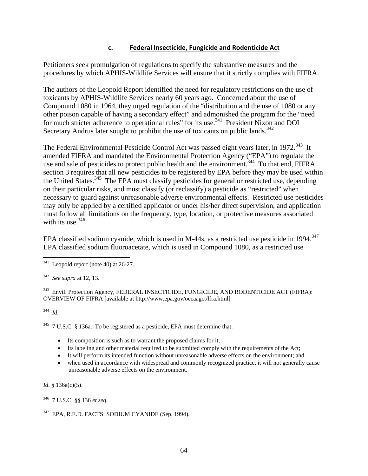#### **c. Federal Insecticide, Fungicide and Rodenticide Act**

Petitioners seek promulgation of regulations to specify the substantive measures and the procedures by which APHIS-Wildlife Services will ensure that it strictly complies with FIFRA.

The authors of the Leopold Report identified the need for regulatory restrictions on the use of toxicants by APHIS-Wildlife Services nearly 60 years ago. Concerned about the use of Compound 1080 in 1964, they urged regulation of the "distribution and the use of 1080 or any other poison capable of having a secondary effect" and admonished the program for the "need for much stricter adherence to operational rules" for its use.<sup>341</sup> President Nixon and DOI Secretary Andrus later sought to prohibit the use of toxicants on public lands.<sup>342</sup>

The Federal Environmental Pesticide Control Act was passed eight years later, in 1972.<sup>343</sup> It amended FIFRA and mandated the Environmental Protection Agency ("EPA") to regulate the use and sale of pesticides to protect public health and the environment.<sup>344</sup> To that end, FIFRA section 3 requires that all new pesticides to be registered by EPA before they may be used within the United States.<sup>345</sup> The EPA must classify pesticides for general or restricted use, depending on their particular risks, and must classify (or reclassify) a pesticide as "restricted" when necessary to guard against unreasonable adverse environmental effects. Restricted use pesticides may only be applied by a certified applicator or under his/her direct supervision, and application must follow all limitations on the frequency, type, location, or protective measures associated with its use.  $346$ 

EPA classified sodium cyanide, which is used in M-44s, as a restricted use pesticide in 1994.<sup>347</sup> EPA classified sodium fluoroacetate, which is used in Compound 1080, as a restricted use

<sup>343</sup> Envtl. Protection Agency, FEDERAL INSECTICIDE, FUNGICIDE, AND RODENTICIDE ACT (FIFRA): OVERVIEW OF FIFRA [available at http://www.epa.gov/oecaagct/lfra.html]*.*

344 *Id*.

 $345$  7 U.S.C. § 136a. To be registered as a pesticide, EPA must determine that:

- Its composition is such as to warrant the proposed claims for it;
- Its labeling and other material required to be submitted comply with the requirements of the Act;
- It will perform its intended function without unreasonable adverse effects on the environment; and
- when used in accordance with widespread and commonly recognized practice, it will not generally cause unreasonable adverse effects on the environment.

*Id.* § 136a(c)(5).

346 7 U.S.C. §§ 136 *et seq*.

<sup>1</sup>  $341$  Leopold report (note 40) at 26-27.

<sup>342</sup> *See supra* at 12, 13.

<sup>347</sup> EPA, R.E.D. FACTS: SODIUM CYANIDE (Sep. 1994).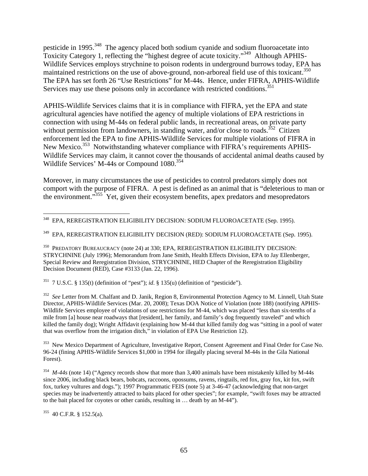pesticide in 1995.<sup>348</sup> The agency placed both sodium cyanide and sodium fluoroacetate into Toxicity Category 1, reflecting the "highest degree of acute toxicity."349 Although APHIS-Wildlife Services employs strychnine to poison rodents in underground burrows today, EPA has maintained restrictions on the use of above-ground, non-arboreal field use of this toxicant.<sup>350</sup> The EPA has set forth 26 "Use Restrictions" for M-44s. Hence, under FIFRA, APHIS-Wildlife Services may use these poisons only in accordance with restricted conditions.<sup>351</sup>

APHIS-Wildlife Services claims that it is in compliance with FIFRA, yet the EPA and state agricultural agencies have notified the agency of multiple violations of EPA restrictions in connection with using M-44s on federal public lands, in recreational areas, on private party without permission from landowners, in standing water, and/or close to roads.<sup>352</sup> Citizen enforcement led the EPA to fine APHIS-Wildlife Services for multiple violations of FIFRA in New Mexico.<sup>353</sup> Notwithstanding whatever compliance with FIFRA's requirements APHIS-Wildlife Services may claim, it cannot cover the thousands of accidental animal deaths caused by Wildlife Services' M-44s or Compound 1080.<sup>354</sup>

Moreover, in many circumstances the use of pesticides to control predators simply does not comport with the purpose of FIFRA. A pest is defined as an animal that is "deleterious to man or the environment."355 Yet, given their ecosystem benefits, apex predators and mesopredators

<sup>351</sup> 7 U.S.C. § 135(t) (definition of "pest"); *id.* § 135(u) (definition of "pesticide").

<sup>352</sup> See Letter from M. Chalfant and D. Janik, Region 8, Environmental Protection Agency to M. Linnell, Utah State Director, APHIS-Wildlife Services (Mar. 20, 2008); Texas DOA Notice of Violation (note 188) (notifying APHIS-Wildlife Services employee of violations of use restrictions for M-44, which was placed "less than six-tenths of a mile from [a] house near roadways that [resident], her family, and family's dog frequently traveled" and which killed the family dog); Wright Affidavit (explaining how M-44 that killed family dog was "sitting in a pool of water that was overflow from the irrigation ditch," in violation of EPA Use Restriction 12).

<sup>353</sup> New Mexico Department of Agriculture, Investigative Report, Consent Agreement and Final Order for Case No. 96-24 (fining APHIS-Wildlife Services \$1,000 in 1994 for illegally placing several M-44s in the Gila National Forest).

<sup>354</sup> *M-44s* (note 14) ("Agency records show that more than 3,400 animals have been mistakenly killed by M-44s since 2006, including black bears, bobcats, raccoons, opossums, ravens, ringtails, red fox, gray fox, kit fox, swift fox, turkey vultures and dogs."); 1997 Programmatic FEIS (note 5) at 3-46-47 (acknowledging that non-target species may be inadvertently attracted to baits placed for other species"; for example, "swift foxes may be attracted to the bait placed for coyotes or other canids, resulting in … death by an M-44").

 $355$  40 C.F.R. § 152.5(a).

 $\overline{a}$ 348 EPA, REREGISTRATION ELIGIBILITY DECISION: SODIUM FLUOROACETATE (Sep. 1995).

<sup>349</sup> EPA, REREGISTRATION ELIGIBILITY DECISION (RED): SODIUM FLUOROACETATE (Sep. 1995).

<sup>350</sup> PREDATORY BUREAUCRACY (note 24) at 330; EPA, REREGISTRATION ELIGIBILITY DECISION: STRYCHNINE (July 1996); Memorandum from Jane Smith, Health Effects Division, EPA to Jay Ellenberger, Special Review and Reregistration Division, STRYCHNINE, HED Chapter of the Reregistration Eligibility Decision Document (RED), Case #3133 (Jan. 22, 1996).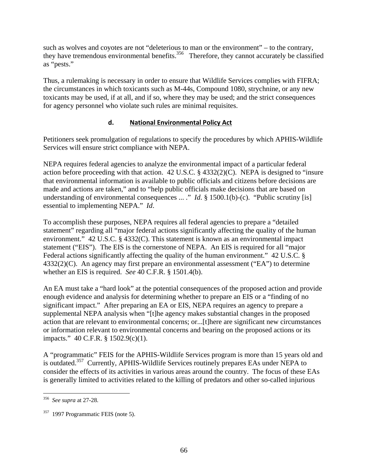such as wolves and coyotes are not "deleterious to man or the environment" – to the contrary, they have tremendous environmental benefits.<sup>356</sup> Therefore, they cannot accurately be classified as "pests."

Thus, a rulemaking is necessary in order to ensure that Wildlife Services complies with FIFRA; the circumstances in which toxicants such as M-44s, Compound 1080, strychnine, or any new toxicants may be used, if at all, and if so, where they may be used; and the strict consequences for agency personnel who violate such rules are minimal requisites.

# **d. National Environmental Policy Act**

Petitioners seek promulgation of regulations to specify the procedures by which APHIS-Wildlife Services will ensure strict compliance with NEPA.

NEPA requires federal agencies to analyze the environmental impact of a particular federal action before proceeding with that action. 42 U.S.C. § 4332(2)(C). NEPA is designed to "insure that environmental information is available to public officials and citizens before decisions are made and actions are taken," and to "help public officials make decisions that are based on understanding of environmental consequences ... ." *Id*. § 1500.1(b)-(c). "Public scrutiny [is] essential to implementing NEPA." *Id*.

To accomplish these purposes, NEPA requires all federal agencies to prepare a "detailed statement" regarding all "major federal actions significantly affecting the quality of the human environment." 42 U.S.C. § 4332(C). This statement is known as an environmental impact statement ("EIS"). The EIS is the cornerstone of NEPA. An EIS is required for all "major Federal actions significantly affecting the quality of the human environment." 42 U.S.C. § 4332(2)(C). An agency may first prepare an environmental assessment ("EA") to determine whether an EIS is required. *See* 40 C.F.R. § 1501.4(b).

An EA must take a "hard look" at the potential consequences of the proposed action and provide enough evidence and analysis for determining whether to prepare an EIS or a "finding of no significant impact." After preparing an EA or EIS, NEPA requires an agency to prepare a supplemental NEPA analysis when "[t]he agency makes substantial changes in the proposed action that are relevant to environmental concerns; or...[t]here are significant new circumstances or information relevant to environmental concerns and bearing on the proposed actions or its impacts." 40 C.F.R. § 1502.9(c)(1).

A "programmatic" FEIS for the APHIS-Wildlife Services program is more than 15 years old and is outdated.<sup>357</sup> Currently, APHIS-Wildlife Services routinely prepares EAs under NEPA to consider the effects of its activities in various areas around the country. The focus of these EAs is generally limited to activities related to the killing of predators and other so-called injurious

 $\overline{a}$ 356 *See supra* at 27-28.

<sup>&</sup>lt;sup>357</sup> 1997 Programmatic FEIS (note 5).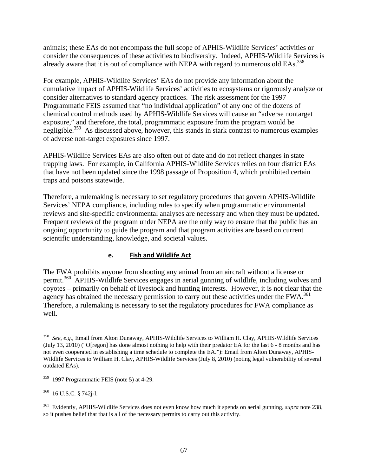animals; these EAs do not encompass the full scope of APHIS-Wildlife Services' activities or consider the consequences of these activities to biodiversity. Indeed, APHIS-Wildlife Services is already aware that it is out of compliance with NEPA with regard to numerous old EAs.<sup>358</sup>

For example, APHIS-Wildlife Services' EAs do not provide any information about the cumulative impact of APHIS-Wildlife Services' activities to ecosystems or rigorously analyze or consider alternatives to standard agency practices. The risk assessment for the 1997 Programmatic FEIS assumed that "no individual application" of any one of the dozens of chemical control methods used by APHIS-Wildlife Services will cause an "adverse nontarget exposure," and therefore, the total, programmatic exposure from the program would be negligible.<sup>359</sup> As discussed above, however, this stands in stark contrast to numerous examples of adverse non-target exposures since 1997.

APHIS-Wildlife Services EAs are also often out of date and do not reflect changes in state trapping laws. For example, in California APHIS-Wildlife Services relies on four district EAs that have not been updated since the 1998 passage of Proposition 4, which prohibited certain traps and poisons statewide.

Therefore, a rulemaking is necessary to set regulatory procedures that govern APHIS-Wildlife Services' NEPA compliance, including rules to specify when programmatic environmental reviews and site-specific environmental analyses are necessary and when they must be updated. Frequent reviews of the program under NEPA are the only way to ensure that the public has an ongoing opportunity to guide the program and that program activities are based on current scientific understanding, knowledge, and societal values.

## **e. Fish and Wildlife Act**

The FWA prohibits anyone from shooting any animal from an aircraft without a license or permit.<sup>360</sup> APHIS-Wildlife Services engages in aerial gunning of wildlife, including wolves and coyotes – primarily on behalf of livestock and hunting interests. However, it is not clear that the agency has obtained the necessary permission to carry out these activities under the  $FWA$ <sup>361</sup> Therefore, a rulemaking is necessary to set the regulatory procedures for FWA compliance as well.

360 16 U.S.C. § 742j-l.

 $\overline{a}$ 

<sup>358</sup> *See*, *e.g.*, Email from Alton Dunaway, APHIS-Wildlife Services to William H. Clay, APHIS-Wildlife Services (July 13, 2010) ("O[regon] has done almost nothing to help with their predator EA for the last 6 - 8 months and has not even cooperated in establishing a time schedule to complete the EA."): Email from Alton Dunaway, APHIS-Wildlife Services to William H. Clay, APHIS-Wildlife Services (July 8, 2010) (noting legal vulnerability of several outdated EAs).

 $359$  1997 Programmatic FEIS (note 5) at 4-29.

<sup>361</sup> Evidently, APHIS-Wildlife Services does not even know how much it spends on aerial gunning, *supra* note 238, so it pushes belief that that is all of the necessary permits to carry out this activity.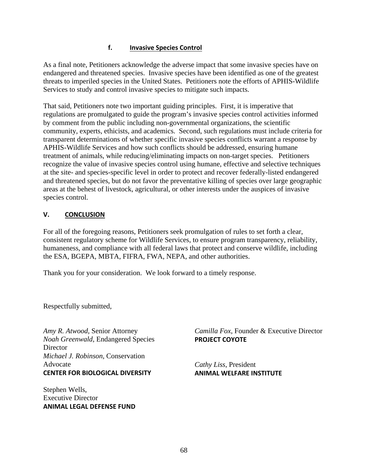## **f. Invasive Species Control**

As a final note, Petitioners acknowledge the adverse impact that some invasive species have on endangered and threatened species. Invasive species have been identified as one of the greatest threats to imperiled species in the United States. Petitioners note the efforts of APHIS-Wildlife Services to study and control invasive species to mitigate such impacts.

That said, Petitioners note two important guiding principles. First, it is imperative that regulations are promulgated to guide the program's invasive species control activities informed by comment from the public including non-governmental organizations, the scientific community, experts, ethicists, and academics. Second, such regulations must include criteria for transparent determinations of whether specific invasive species conflicts warrant a response by APHIS-Wildlife Services and how such conflicts should be addressed, ensuring humane treatment of animals, while reducing/eliminating impacts on non-target species. Petitioners recognize the value of invasive species control using humane, effective and selective techniques at the site- and species-specific level in order to protect and recover federally-listed endangered and threatened species, but do not favor the preventative killing of species over large geographic areas at the behest of livestock, agricultural, or other interests under the auspices of invasive species control.

# **V. CONCLUSION**

For all of the foregoing reasons, Petitioners seek promulgation of rules to set forth a clear, consistent regulatory scheme for Wildlife Services, to ensure program transparency, reliability, humaneness, and compliance with all federal laws that protect and conserve wildlife, including the ESA, BGEPA, MBTA, FIFRA, FWA, NEPA, and other authorities.

Thank you for your consideration. We look forward to a timely response.

Respectfully submitted,

*Amy R. Atwood*, Senior Attorney *Noah Greenwald*, Endangered Species **Director** *Michael J. Robinson*, Conservation Advocate **CENTER FOR BIOLOGICAL DIVERSITY**

Stephen Wells, Executive Director **ANIMAL LEGAL DEFENSE FUND** *Camilla Fox*, Founder & Executive Director **PROJECT COYOTE**

*Cathy Liss*, President **ANIMAL WELFARE INSTITUTE**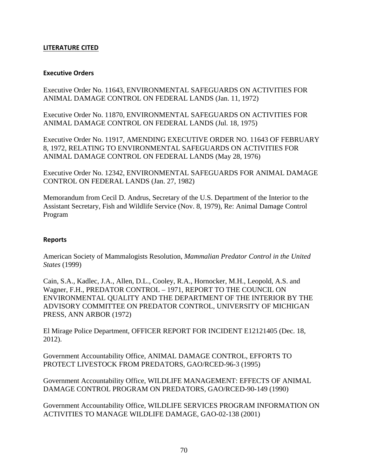#### **LITERATURE CITED**

#### **Executive Orders**

Executive Order No. 11643, ENVIRONMENTAL SAFEGUARDS ON ACTIVITIES FOR ANIMAL DAMAGE CONTROL ON FEDERAL LANDS (Jan. 11, 1972)

Executive Order No. 11870, ENVIRONMENTAL SAFEGUARDS ON ACTIVITIES FOR ANIMAL DAMAGE CONTROL ON FEDERAL LANDS (Jul. 18, 1975)

Executive Order No. 11917, AMENDING EXECUTIVE ORDER NO. 11643 OF FEBRUARY 8, 1972, RELATING TO ENVIRONMENTAL SAFEGUARDS ON ACTIVITIES FOR ANIMAL DAMAGE CONTROL ON FEDERAL LANDS (May 28, 1976)

Executive Order No. 12342, ENVIRONMENTAL SAFEGUARDS FOR ANIMAL DAMAGE CONTROL ON FEDERAL LANDS (Jan. 27, 1982)

Memorandum from Cecil D. Andrus, Secretary of the U.S. Department of the Interior to the Assistant Secretary, Fish and Wildlife Service (Nov. 8, 1979), Re: Animal Damage Control Program

#### **Reports**

American Society of Mammalogists Resolution, *Mammalian Predator Control in the United States* (1999)

Cain, S.A., Kadlec, J.A., Allen, D.L., Cooley, R.A., Hornocker, M.H., Leopold, A.S. and Wagner, F.H., PREDATOR CONTROL – 1971, REPORT TO THE COUNCIL ON ENVIRONMENTAL QUALITY AND THE DEPARTMENT OF THE INTERIOR BY THE ADVISORY COMMITTEE ON PREDATOR CONTROL, UNIVERSITY OF MICHIGAN PRESS, ANN ARBOR (1972)

El Mirage Police Department, OFFICER REPORT FOR INCIDENT E12121405 (Dec. 18, 2012).

Government Accountability Office, ANIMAL DAMAGE CONTROL, EFFORTS TO PROTECT LIVESTOCK FROM PREDATORS, GAO/RCED-96-3 (1995)

Government Accountability Office, WILDLIFE MANAGEMENT: EFFECTS OF ANIMAL DAMAGE CONTROL PROGRAM ON PREDATORS, GAO/RCED-90-149 (1990)

Government Accountability Office, WILDLIFE SERVICES PROGRAM INFORMATION ON ACTIVITIES TO MANAGE WILDLIFE DAMAGE, GAO-02-138 (2001)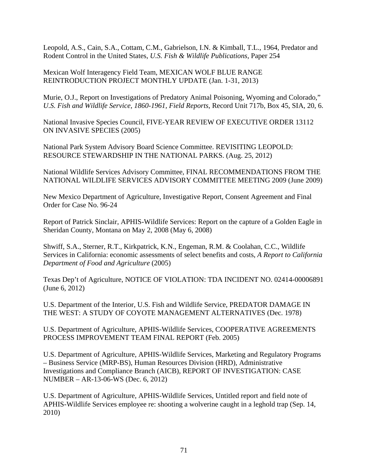Leopold, A.S., Cain, S.A., Cottam, C.M., Gabrielson, I.N. & Kimball, T.L., 1964, Predator and Rodent Control in the United States, *U.S. Fish & Wildlife Publications,* Paper 254

Mexican Wolf Interagency Field Team, MEXICAN WOLF BLUE RANGE REINTRODUCTION PROJECT MONTHLY UPDATE (Jan. 1-31, 2013)

Murie, O.J., Report on Investigations of Predatory Animal Poisoning, Wyoming and Colorado," *U.S. Fish and Wildlife Service, 1860-1961, Field Reports*, Record Unit 717b, Box 45, SIA, 20, 6.

National Invasive Species Council, FIVE-YEAR REVIEW OF EXECUTIVE ORDER 13112 ON INVASIVE SPECIES (2005)

National Park System Advisory Board Science Committee. REVISITING LEOPOLD: RESOURCE STEWARDSHIP IN THE NATIONAL PARKS. (Aug. 25, 2012)

National Wildlife Services Advisory Committee, FINAL RECOMMENDATIONS FROM THE NATIONAL WILDLIFE SERVICES ADVISORY COMMITTEE MEETING 2009 (June 2009)

New Mexico Department of Agriculture, Investigative Report, Consent Agreement and Final Order for Case No. 96-24

Report of Patrick Sinclair, APHIS-Wildlife Services: Report on the capture of a Golden Eagle in Sheridan County, Montana on May 2, 2008 (May 6, 2008)

Shwiff, S.A., Sterner, R.T., Kirkpatrick, K.N., Engeman, R.M. & Coolahan, C.C., Wildlife Services in California: economic assessments of select benefits and costs, *A Report to California Department of Food and Agriculture* (2005)

Texas Dep't of Agriculture, NOTICE OF VIOLATION: TDA INCIDENT NO. 02414-00006891 (June 6, 2012)

U.S. Department of the Interior, U.S. Fish and Wildlife Service, PREDATOR DAMAGE IN THE WEST: A STUDY OF COYOTE MANAGEMENT ALTERNATIVES (Dec. 1978)

U.S. Department of Agriculture, APHIS-Wildlife Services, COOPERATIVE AGREEMENTS PROCESS IMPROVEMENT TEAM FINAL REPORT (Feb. 2005)

U.S. Department of Agriculture, APHIS-Wildlife Services, Marketing and Regulatory Programs – Business Service (MRP-BS), Human Resources Division (HRD), Administrative Investigations and Compliance Branch (AICB), REPORT OF INVESTIGATION: CASE NUMBER – AR-13-06-WS (Dec. 6, 2012)

U.S. Department of Agriculture, APHIS-Wildlife Services, Untitled report and field note of APHIS-Wildlife Services employee re: shooting a wolverine caught in a leghold trap (Sep. 14, 2010)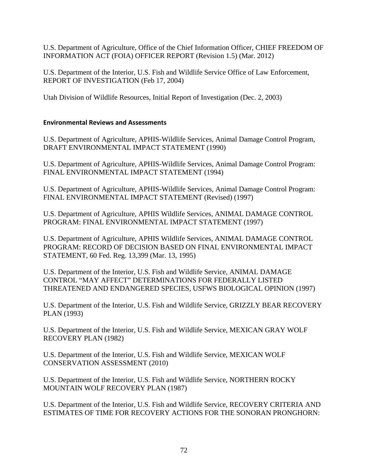U.S. Department of Agriculture, Office of the Chief Information Officer, CHIEF FREEDOM OF INFORMATION ACT (FOIA) OFFICER REPORT (Revision 1.5) (Mar. 2012)

U.S. Department of the Interior, U.S. Fish and Wildlife Service Office of Law Enforcement, REPORT OF INVESTIGATION (Feb 17, 2004)

Utah Division of Wildlife Resources, Initial Report of Investigation (Dec. 2, 2003)

### **Environmental Reviews and Assessments**

U.S. Department of Agriculture, APHIS-Wildlife Services, Animal Damage Control Program, DRAFT ENVIRONMENTAL IMPACT STATEMENT (1990)

U.S. Department of Agriculture, APHIS-Wildlife Services, Animal Damage Control Program: FINAL ENVIRONMENTAL IMPACT STATEMENT (1994)

U.S. Department of Agriculture, APHIS-Wildlife Services, Animal Damage Control Program: FINAL ENVIRONMENTAL IMPACT STATEMENT (Revised) (1997)

U.S. Department of Agriculture, APHIS Wildlife Services, ANIMAL DAMAGE CONTROL PROGRAM: FINAL ENVIRONMENTAL IMPACT STATEMENT (1997)

U.S. Department of Agriculture, APHIS Wildlife Services, ANIMAL DAMAGE CONTROL PROGRAM: RECORD OF DECISION BASED ON FINAL ENVIRONMENTAL IMPACT STATEMENT, 60 Fed. Reg. 13,399 (Mar. 13, 1995)

U.S. Department of the Interior, U.S. Fish and Wildlife Service, ANIMAL DAMAGE CONTROL "MAY AFFECT" DETERMINATIONS FOR FEDERALLY LISTED THREATENED AND ENDANGERED SPECIES, USFWS BIOLOGICAL OPINION (1997)

U.S. Department of the Interior, U.S. Fish and Wildlife Service, GRIZZLY BEAR RECOVERY PLAN (1993)

U.S. Department of the Interior, U.S. Fish and Wildlife Service, MEXICAN GRAY WOLF RECOVERY PLAN (1982)

U.S. Department of the Interior, U.S. Fish and Wildlife Service, MEXICAN WOLF CONSERVATION ASSESSMENT (2010)

U.S. Department of the Interior, U.S. Fish and Wildlife Service, NORTHERN ROCKY MOUNTAIN WOLF RECOVERY PLAN (1987)

U.S. Department of the Interior, U.S. Fish and Wildlife Service, RECOVERY CRITERIA AND ESTIMATES OF TIME FOR RECOVERY ACTIONS FOR THE SONORAN PRONGHORN: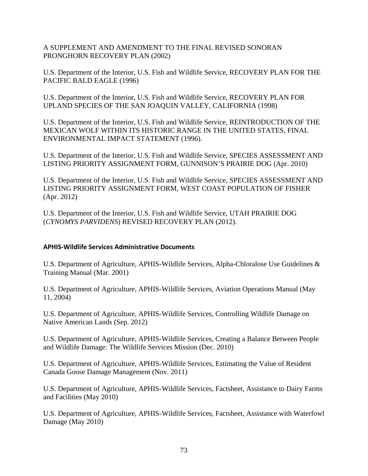A SUPPLEMENT AND AMENDMENT TO THE FINAL REVISED SONORAN PRONGHORN RECOVERY PLAN (2002)

U.S. Department of the Interior, U.S. Fish and Wildlife Service, RECOVERY PLAN FOR THE PACIFIC BALD EAGLE (1996)

U.S. Department of the Interior, U.S. Fish and Wildlife Service, RECOVERY PLAN FOR UPLAND SPECIES OF THE SAN JOAQUIN VALLEY, CALIFORNIA (1998)

U.S. Department of the Interior, U.S. Fish and Wildlife Service, REINTRODUCTION OF THE MEXICAN WOLF WITHIN ITS HISTORIC RANGE IN THE UNITED STATES, FINAL ENVIRONMENTAL IMPACT STATEMENT (1996).

U.S. Department of the Interior, U.S. Fish and Wildlife Service, SPECIES ASSESSMENT AND LISTING PRIORITY ASSIGNMENT FORM, GUNNISON'S PRAIRIE DOG (Apr. 2010)

U.S. Department of the Interior, U.S. Fish and Wildlife Service, SPECIES ASSESSMENT AND LISTING PRIORITY ASSIGNMENT FORM, WEST COAST POPULATION OF FISHER (Apr. 2012)

U.S. Department of the Interior, U.S. Fish and Wildlife Service, UTAH PRAIRIE DOG (*CYNOMYS PARVIDENS*) REVISED RECOVERY PLAN (2012).

## **APHIS‐Wildlife Services Administrative Documents**

U.S. Department of Agriculture, APHIS-Wildlife Services, Alpha-Chloralose Use Guidelines & Training Manual (Mar. 2001)

U.S. Department of Agriculture, APHIS-Wildlife Services, Aviation Operations Manual (May 11, 2004)

U.S. Department of Agriculture, APHIS-Wildlife Services, Controlling Wildlife Damage on Native American Lands (Sep. 2012)

U.S. Department of Agriculture, APHIS-Wildlife Services, Creating a Balance Between People and Wildlife Damage: The Wildlife Services Mission (Dec. 2010)

U.S. Department of Agriculture, APHIS-Wildlife Services, Estimating the Value of Resident Canada Goose Damage Management (Nov. 2011)

U.S. Department of Agriculture, APHIS-Wildlife Services, Factsheet, Assistance to Dairy Farms and Facilities (May 2010)

U.S. Department of Agriculture, APHIS-Wildlife Services, Factsheet, Assistance with Waterfowl Damage (May 2010)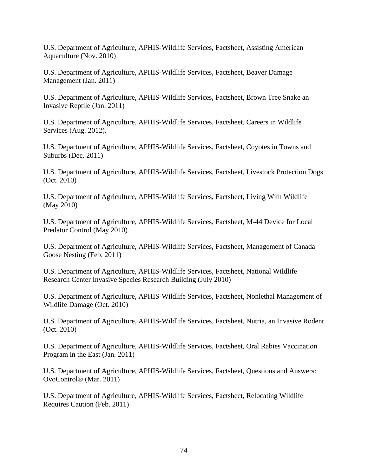U.S. Department of Agriculture, APHIS-Wildlife Services, Factsheet, Assisting American Aquaculture (Nov. 2010)

U.S. Department of Agriculture, APHIS-Wildlife Services, Factsheet, Beaver Damage Management (Jan. 2011)

U.S. Department of Agriculture, APHIS-Wildlife Services, Factsheet, Brown Tree Snake an Invasive Reptile (Jan. 2011)

U.S. Department of Agriculture, APHIS-Wildlife Services, Factsheet, Careers in Wildlife Services (Aug. 2012).

U.S. Department of Agriculture, APHIS-Wildlife Services, Factsheet, Coyotes in Towns and Suburbs (Dec. 2011)

U.S. Department of Agriculture, APHIS-Wildlife Services, Factsheet, Livestock Protection Dogs (Oct. 2010)

U.S. Department of Agriculture, APHIS-Wildlife Services, Factsheet, Living With Wildlife (May 2010)

U.S. Department of Agriculture, APHIS-Wildlife Services, Factsheet, M-44 Device for Local Predator Control (May 2010)

U.S. Department of Agriculture, APHIS-Wildlife Services, Factsheet, Management of Canada Goose Nesting (Feb. 2011)

U.S. Department of Agriculture, APHIS-Wildlife Services, Factsheet, National Wildlife Research Center Invasive Species Research Building (July 2010)

U.S. Department of Agriculture, APHIS-Wildlife Services, Factsheet, Nonlethal Management of Wildlife Damage (Oct. 2010)

U.S. Department of Agriculture, APHIS-Wildlife Services, Factsheet, Nutria, an Invasive Rodent (Oct. 2010)

U.S. Department of Agriculture, APHIS-Wildlife Services, Factsheet, Oral Rabies Vaccination Program in the East (Jan. 2011)

U.S. Department of Agriculture, APHIS-Wildlife Services, Factsheet, Questions and Answers: OvoControl® (Mar. 2011)

U.S. Department of Agriculture, APHIS-Wildlife Services, Factsheet, Relocating Wildlife Requires Caution (Feb. 2011)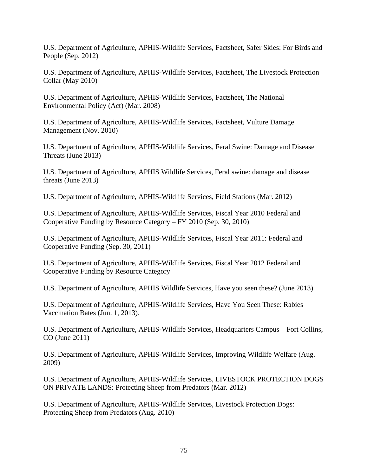U.S. Department of Agriculture, APHIS-Wildlife Services, Factsheet, Safer Skies: For Birds and People (Sep. 2012)

U.S. Department of Agriculture, APHIS-Wildlife Services, Factsheet, The Livestock Protection Collar (May 2010)

U.S. Department of Agriculture, APHIS-Wildlife Services, Factsheet, The National Environmental Policy (Act) (Mar. 2008)

U.S. Department of Agriculture, APHIS-Wildlife Services, Factsheet, Vulture Damage Management (Nov. 2010)

U.S. Department of Agriculture, APHIS-Wildlife Services, Feral Swine: Damage and Disease Threats (June 2013)

U.S. Department of Agriculture, APHIS Wildlife Services, Feral swine: damage and disease threats (June 2013)

U.S. Department of Agriculture, APHIS-Wildlife Services, Field Stations (Mar. 2012)

U.S. Department of Agriculture, APHIS-Wildlife Services, Fiscal Year 2010 Federal and Cooperative Funding by Resource Category – FY 2010 (Sep. 30, 2010)

U.S. Department of Agriculture, APHIS-Wildlife Services, Fiscal Year 2011: Federal and Cooperative Funding (Sep. 30, 2011)

U.S. Department of Agriculture, APHIS-Wildlife Services, Fiscal Year 2012 Federal and Cooperative Funding by Resource Category

U.S. Department of Agriculture, APHIS Wildlife Services, Have you seen these? (June 2013)

U.S. Department of Agriculture, APHIS-Wildlife Services, Have You Seen These: Rabies Vaccination Bates (Jun. 1, 2013).

U.S. Department of Agriculture, APHIS-Wildlife Services, Headquarters Campus – Fort Collins, CO (June 2011)

U.S. Department of Agriculture, APHIS-Wildlife Services, Improving Wildlife Welfare (Aug. 2009)

U.S. Department of Agriculture, APHIS-Wildlife Services, LIVESTOCK PROTECTION DOGS ON PRIVATE LANDS: Protecting Sheep from Predators (Mar. 2012)

U.S. Department of Agriculture, APHIS-Wildlife Services, Livestock Protection Dogs: Protecting Sheep from Predators (Aug. 2010)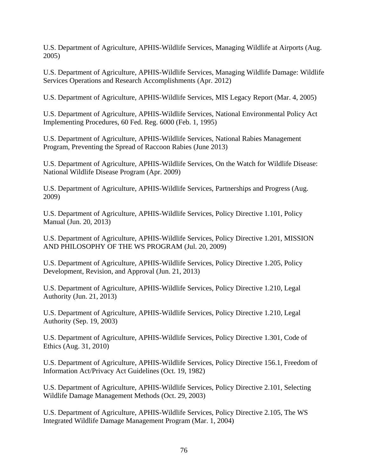U.S. Department of Agriculture, APHIS-Wildlife Services, Managing Wildlife at Airports (Aug. 2005)

U.S. Department of Agriculture, APHIS-Wildlife Services, Managing Wildlife Damage: Wildlife Services Operations and Research Accomplishments (Apr. 2012)

U.S. Department of Agriculture, APHIS-Wildlife Services, MIS Legacy Report (Mar. 4, 2005)

U.S. Department of Agriculture, APHIS-Wildlife Services, National Environmental Policy Act Implementing Procedures, 60 Fed. Reg. 6000 (Feb. 1, 1995)

U.S. Department of Agriculture, APHIS-Wildlife Services, National Rabies Management Program, Preventing the Spread of Raccoon Rabies (June 2013)

U.S. Department of Agriculture, APHIS-Wildlife Services, On the Watch for Wildlife Disease: National Wildlife Disease Program (Apr. 2009)

U.S. Department of Agriculture, APHIS-Wildlife Services, Partnerships and Progress (Aug. 2009)

U.S. Department of Agriculture, APHIS-Wildlife Services, Policy Directive 1.101, Policy Manual (Jun. 20, 2013)

U.S. Department of Agriculture, APHIS-Wildlife Services, Policy Directive 1.201, MISSION AND PHILOSOPHY OF THE WS PROGRAM (Jul. 20, 2009)

U.S. Department of Agriculture, APHIS-Wildlife Services, Policy Directive 1.205, Policy Development, Revision, and Approval (Jun. 21, 2013)

U.S. Department of Agriculture, APHIS-Wildlife Services, Policy Directive 1.210, Legal Authority (Jun. 21, 2013)

U.S. Department of Agriculture, APHIS-Wildlife Services, Policy Directive 1.210, Legal Authority (Sep. 19, 2003)

U.S. Department of Agriculture, APHIS-Wildlife Services, Policy Directive 1.301, Code of Ethics (Aug. 31, 2010)

U.S. Department of Agriculture, APHIS-Wildlife Services, Policy Directive 156.1, Freedom of Information Act/Privacy Act Guidelines (Oct. 19, 1982)

U.S. Department of Agriculture, APHIS-Wildlife Services, Policy Directive 2.101, Selecting Wildlife Damage Management Methods (Oct. 29, 2003)

U.S. Department of Agriculture, APHIS-Wildlife Services, Policy Directive 2.105, The WS Integrated Wildlife Damage Management Program (Mar. 1, 2004)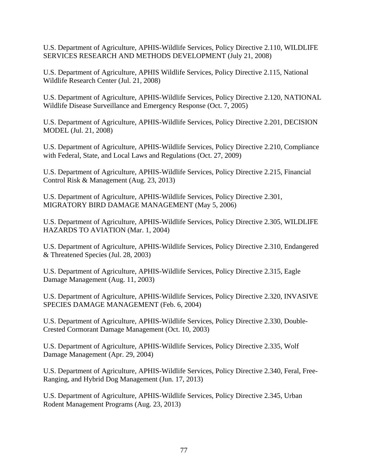U.S. Department of Agriculture, APHIS-Wildlife Services, Policy Directive 2.110, WILDLIFE SERVICES RESEARCH AND METHODS DEVELOPMENT (July 21, 2008)

U.S. Department of Agriculture, APHIS Wildlife Services, Policy Directive 2.115, National Wildlife Research Center (Jul. 21, 2008)

U.S. Department of Agriculture, APHIS-Wildlife Services, Policy Directive 2.120, NATIONAL Wildlife Disease Surveillance and Emergency Response (Oct. 7, 2005)

U.S. Department of Agriculture, APHIS-Wildlife Services, Policy Directive 2.201, DECISION MODEL (Jul. 21, 2008)

U.S. Department of Agriculture, APHIS-Wildlife Services, Policy Directive 2.210, Compliance with Federal, State, and Local Laws and Regulations (Oct. 27, 2009)

U.S. Department of Agriculture, APHIS-Wildlife Services, Policy Directive 2.215, Financial Control Risk & Management (Aug. 23, 2013)

U.S. Department of Agriculture, APHIS-Wildlife Services, Policy Directive 2.301, MIGRATORY BIRD DAMAGE MANAGEMENT (May 5, 2006)

U.S. Department of Agriculture, APHIS-Wildlife Services, Policy Directive 2.305, WILDLIFE HAZARDS TO AVIATION (Mar. 1, 2004)

U.S. Department of Agriculture, APHIS-Wildlife Services, Policy Directive 2.310, Endangered & Threatened Species (Jul. 28, 2003)

U.S. Department of Agriculture, APHIS-Wildlife Services, Policy Directive 2.315, Eagle Damage Management (Aug. 11, 2003)

U.S. Department of Agriculture, APHIS-Wildlife Services, Policy Directive 2.320, INVASIVE SPECIES DAMAGE MANAGEMENT (Feb. 6, 2004)

U.S. Department of Agriculture, APHIS-Wildlife Services, Policy Directive 2.330, Double-Crested Cormorant Damage Management (Oct. 10, 2003)

U.S. Department of Agriculture, APHIS-Wildlife Services, Policy Directive 2.335, Wolf Damage Management (Apr. 29, 2004)

U.S. Department of Agriculture, APHIS-Wildlife Services, Policy Directive 2.340, Feral, Free-Ranging, and Hybrid Dog Management (Jun. 17, 2013)

U.S. Department of Agriculture, APHIS-Wildlife Services, Policy Directive 2.345, Urban Rodent Management Programs (Aug. 23, 2013)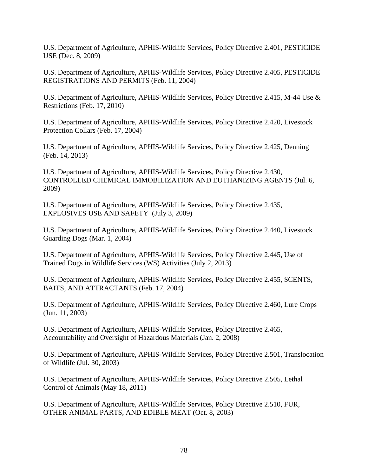U.S. Department of Agriculture, APHIS-Wildlife Services, Policy Directive 2.401, PESTICIDE USE (Dec. 8, 2009)

U.S. Department of Agriculture, APHIS-Wildlife Services, Policy Directive 2.405, PESTICIDE REGISTRATIONS AND PERMITS (Feb. 11, 2004)

U.S. Department of Agriculture, APHIS-Wildlife Services, Policy Directive 2.415, M-44 Use & Restrictions (Feb. 17, 2010)

U.S. Department of Agriculture, APHIS-Wildlife Services, Policy Directive 2.420, Livestock Protection Collars (Feb. 17, 2004)

U.S. Department of Agriculture, APHIS-Wildlife Services, Policy Directive 2.425, Denning (Feb. 14, 2013)

U.S. Department of Agriculture, APHIS-Wildlife Services, Policy Directive 2.430, CONTROLLED CHEMICAL IMMOBILIZATION AND EUTHANIZING AGENTS (Jul. 6, 2009)

U.S. Department of Agriculture, APHIS-Wildlife Services, Policy Directive 2.435, EXPLOSIVES USE AND SAFETY (July 3, 2009)

U.S. Department of Agriculture, APHIS-Wildlife Services, Policy Directive 2.440, Livestock Guarding Dogs (Mar. 1, 2004)

U.S. Department of Agriculture, APHIS-Wildlife Services, Policy Directive 2.445, Use of Trained Dogs in Wildlife Services (WS) Activities (July 2, 2013)

U.S. Department of Agriculture, APHIS-Wildlife Services, Policy Directive 2.455, SCENTS, BAITS, AND ATTRACTANTS (Feb. 17, 2004)

U.S. Department of Agriculture, APHIS-Wildlife Services, Policy Directive 2.460, Lure Crops (Jun. 11, 2003)

U.S. Department of Agriculture, APHIS-Wildlife Services, Policy Directive 2.465, Accountability and Oversight of Hazardous Materials (Jan. 2, 2008)

U.S. Department of Agriculture, APHIS-Wildlife Services, Policy Directive 2.501, Translocation of Wildlife (Jul. 30, 2003)

U.S. Department of Agriculture, APHIS-Wildlife Services, Policy Directive 2.505, Lethal Control of Animals (May 18, 2011)

U.S. Department of Agriculture, APHIS-Wildlife Services, Policy Directive 2.510, FUR, OTHER ANIMAL PARTS, AND EDIBLE MEAT (Oct. 8, 2003)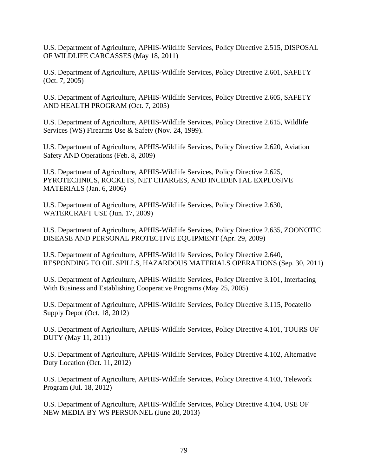U.S. Department of Agriculture, APHIS-Wildlife Services, Policy Directive 2.515, DISPOSAL OF WILDLIFE CARCASSES (May 18, 2011)

U.S. Department of Agriculture, APHIS-Wildlife Services, Policy Directive 2.601, SAFETY (Oct. 7, 2005)

U.S. Department of Agriculture, APHIS-Wildlife Services, Policy Directive 2.605, SAFETY AND HEALTH PROGRAM (Oct. 7, 2005)

U.S. Department of Agriculture, APHIS-Wildlife Services, Policy Directive 2.615, Wildlife Services (WS) Firearms Use & Safety (Nov. 24, 1999).

U.S. Department of Agriculture, APHIS-Wildlife Services, Policy Directive 2.620, Aviation Safety AND Operations (Feb. 8, 2009)

U.S. Department of Agriculture, APHIS-Wildlife Services, Policy Directive 2.625, PYROTECHNICS, ROCKETS, NET CHARGES, AND INCIDENTAL EXPLOSIVE MATERIALS (Jan. 6, 2006)

U.S. Department of Agriculture, APHIS-Wildlife Services, Policy Directive 2.630, WATERCRAFT USE (Jun. 17, 2009)

U.S. Department of Agriculture, APHIS-Wildlife Services, Policy Directive 2.635, ZOONOTIC DISEASE AND PERSONAL PROTECTIVE EQUIPMENT (Apr. 29, 2009)

U.S. Department of Agriculture, APHIS-Wildlife Services, Policy Directive 2.640, RESPONDING TO OIL SPILLS, HAZARDOUS MATERIALS OPERATIONS (Sep. 30, 2011)

U.S. Department of Agriculture, APHIS-Wildlife Services, Policy Directive 3.101, Interfacing With Business and Establishing Cooperative Programs (May 25, 2005)

U.S. Department of Agriculture, APHIS-Wildlife Services, Policy Directive 3.115, Pocatello Supply Depot (Oct. 18, 2012)

U.S. Department of Agriculture, APHIS-Wildlife Services, Policy Directive 4.101, TOURS OF DUTY (May 11, 2011)

U.S. Department of Agriculture, APHIS-Wildlife Services, Policy Directive 4.102, Alternative Duty Location (Oct. 11, 2012)

U.S. Department of Agriculture, APHIS-Wildlife Services, Policy Directive 4.103, Telework Program (Jul. 18, 2012)

U.S. Department of Agriculture, APHIS-Wildlife Services, Policy Directive 4.104, USE OF NEW MEDIA BY WS PERSONNEL (June 20, 2013)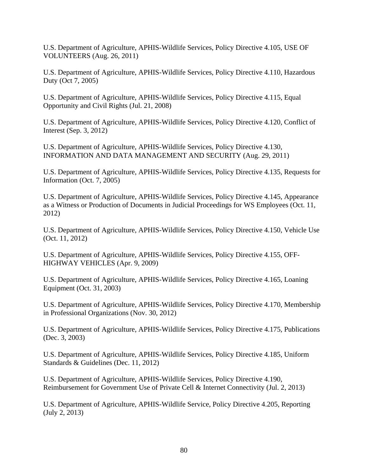U.S. Department of Agriculture, APHIS-Wildlife Services, Policy Directive 4.105, USE OF VOLUNTEERS (Aug. 26, 2011)

U.S. Department of Agriculture, APHIS-Wildlife Services, Policy Directive 4.110, Hazardous Duty (Oct 7, 2005)

U.S. Department of Agriculture, APHIS-Wildlife Services, Policy Directive 4.115, Equal Opportunity and Civil Rights (Jul. 21, 2008)

U.S. Department of Agriculture, APHIS-Wildlife Services, Policy Directive 4.120, Conflict of Interest (Sep. 3, 2012)

U.S. Department of Agriculture, APHIS-Wildlife Services, Policy Directive 4.130, INFORMATION AND DATA MANAGEMENT AND SECURITY (Aug. 29, 2011)

U.S. Department of Agriculture, APHIS-Wildlife Services, Policy Directive 4.135, Requests for Information (Oct. 7, 2005)

U.S. Department of Agriculture, APHIS-Wildlife Services, Policy Directive 4.145, Appearance as a Witness or Production of Documents in Judicial Proceedings for WS Employees (Oct. 11, 2012)

U.S. Department of Agriculture, APHIS-Wildlife Services, Policy Directive 4.150, Vehicle Use (Oct. 11, 2012)

U.S. Department of Agriculture, APHIS-Wildlife Services, Policy Directive 4.155, OFF-HIGHWAY VEHICLES (Apr. 9, 2009)

U.S. Department of Agriculture, APHIS-Wildlife Services, Policy Directive 4.165, Loaning Equipment (Oct. 31, 2003)

U.S. Department of Agriculture, APHIS-Wildlife Services, Policy Directive 4.170, Membership in Professional Organizations (Nov. 30, 2012)

U.S. Department of Agriculture, APHIS-Wildlife Services, Policy Directive 4.175, Publications (Dec. 3, 2003)

U.S. Department of Agriculture, APHIS-Wildlife Services, Policy Directive 4.185, Uniform Standards & Guidelines (Dec. 11, 2012)

U.S. Department of Agriculture, APHIS-Wildlife Services, Policy Directive 4.190, Reimbursement for Government Use of Private Cell & Internet Connectivity (Jul. 2, 2013)

U.S. Department of Agriculture, APHIS-Wildlife Service, Policy Directive 4.205, Reporting (July 2, 2013)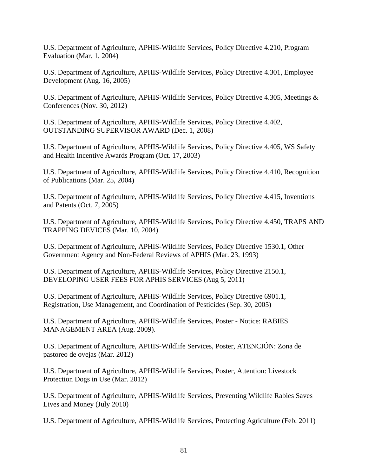U.S. Department of Agriculture, APHIS-Wildlife Services, Policy Directive 4.210, Program Evaluation (Mar. 1, 2004)

U.S. Department of Agriculture, APHIS-Wildlife Services, Policy Directive 4.301, Employee Development (Aug. 16, 2005)

U.S. Department of Agriculture, APHIS-Wildlife Services, Policy Directive 4.305, Meetings & Conferences (Nov. 30, 2012)

U.S. Department of Agriculture, APHIS-Wildlife Services, Policy Directive 4.402, OUTSTANDING SUPERVISOR AWARD (Dec. 1, 2008)

U.S. Department of Agriculture, APHIS-Wildlife Services, Policy Directive 4.405, WS Safety and Health Incentive Awards Program (Oct. 17, 2003)

U.S. Department of Agriculture, APHIS-Wildlife Services, Policy Directive 4.410, Recognition of Publications (Mar. 25, 2004)

U.S. Department of Agriculture, APHIS-Wildlife Services, Policy Directive 4.415, Inventions and Patents (Oct. 7, 2005)

U.S. Department of Agriculture, APHIS-Wildlife Services, Policy Directive 4.450, TRAPS AND TRAPPING DEVICES (Mar. 10, 2004)

U.S. Department of Agriculture, APHIS-Wildlife Services, Policy Directive 1530.1, Other Government Agency and Non-Federal Reviews of APHIS (Mar. 23, 1993)

U.S. Department of Agriculture, APHIS-Wildlife Services, Policy Directive 2150.1, DEVELOPING USER FEES FOR APHIS SERVICES (Aug 5, 2011)

U.S. Department of Agriculture, APHIS-Wildlife Services, Policy Directive 6901.1, Registration, Use Management, and Coordination of Pesticides (Sep. 30, 2005)

U.S. Department of Agriculture, APHIS-Wildlife Services, Poster - Notice: RABIES MANAGEMENT AREA (Aug. 2009).

U.S. Department of Agriculture, APHIS-Wildlife Services, Poster, ATENCIÓN: Zona de pastoreo de ovejas (Mar. 2012)

U.S. Department of Agriculture, APHIS-Wildlife Services, Poster, Attention: Livestock Protection Dogs in Use (Mar. 2012)

U.S. Department of Agriculture, APHIS-Wildlife Services, Preventing Wildlife Rabies Saves Lives and Money (July 2010)

U.S. Department of Agriculture, APHIS-Wildlife Services, Protecting Agriculture (Feb. 2011)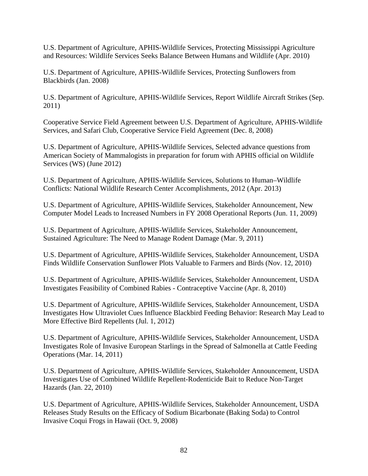U.S. Department of Agriculture, APHIS-Wildlife Services, Protecting Mississippi Agriculture and Resources: Wildlife Services Seeks Balance Between Humans and Wildlife (Apr. 2010)

U.S. Department of Agriculture, APHIS-Wildlife Services, Protecting Sunflowers from Blackbirds (Jan. 2008)

U.S. Department of Agriculture, APHIS-Wildlife Services, Report Wildlife Aircraft Strikes (Sep. 2011)

Cooperative Service Field Agreement between U.S. Department of Agriculture, APHIS-Wildlife Services, and Safari Club, Cooperative Service Field Agreement (Dec. 8, 2008)

U.S. Department of Agriculture, APHIS-Wildlife Services, Selected advance questions from American Society of Mammalogists in preparation for forum with APHIS official on Wildlife Services (WS) (June 2012)

U.S. Department of Agriculture, APHIS-Wildlife Services, Solutions to Human–Wildlife Conflicts: National Wildlife Research Center Accomplishments, 2012 (Apr. 2013)

U.S. Department of Agriculture, APHIS-Wildlife Services, Stakeholder Announcement, New Computer Model Leads to Increased Numbers in FY 2008 Operational Reports (Jun. 11, 2009)

U.S. Department of Agriculture, APHIS-Wildlife Services, Stakeholder Announcement, Sustained Agriculture: The Need to Manage Rodent Damage (Mar. 9, 2011)

U.S. Department of Agriculture, APHIS-Wildlife Services, Stakeholder Announcement, USDA Finds Wildlife Conservation Sunflower Plots Valuable to Farmers and Birds (Nov. 12, 2010)

U.S. Department of Agriculture, APHIS-Wildlife Services, Stakeholder Announcement, USDA Investigates Feasibility of Combined Rabies - Contraceptive Vaccine (Apr. 8, 2010)

U.S. Department of Agriculture, APHIS-Wildlife Services, Stakeholder Announcement, USDA Investigates How Ultraviolet Cues Influence Blackbird Feeding Behavior: Research May Lead to More Effective Bird Repellents (Jul. 1, 2012)

U.S. Department of Agriculture, APHIS-Wildlife Services, Stakeholder Announcement, USDA Investigates Role of Invasive European Starlings in the Spread of Salmonella at Cattle Feeding Operations (Mar. 14, 2011)

U.S. Department of Agriculture, APHIS-Wildlife Services, Stakeholder Announcement, USDA Investigates Use of Combined Wildlife Repellent-Rodenticide Bait to Reduce Non-Target Hazards (Jan. 22, 2010)

U.S. Department of Agriculture, APHIS-Wildlife Services, Stakeholder Announcement, USDA Releases Study Results on the Efficacy of Sodium Bicarbonate (Baking Soda) to Control Invasive Coqui Frogs in Hawaii (Oct. 9, 2008)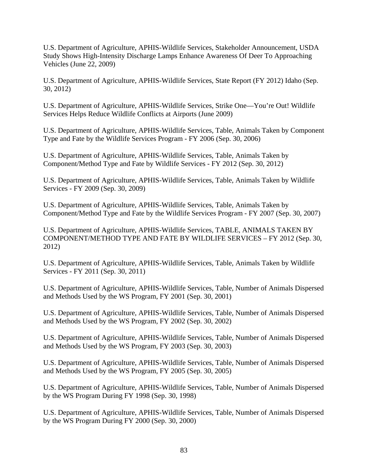U.S. Department of Agriculture, APHIS-Wildlife Services, Stakeholder Announcement, USDA Study Shows High-Intensity Discharge Lamps Enhance Awareness Of Deer To Approaching Vehicles (June 22, 2009)

U.S. Department of Agriculture, APHIS-Wildlife Services, State Report (FY 2012) Idaho (Sep. 30, 2012)

U.S. Department of Agriculture, APHIS-Wildlife Services, Strike One—You're Out! Wildlife Services Helps Reduce Wildlife Conflicts at Airports (June 2009)

U.S. Department of Agriculture, APHIS-Wildlife Services, Table, Animals Taken by Component Type and Fate by the Wildlife Services Program - FY 2006 (Sep. 30, 2006)

U.S. Department of Agriculture, APHIS-Wildlife Services, Table, Animals Taken by Component/Method Type and Fate by Wildlife Services - FY 2012 (Sep. 30, 2012)

U.S. Department of Agriculture, APHIS-Wildlife Services, Table, Animals Taken by Wildlife Services - FY 2009 (Sep. 30, 2009)

U.S. Department of Agriculture, APHIS-Wildlife Services, Table, Animals Taken by Component/Method Type and Fate by the Wildlife Services Program - FY 2007 (Sep. 30, 2007)

U.S. Department of Agriculture, APHIS-Wildlife Services, TABLE, ANIMALS TAKEN BY COMPONENT/METHOD TYPE AND FATE BY WILDLIFE SERVICES – FY 2012 (Sep. 30, 2012)

U.S. Department of Agriculture, APHIS-Wildlife Services, Table, Animals Taken by Wildlife Services - FY 2011 (Sep. 30, 2011)

U.S. Department of Agriculture, APHIS-Wildlife Services, Table, Number of Animals Dispersed and Methods Used by the WS Program, FY 2001 (Sep. 30, 2001)

U.S. Department of Agriculture, APHIS-Wildlife Services, Table, Number of Animals Dispersed and Methods Used by the WS Program, FY 2002 (Sep. 30, 2002)

U.S. Department of Agriculture, APHIS-Wildlife Services, Table, Number of Animals Dispersed and Methods Used by the WS Program, FY 2003 (Sep. 30, 2003)

U.S. Department of Agriculture, APHIS-Wildlife Services, Table, Number of Animals Dispersed and Methods Used by the WS Program, FY 2005 (Sep. 30, 2005)

U.S. Department of Agriculture, APHIS-Wildlife Services, Table, Number of Animals Dispersed by the WS Program During FY 1998 (Sep. 30, 1998)

U.S. Department of Agriculture, APHIS-Wildlife Services, Table, Number of Animals Dispersed by the WS Program During FY 2000 (Sep. 30, 2000)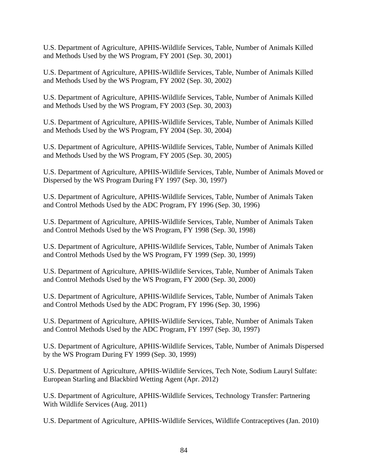U.S. Department of Agriculture, APHIS-Wildlife Services, Table, Number of Animals Killed and Methods Used by the WS Program, FY 2001 (Sep. 30, 2001)

U.S. Department of Agriculture, APHIS-Wildlife Services, Table, Number of Animals Killed and Methods Used by the WS Program, FY 2002 (Sep. 30, 2002)

U.S. Department of Agriculture, APHIS-Wildlife Services, Table, Number of Animals Killed and Methods Used by the WS Program, FY 2003 (Sep. 30, 2003)

U.S. Department of Agriculture, APHIS-Wildlife Services, Table, Number of Animals Killed and Methods Used by the WS Program, FY 2004 (Sep. 30, 2004)

U.S. Department of Agriculture, APHIS-Wildlife Services, Table, Number of Animals Killed and Methods Used by the WS Program, FY 2005 (Sep. 30, 2005)

U.S. Department of Agriculture, APHIS-Wildlife Services, Table, Number of Animals Moved or Dispersed by the WS Program During FY 1997 (Sep. 30, 1997)

U.S. Department of Agriculture, APHIS-Wildlife Services, Table, Number of Animals Taken and Control Methods Used by the ADC Program, FY 1996 (Sep. 30, 1996)

U.S. Department of Agriculture, APHIS-Wildlife Services, Table, Number of Animals Taken and Control Methods Used by the WS Program, FY 1998 (Sep. 30, 1998)

U.S. Department of Agriculture, APHIS-Wildlife Services, Table, Number of Animals Taken and Control Methods Used by the WS Program, FY 1999 (Sep. 30, 1999)

U.S. Department of Agriculture, APHIS-Wildlife Services, Table, Number of Animals Taken and Control Methods Used by the WS Program, FY 2000 (Sep. 30, 2000)

U.S. Department of Agriculture, APHIS-Wildlife Services, Table, Number of Animals Taken and Control Methods Used by the ADC Program, FY 1996 (Sep. 30, 1996)

U.S. Department of Agriculture, APHIS-Wildlife Services, Table, Number of Animals Taken and Control Methods Used by the ADC Program, FY 1997 (Sep. 30, 1997)

U.S. Department of Agriculture, APHIS-Wildlife Services, Table, Number of Animals Dispersed by the WS Program During FY 1999 (Sep. 30, 1999)

U.S. Department of Agriculture, APHIS-Wildlife Services, Tech Note, Sodium Lauryl Sulfate: European Starling and Blackbird Wetting Agent (Apr. 2012)

U.S. Department of Agriculture, APHIS-Wildlife Services, Technology Transfer: Partnering With Wildlife Services (Aug. 2011)

U.S. Department of Agriculture, APHIS-Wildlife Services, Wildlife Contraceptives (Jan. 2010)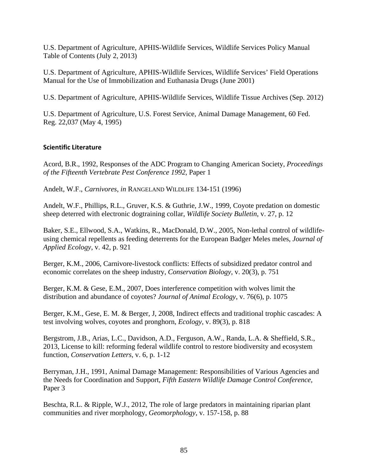U.S. Department of Agriculture, APHIS-Wildlife Services, Wildlife Services Policy Manual Table of Contents (July 2, 2013)

U.S. Department of Agriculture, APHIS-Wildlife Services, Wildlife Services' Field Operations Manual for the Use of Immobilization and Euthanasia Drugs (June 2001)

U.S. Department of Agriculture, APHIS-Wildlife Services, Wildlife Tissue Archives (Sep. 2012)

U.S. Department of Agriculture, U.S. Forest Service, Animal Damage Management, 60 Fed. Reg. 22,037 (May 4, 1995)

### **Scientific Literature**

Acord, B.R., 1992, Responses of the ADC Program to Changing American Society, *Proceedings of the Fifteenth Vertebrate Pest Conference 1992*, Paper 1

Andelt, W.F., *Carnivores*, *in* RANGELAND WILDLIFE 134-151 (1996)

Andelt, W.F., Phillips, R.L., Gruver, K.S. & Guthrie, J.W., 1999, Coyote predation on domestic sheep deterred with electronic dogtraining collar, *Wildlife Society Bulletin*, v. 27, p. 12

Baker, S.E., Ellwood, S.A., Watkins, R., MacDonald, D.W., 2005, Non-lethal control of wildlifeusing chemical repellents as feeding deterrents for the European Badger Meles meles, *Journal of Applied Ecology*, v. 42, p. 921

Berger, K.M., 2006, Carnivore-livestock conflicts: Effects of subsidized predator control and economic correlates on the sheep industry, *Conservation Biology*, v. 20(3), p. 751

Berger, K.M. & Gese, E.M., 2007, Does interference competition with wolves limit the distribution and abundance of coyotes? *Journal of Animal Ecology*, v. 76(6), p. 1075

Berger, K.M., Gese, E. M. & Berger, J, 2008, Indirect effects and traditional trophic cascades: A test involving wolves, coyotes and pronghorn, *Ecology*, v. 89(3), p. 818

Bergstrom, J.B., Arias, L.C., Davidson, A.D., Ferguson, A.W., Randa, L.A. & Sheffield, S.R., 2013, License to kill: reforming federal wildlife control to restore biodiversity and ecosystem function, *Conservation Letters*, v. 6, p. 1-12

Berryman, J.H., 1991, Animal Damage Management: Responsibilities of Various Agencies and the Needs for Coordination and Support, *Fifth Eastern Wildlife Damage Control Conference,*  Paper 3

Beschta, R.L. & Ripple, W.J., 2012, The role of large predators in maintaining riparian plant communities and river morphology, *Geomorphology*, v. 157-158, p. 88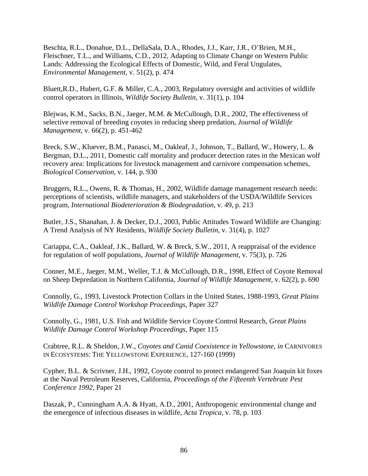Beschta, R.L., Donahue, D.L., DellaSala, D.A., Rhodes, J.J., Karr, J.R., O'Brien, M.H., Fleischner, T.L., and Williams, C.D., 2012, Adapting to Climate Change on Western Public Lands: Addressing the Ecological Effects of Domestic, Wild, and Feral Ungulates, *Environmental Management*, v. 51(2), p. 474

Bluett,R.D., Hubert, G.F. & Miller, C.A., 2003, Regulatory oversight and activities of wildlife control operators in Illinois, *Wildlife Society Bulletin*, v. 31(1), p. 104

Blejwas, K.M., Sacks, B.N., Jaeger, M.M. & McCullough, D.R., 2002, The effectiveness of selective removal of breeding coyotes in reducing sheep predation, *Journal of Wildlife Management*, v. 66(2), p. 451-462

Breck, S.W., Kluever, B.M., Panasci, M., Oakleaf, J., Johnson, T., Ballard, W., Howery, L. & Bergman, D.L., 2011, Domestic calf mortality and producer detection rates in the Mexican wolf recovery area: Implications for livestock management and carnivore compensation schemes, *Biological Conservation*, v. 144, p. 930

Bruggers, R.L., Owens, R. & Thomas, H., 2002, Wildlife damage management research needs: perceptions of scientists, wildlife managers, and stakeholders of the USDA/Wildlife Services program, *International Biodeterioration & Biodegradation*, v. 49, p. 213

Butler, J.S., Shanahan, J. & Decker, D.J., 2003, Public Attitudes Toward Wildlife are Changing: A Trend Analysis of NY Residents, *Wildlife Society Bulletin*, v. 31(4), p. 1027

Cariappa, C.A., Oakleaf, J.K., Ballard, W. & Breck, S.W., 2011, A reappraisal of the evidence for regulation of wolf populations, *Journal of Wildlife Management*, v. 75(3), p. 726

Conner, M.E., Jaeger, M.M., Weller, T.J. & McCullough, D.R., 1998, Effect of Coyote Removal on Sheep Depredation in Northern California, *Journal of Wildlife Management*, v. 62(2), p. 690

Connolly, G., 1993, Livestock Protection Collars in the United States, 1988-1993, *Great Plains Wildlife Damage Control Workshop Proceedings*, Paper 327

Connolly, G., 1981, U.S. Fish and Wildlife Service Coyote Control Research, *Great Plains Wildlife Damage Control Workshop Proceedings*, Paper 115

Crabtree, R.L. & Sheldon, J.W., *Coyotes and Canid Coexistence in Yellowstone*, *in* CARNIVORES IN ECOSYSTEMS: THE YELLOWSTONE EXPERIENCE, 127-160 (1999)

Cypher, B.L. & Scrivner, J.H., 1992, Coyote control to protect endangered San Joaquin kit foxes at the Naval Petroleum Reserves, California, *Proceedings of the Fifteenth Vertebrate Pest Conference 1992*, Paper 21

Daszak, P., Cunningham A.A. & Hyatt, A.D., 2001, Anthropogenic environmental change and the emergence of infectious diseases in wildlife, *Acta Tropica*, v. 78, p. 103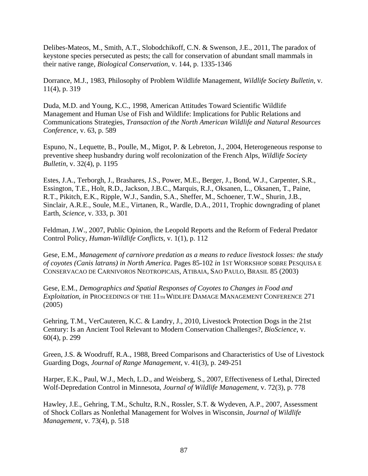Delibes-Mateos, M., Smith, A.T., Slobodchikoff, C.N. & Swenson, J.E., 2011, The paradox of keystone species persecuted as pests; the call for conservation of abundant small mammals in their native range, *Biological Conservation*, v. 144, p. 1335-1346

Dorrance, M.J., 1983, Philosophy of Problem Wildlife Management, *Wildlife Society Bulletin*, v. 11(4), p. 319

Duda, M.D. and Young, K.C., 1998, American Attitudes Toward Scientific Wildlife Management and Human Use of Fish and Wildlife: Implications for Public Relations and Communications Strategies, *Transaction of the North American Wildlife and Natural Resources Conference*, v. 63, p. 589

Espuno, N., Lequette, B., Poulle, M., Migot, P. & Lebreton, J., 2004, Heterogeneous response to preventive sheep husbandry during wolf recolonization of the French Alps, *Wildlife Society Bulletin*, v. 32(4), p. 1195

Estes, J.A., Terborgh, J., Brashares, J.S., Power, M.E., Berger, J., Bond, W.J., Carpenter, S.R., Essington, T.E., Holt, R.D., Jackson, J.B.C., Marquis, R.J., Oksanen, L., Oksanen, T., Paine, R.T., Pikitch, E.K., Ripple, W.J., Sandin, S.A., Sheffer, M., Schoener, T.W., Shurin, J.B., Sinclair, A.R.E., Soule, M.E., Virtanen, R., Wardle, D.A., 2011, Trophic downgrading of planet Earth, *Science*, v. 333, p. 301

Feldman, J.W., 2007, Public Opinion, the Leopold Reports and the Reform of Federal Predator Control Policy, *Human-Wildlife Conflicts*, v. 1(1), p. 112

Gese, E.M., *Management of carnivore predation as a means to reduce livestock losses: the study of coyotes (Canis latrans) in North America*. Pages 85-102 *in* 1ST WORKSHOP SOBRE PESQUISA E CONSERVACAO DE CARNIVOROS NEOTROPICAIS, ATIBAIA, SAO PAULO, BRASIL 85 (2003)

Gese, E.M., *Demographics and Spatial Responses of Coyotes to Changes in Food and Exploitation*, *in* PROCEEDINGS OF THE 11TH WIDLIFE DAMAGE MANAGEMENT CONFERENCE 271 (2005)

Gehring, T.M., VerCauteren, K.C. & Landry, J., 2010, Livestock Protection Dogs in the 21st Century: Is an Ancient Tool Relevant to Modern Conservation Challenges?, *BioScience*, v. 60(4), p. 299

Green, J.S. & Woodruff, R.A., 1988, Breed Comparisons and Characteristics of Use of Livestock Guarding Dogs, *Journal of Range Management*, v. 41(3), p. 249-251

Harper, E.K., Paul, W.J., Mech, L.D., and Weisberg, S., 2007, Effectiveness of Lethal, Directed Wolf-Depredation Control in Minnesota, *Journal of Wildlife Management*, v. 72(3), p. 778

Hawley, J.E., Gehring, T.M., Schultz, R.N., Rossler, S.T. & Wydeven, A.P., 2007, Assessment of Shock Collars as Nonlethal Management for Wolves in Wisconsin, *Journal of Wildlife Management*, v. 73(4), p. 518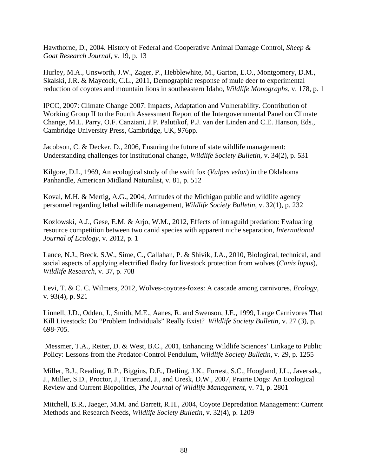Hawthorne, D., 2004. History of Federal and Cooperative Animal Damage Control, *Sheep & Goat Research Journal*, v. 19, p. 13

Hurley, M.A., Unsworth, J.W., Zager, P., Hebblewhite, M., Garton, E.O., Montgomery, D.M., Skalski, J.R. & Maycock, C.L., 2011, Demographic response of mule deer to experimental reduction of coyotes and mountain lions in southeastern Idaho, *Wildlife Monographs*, v. 178, p. 1

IPCC, 2007: Climate Change 2007: Impacts, Adaptation and Vulnerability. Contribution of Working Group II to the Fourth Assessment Report of the Intergovernmental Panel on Climate Change, M.L. Parry, O.F. Canziani, J.P. Palutikof, P.J. van der Linden and C.E. Hanson, Eds., Cambridge University Press, Cambridge, UK, 976pp.

Jacobson, C. & Decker, D., 2006, Ensuring the future of state wildlife management: Understanding challenges for institutional change, *Wildlife Society Bulletin*, v. 34(2), p. 531

Kilgore, D.L, 1969, An ecological study of the swift fox (*Vulpes velox*) in the Oklahoma Panhandle, American Midland Naturalist, v. 81, p. 512

Koval, M.H. & Mertig, A.G., 2004, Attitudes of the Michigan public and wildlife agency personnel regarding lethal wildlife management, *Wildlife Society Bulletin*, v. 32(1), p. 232

Kozlowski, A.J., Gese, E.M. & Arjo, W.M., 2012, Effects of intraguild predation: Evaluating resource competition between two canid species with apparent niche separation, *International Journal of Ecology*, v. 2012, p. 1

Lance, N.J., Breck, S.W., Sime, C., Callahan, P. & Shivik, J.A., 2010, Biological, technical, and social aspects of applying electrified fladry for livestock protection from wolves (*Canis lupus*), *Wildlife Research*, v. 37, p. 708

Levi, T. & C. C. Wilmers, 2012, Wolves-coyotes-foxes: A cascade among carnivores, *Ecology*, v. 93(4), p. 921

Linnell, J.D., Odden, J., Smith, M.E., Aanes, R. and Swenson, J.E., 1999, Large Carnivores That Kill Livestock: Do "Problem Individuals" Really Exist? *Wildlife Society Bulletin*, v. 27 (3), p. 698-705.

 Messmer, T.A., Reiter, D. & West, B.C., 2001, Enhancing Wildlife Sciences' Linkage to Public Policy: Lessons from the Predator-Control Pendulum, *Wildlife Society Bulletin*, v. 29, p. 1255

Miller, B.J., Reading, R.P., Biggins, D.E., Detling, J.K., Forrest, S.C., Hoogland, J.L., Javersak,, J., Miller, S.D., Proctor, J., Truettand, J., and Uresk, D.W., 2007, Prairie Dogs: An Ecological Review and Current Biopolitics, *The Journal of Wildlife Management*, v. 71, p. 2801

Mitchell, B.R., Jaeger, M.M. and Barrett, R.H., 2004, Coyote Depredation Management: Current Methods and Research Needs, *Wildlife Society Bulletin*, v. 32(4), p. 1209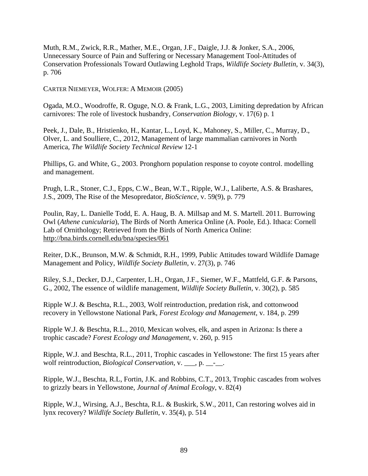Muth, R.M., Zwick, R.R., Mather, M.E., Organ, J.F., Daigle, J.J. & Jonker, S.A., 2006, Unnecessary Source of Pain and Suffering or Necessary Management Tool-Attitudes of Conservation Professionals Toward Outlawing Leghold Traps, *Wildlife Society Bulletin*, v. 34(3), p. 706

CARTER NIEMEYER, WOLFER: A MEMOIR (2005)

Ogada, M.O., Woodroffe, R. Oguge, N.O. & Frank, L.G., 2003, Limiting depredation by African carnivores: The role of livestock husbandry, *Conservation Biology*, v. 17(6) p. 1

Peek, J., Dale, B., Hristienko, H., Kantar, L., Loyd, K., Mahoney, S., Miller, C., Murray, D., Olver, L. and Soulliere, C., 2012, Management of large mammalian carnivores in North America, *The Wildlife Society Technical Review* 12-1

Phillips, G. and White, G., 2003. Pronghorn population response to coyote control. modelling and management.

Prugh, L.R., Stoner, C.J., Epps, C.W., Bean, W.T., Ripple, W.J., Laliberte, A.S. & Brashares, J.S., 2009, The Rise of the Mesopredator, *BioScience*, v. 59(9), p. 779

Poulin, Ray, L. Danielle Todd, E. A. Haug, B. A. Millsap and M. S. Martell. 2011. Burrowing Owl (*Athene cunicularia*), The Birds of North America Online (A. Poole, Ed.). Ithaca: Cornell Lab of Ornithology; Retrieved from the Birds of North America Online: http://bna.birds.cornell.edu/bna/species/061

Reiter, D.K., Brunson, M.W. & Schmidt, R.H., 1999, Public Attitudes toward Wildlife Damage Management and Policy, *Wildlife Society Bulletin*, v. 27(3), p. 746

Riley, S.J., Decker, D.J., Carpenter, L.H., Organ, J.F., Siemer, W.F., Mattfeld, G.F. & Parsons, G., 2002, The essence of wildlife management, *Wildlife Society Bulletin*, v. 30(2), p. 585

Ripple W.J. & Beschta, R.L., 2003, Wolf reintroduction, predation risk, and cottonwood recovery in Yellowstone National Park, *Forest Ecology and Management*, v. 184, p. 299

Ripple W.J. & Beschta, R.L., 2010, Mexican wolves, elk, and aspen in Arizona: Is there a trophic cascade? *Forest Ecology and Management*, v. 260, p. 915

Ripple, W.J. and Beschta, R.L., 2011, Trophic cascades in Yellowstone: The first 15 years after wolf reintroduction, *Biological Conservation*, v. \_\_\_, p. \_\_-\_\_.

Ripple, W.J., Beschta, R.L, Fortin, J.K. and Robbins, C.T., 2013, Trophic cascades from wolves to grizzly bears in Yellowstone*, Journal of Animal Ecology*, v. 82(4)

Ripple, W.J., Wirsing, A.J., Beschta, R.L. & Buskirk, S.W., 2011, Can restoring wolves aid in lynx recovery? *Wildlife Society Bulletin*, v. 35(4), p. 514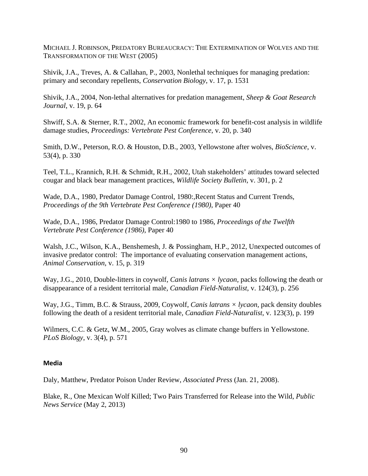MICHAEL J. ROBINSON, PREDATORY BUREAUCRACY: THE EXTERMINATION OF WOLVES AND THE TRANSFORMATION OF THE WEST (2005)

Shivik, J.A., Treves, A. & Callahan, P., 2003, Nonlethal techniques for managing predation: primary and secondary repellents, *Conservation Biology*, v. 17, p. 1531

Shivik, J.A., 2004, Non-lethal alternatives for predation management, *Sheep & Goat Research Journal*, v. 19, p. 64

Shwiff, S.A. & Sterner, R.T., 2002, An economic framework for benefit-cost analysis in wildlife damage studies, *Proceedings: Vertebrate Pest Conference*, v. 20, p. 340

Smith, D.W., Peterson, R.O. & Houston, D.B., 2003, Yellowstone after wolves, *BioScience*, v. 53(4), p. 330

Teel, T.L., Krannich, R.H. & Schmidt, R.H., 2002, Utah stakeholders' attitudes toward selected cougar and black bear management practices, *Wildlife Society Bulletin*, v. 301, p. 2

Wade, D.A., 1980, Predator Damage Control, 1980:,Recent Status and Current Trends, *Proceedings of the 9th Vertebrate Pest Conference (1980)*, Paper 40

Wade, D.A., 1986, Predator Damage Control:1980 to 1986, *Proceedings of the Twelfth Vertebrate Pest Conference (1986)*, Paper 40

Walsh, J.C., Wilson, K.A., Benshemesh, J. & Possingham, H.P., 2012, Unexpected outcomes of invasive predator control: The importance of evaluating conservation management actions, *Animal Conservation*, v. 15, p. 319

Way, J.G., 2010, Double-litters in coywolf, *Canis latrans × lycaon,* packs following the death or disappearance of a resident territorial male, *Canadian Field-Naturalist*, v. 124(3), p. 256

Way, J.G., Timm, B.C. & Strauss, 2009, Coywolf, *Canis latrans × lycaon,* pack density doubles following the death of a resident territorial male, *Canadian Field-Naturalist*, v. 123(3), p. 199

Wilmers, C.C. & Getz, W.M., 2005, Gray wolves as climate change buffers in Yellowstone. *PLoS Biology*, v. 3(4), p. 571

## **Media**

Daly, Matthew, Predator Poison Under Review, *Associated Press* (Jan. 21, 2008).

Blake, R., One Mexican Wolf Killed; Two Pairs Transferred for Release into the Wild, *Public News Service* (May 2, 2013)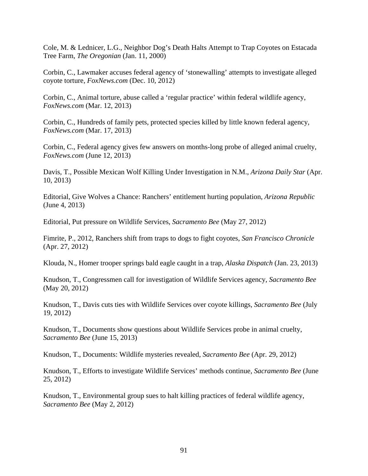Cole, M. & Lednicer, L.G., Neighbor Dog's Death Halts Attempt to Trap Coyotes on Estacada Tree Farm, *The Oregonian* (Jan. 11, 2000)

Corbin, C., Lawmaker accuses federal agency of 'stonewalling' attempts to investigate alleged coyote torture, *FoxNews.com* (Dec. 10, 2012)

Corbin, C., Animal torture, abuse called a 'regular practice' within federal wildlife agency, *FoxNews.com* (Mar. 12, 2013)

Corbin, C., Hundreds of family pets, protected species killed by little known federal agency, *FoxNews.com* (Mar. 17, 2013)

Corbin, C., Federal agency gives few answers on months-long probe of alleged animal cruelty, *FoxNews.com* (June 12, 2013)

Davis, T., Possible Mexican Wolf Killing Under Investigation in N.M., *Arizona Daily Star* (Apr. 10, 2013)

Editorial, Give Wolves a Chance: Ranchers' entitlement hurting population*, Arizona Republic* (June 4, 2013)

Editorial, Put pressure on Wildlife Services, *Sacramento Bee* (May 27, 2012)

Fimrite, P., 2012, Ranchers shift from traps to dogs to fight coyotes, *San Francisco Chronicle* (Apr. 27, 2012)

Klouda, N., Homer trooper springs bald eagle caught in a trap, *Alaska Dispatch* (Jan. 23, 2013)

Knudson, T., Congressmen call for investigation of Wildlife Services agency, *Sacramento Bee* (May 20, 2012)

Knudson, T., Davis cuts ties with Wildlife Services over coyote killings, *Sacramento Bee* (July 19, 2012)

Knudson, T., Documents show questions about Wildlife Services probe in animal cruelty, *Sacramento Bee* (June 15, 2013)

Knudson, T., Documents: Wildlife mysteries revealed, *Sacramento Bee* (Apr. 29, 2012)

Knudson, T., Efforts to investigate Wildlife Services' methods continue, *Sacramento Bee* (June 25, 2012)

Knudson, T., Environmental group sues to halt killing practices of federal wildlife agency, *Sacramento Bee* (May 2, 2012)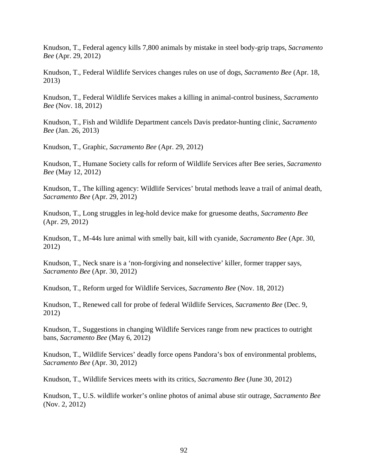Knudson, T., Federal agency kills 7,800 animals by mistake in steel body-grip traps, *Sacramento Bee* (Apr. 29, 2012)

Knudson, T., Federal Wildlife Services changes rules on use of dogs, *Sacramento Bee* (Apr. 18, 2013)

Knudson, T., Federal Wildlife Services makes a killing in animal-control business, *Sacramento Bee* (Nov. 18, 2012)

Knudson, T., Fish and Wildlife Department cancels Davis predator-hunting clinic, *Sacramento Bee* (Jan. 26, 2013)

Knudson, T., Graphic, *Sacramento Bee* (Apr. 29, 2012)

Knudson, T., Humane Society calls for reform of Wildlife Services after Bee series, *Sacramento Bee* (May 12, 2012)

Knudson, T., The killing agency: Wildlife Services' brutal methods leave a trail of animal death, *Sacramento Bee* (Apr. 29, 2012)

Knudson, T., Long struggles in leg-hold device make for gruesome deaths, *Sacramento Bee* (Apr. 29, 2012)

Knudson, T., M-44s lure animal with smelly bait, kill with cyanide, *Sacramento Bee* (Apr. 30, 2012)

Knudson, T., Neck snare is a 'non-forgiving and nonselective' killer, former trapper says, *Sacramento Bee* (Apr. 30, 2012)

Knudson, T., Reform urged for Wildlife Services, *Sacramento Bee* (Nov. 18, 2012)

Knudson, T., Renewed call for probe of federal Wildlife Services, *Sacramento Bee* (Dec. 9, 2012)

Knudson, T., Suggestions in changing Wildlife Services range from new practices to outright bans, *Sacramento Bee* (May 6, 2012)

Knudson, T., Wildlife Services' deadly force opens Pandora's box of environmental problems, *Sacramento Bee* (Apr. 30, 2012)

Knudson, T., Wildlife Services meets with its critics, *Sacramento Bee* (June 30, 2012)

Knudson, T., U.S. wildlife worker's online photos of animal abuse stir outrage, *Sacramento Bee* (Nov. 2, 2012)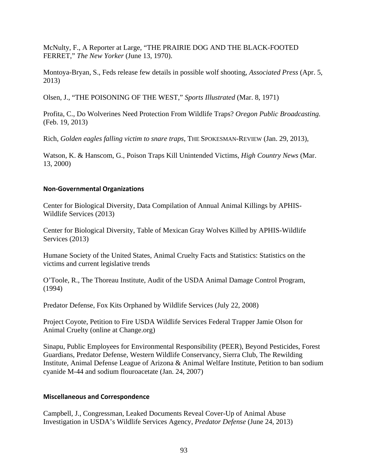McNulty, F., A Reporter at Large, "THE PRAIRIE DOG AND THE BLACK-FOOTED FERRET," *The New Yorker* (June 13, 1970).

Montoya-Bryan, S., Feds release few details in possible wolf shooting, *Associated Press* (Apr. 5, 2013)

Olsen, J., "THE POISONING OF THE WEST," *Sports Illustrated* (Mar. 8, 1971)

Profita, C., Do Wolverines Need Protection From Wildlife Traps? *Oregon Public Broadcasting.*  (Feb. 19, 2013)

Rich, *Golden eagles falling victim to snare traps*, THE SPOKESMAN-REVIEW (Jan. 29, 2013),

Watson, K. & Hanscom, G., Poison Traps Kill Unintended Victims, *High Country News* (Mar. 13, 2000)

### **Non‐Governmental Organizations**

Center for Biological Diversity, Data Compilation of Annual Animal Killings by APHIS-Wildlife Services (2013)

Center for Biological Diversity, Table of Mexican Gray Wolves Killed by APHIS-Wildlife Services (2013)

Humane Society of the United States, Animal Cruelty Facts and Statistics: Statistics on the victims and current legislative trends

O'Toole, R., The Thoreau Institute, Audit of the USDA Animal Damage Control Program, (1994)

Predator Defense, Fox Kits Orphaned by Wildlife Services (July 22, 2008)

Project Coyote, Petition to Fire USDA Wildlife Services Federal Trapper Jamie Olson for Animal Cruelty (online at Change.org)

Sinapu, Public Employees for Environmental Responsibility (PEER), Beyond Pesticides, Forest Guardians, Predator Defense, Western Wildlife Conservancy, Sierra Club, The Rewilding Institute, Animal Defense League of Arizona & Animal Welfare Institute, Petition to ban sodium cyanide M-44 and sodium flouroacetate (Jan. 24, 2007)

## **Miscellaneous and Correspondence**

Campbell, J., Congressman, Leaked Documents Reveal Cover-Up of Animal Abuse Investigation in USDA's Wildlife Services Agency, *Predator Defense* (June 24, 2013)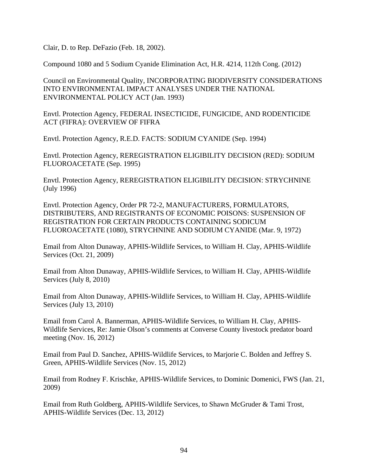Clair, D. to Rep. DeFazio (Feb. 18, 2002).

Compound 1080 and 5 Sodium Cyanide Elimination Act, H.R. 4214, 112th Cong. (2012)

Council on Environmental Quality, INCORPORATING BIODIVERSITY CONSIDERATIONS INTO ENVIRONMENTAL IMPACT ANALYSES UNDER THE NATIONAL ENVIRONMENTAL POLICY ACT (Jan. 1993)

Envtl. Protection Agency, FEDERAL INSECTICIDE, FUNGICIDE, AND RODENTICIDE ACT (FIFRA): OVERVIEW OF FIFRA

Envtl. Protection Agency, R.E.D. FACTS: SODIUM CYANIDE (Sep. 1994)

Envtl. Protection Agency, REREGISTRATION ELIGIBILITY DECISION (RED): SODIUM FLUOROACETATE (Sep. 1995)

Envtl. Protection Agency, REREGISTRATION ELIGIBILITY DECISION: STRYCHNINE (July 1996)

Envtl. Protection Agency, Order PR 72-2, MANUFACTURERS, FORMULATORS, DISTRIBUTERS, AND REGISTRANTS OF ECONOMIC POISONS: SUSPENSION OF REGISTRATION FOR CERTAIN PRODUCTS CONTAINING SODICUM FLUOROACETATE (1080), STRYCHNINE AND SODIUM CYANIDE (Mar. 9, 1972)

Email from Alton Dunaway, APHIS-Wildlife Services, to William H. Clay, APHIS-Wildlife Services (Oct. 21, 2009)

Email from Alton Dunaway, APHIS-Wildlife Services, to William H. Clay, APHIS-Wildlife Services (July 8, 2010)

Email from Alton Dunaway, APHIS-Wildlife Services, to William H. Clay, APHIS-Wildlife Services (July 13, 2010)

Email from Carol A. Bannerman, APHIS-Wildlife Services, to William H. Clay, APHIS-Wildlife Services, Re: Jamie Olson's comments at Converse County livestock predator board meeting (Nov. 16, 2012)

Email from Paul D. Sanchez, APHIS-Wildlife Services, to Marjorie C. Bolden and Jeffrey S. Green, APHIS-Wildlife Services (Nov. 15, 2012)

Email from Rodney F. Krischke, APHIS-Wildlife Services, to Dominic Domenici, FWS (Jan. 21, 2009)

Email from Ruth Goldberg, APHIS-Wildlife Services, to Shawn McGruder & Tami Trost, APHIS-Wildlife Services (Dec. 13, 2012)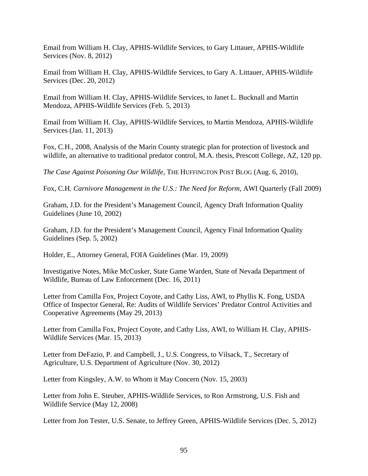Email from William H. Clay, APHIS-Wildlife Services, to Gary Littauer, APHIS-Wildlife Services (Nov. 8, 2012)

Email from William H. Clay, APHIS-Wildlife Services, to Gary A. Littauer, APHIS-Wildlife Services (Dec. 20, 2012)

Email from William H. Clay, APHIS-Wildlife Services, to Janet L. Bucknall and Martin Mendoza, APHIS-Wildlife Services (Feb. 5, 2013)

Email from William H. Clay, APHIS-Wildlife Services, to Martin Mendoza, APHIS-Wildlife Services (Jan. 11, 2013)

Fox, C.H., 2008, Analysis of the Marin County strategic plan for protection of livestock and wildlife, an alternative to traditional predator control, M.A. thesis, Prescott College, AZ, 120 pp.

*The Case Against Poisoning Our Wildlife*, THE HUFFINGTON POST BLOG (Aug. 6, 2010),

Fox, C.H. *Carnivore Management in the U.S.: The Need for Reform*, AWI Quarterly (Fall 2009)

Graham, J.D. for the President's Management Council, Agency Draft Information Quality Guidelines (June 10, 2002)

Graham, J.D. for the President's Management Council, Agency Final Information Quality Guidelines (Sep. 5, 2002)

Holder, E., Attorney General, FOIA Guidelines (Mar. 19, 2009)

Investigative Notes, Mike McCusker, State Game Warden, State of Nevada Department of Wildlife, Bureau of Law Enforcement (Dec. 16, 2011)

Letter from Camilla Fox, Project Coyote, and Cathy Liss, AWI, to Phyllis K. Fong, USDA Office of Inspector General, Re: Audits of Wildlife Services' Predator Control Activities and Cooperative Agreements (May 29, 2013)

Letter from Camilla Fox, Project Coyote, and Cathy Liss, AWI, to William H. Clay, APHIS-Wildlife Services (Mar. 15, 2013)

Letter from DeFazio, P. and Campbell, J., U.S. Congress, to Vilsack, T., Secretary of Agriculture, U.S. Department of Agriculture (Nov. 30, 2012)

Letter from Kingsley, A.W. to Whom it May Concern (Nov. 15, 2003)

Letter from John E. Steuber, APHIS-Wildlife Services, to Ron Armstrong, U.S. Fish and Wildlife Service (May 12, 2008)

Letter from Jon Tester, U.S. Senate, to Jeffrey Green, APHIS-Wildlife Services (Dec. 5, 2012)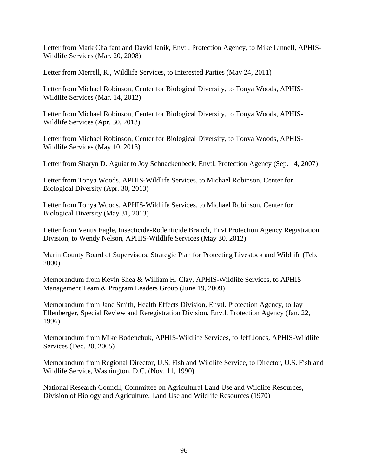Letter from Mark Chalfant and David Janik, Envtl. Protection Agency, to Mike Linnell, APHIS-Wildlife Services (Mar. 20, 2008)

Letter from Merrell, R., Wildlife Services, to Interested Parties (May 24, 2011)

Letter from Michael Robinson, Center for Biological Diversity, to Tonya Woods, APHIS-Wildlife Services (Mar. 14, 2012)

Letter from Michael Robinson, Center for Biological Diversity, to Tonya Woods, APHIS-Wildlife Services (Apr. 30, 2013)

Letter from Michael Robinson, Center for Biological Diversity, to Tonya Woods, APHIS-Wildlife Services (May 10, 2013)

Letter from Sharyn D. Aguiar to Joy Schnackenbeck, Envtl. Protection Agency (Sep. 14, 2007)

Letter from Tonya Woods, APHIS-Wildlife Services, to Michael Robinson, Center for Biological Diversity (Apr. 30, 2013)

Letter from Tonya Woods, APHIS-Wildlife Services, to Michael Robinson, Center for Biological Diversity (May 31, 2013)

Letter from Venus Eagle, Insecticide-Rodenticide Branch, Envt Protection Agency Registration Division, to Wendy Nelson, APHIS-Wildlife Services (May 30, 2012)

Marin County Board of Supervisors, Strategic Plan for Protecting Livestock and Wildlife (Feb. 2000)

Memorandum from Kevin Shea & William H. Clay, APHIS-Wildlife Services, to APHIS Management Team & Program Leaders Group (June 19, 2009)

Memorandum from Jane Smith, Health Effects Division, Envtl. Protection Agency, to Jay Ellenberger, Special Review and Reregistration Division, Envtl. Protection Agency (Jan. 22, 1996)

Memorandum from Mike Bodenchuk, APHIS-Wildlife Services, to Jeff Jones, APHIS-Wildlife Services (Dec. 20, 2005)

Memorandum from Regional Director, U.S. Fish and Wildlife Service, to Director, U.S. Fish and Wildlife Service, Washington, D.C. (Nov. 11, 1990)

National Research Council, Committee on Agricultural Land Use and Wildlife Resources, Division of Biology and Agriculture, Land Use and Wildlife Resources (1970)